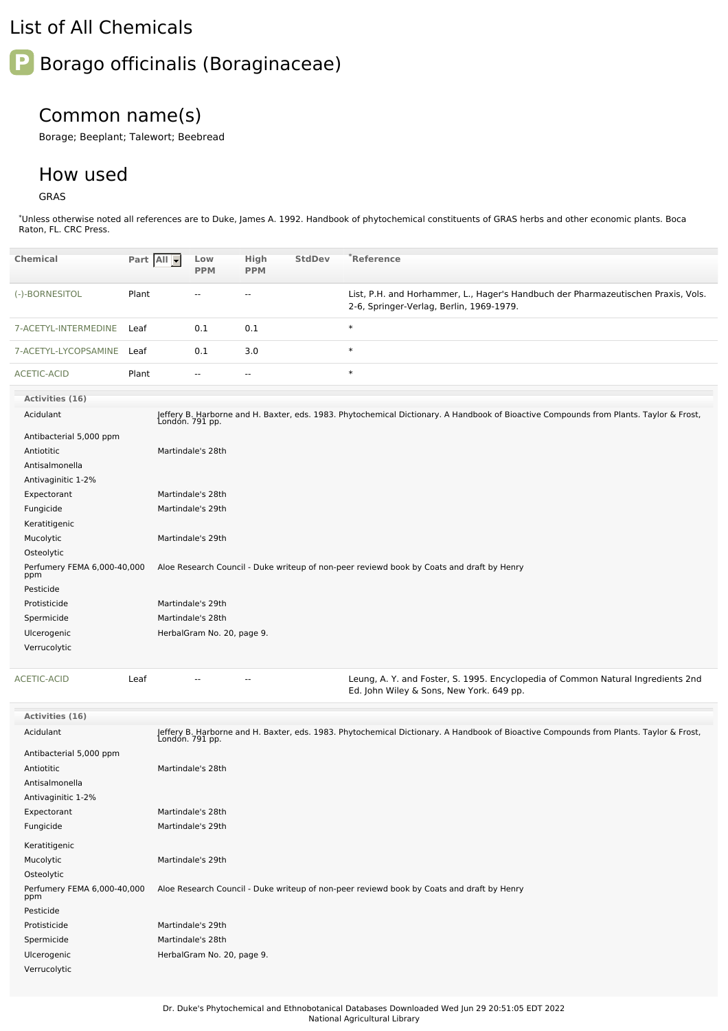## List of All Chemicals

## **P** Borago officinalis (Boraginaceae)

## Common name(s)

Borage; Beeplant; Talewort; Beebread

## How used

GRAS

\*Unless otherwise noted all references are to Duke, James A. 1992. Handbook of phytochemical constituents of GRAS herbs and other economic plants. Boca Raton, FL. CRC Press.

| <b>Chemical</b>                    | Part All | Low<br><b>PPM</b>          | <b>High</b><br><b>PPM</b> | <b>StdDev</b> | $^*$ Reference                                                                                                                                            |
|------------------------------------|----------|----------------------------|---------------------------|---------------|-----------------------------------------------------------------------------------------------------------------------------------------------------------|
| (-)-BORNESITOL                     | Plant    | $-1$                       | $\overline{\phantom{a}}$  |               | List, P.H. and Horhammer, L., Hager's Handbuch der Pharmazeutischen Praxis, Vols.<br>2-6, Springer-Verlag, Berlin, 1969-1979.                             |
| 7-ACETYL-INTERMEDINE               | Leaf     | 0.1                        | 0.1                       |               | $\ast$                                                                                                                                                    |
| 7-ACETYL-LYCOPSAMINE               | Leaf     | 0.1                        | 3.0                       |               | $\ast$                                                                                                                                                    |
| ACETIC-ACID                        | Plant    | $- -$                      | $\overline{\phantom{a}}$  |               | $\ast$                                                                                                                                                    |
| Activities (16)                    |          |                            |                           |               |                                                                                                                                                           |
| Acidulant                          |          |                            |                           |               | Jeffery B. Harborne and H. Baxter, eds. 1983. Phytochemical Dictionary. A Handbook of Bioactive Compounds from Plants. Taylor & Frost,<br>London. 791 pp. |
| Antibacterial 5,000 ppm            |          |                            |                           |               |                                                                                                                                                           |
| Antiotitic                         |          | Martindale's 28th          |                           |               |                                                                                                                                                           |
| Antisalmonella                     |          |                            |                           |               |                                                                                                                                                           |
| Antivaginitic 1-2%                 |          |                            |                           |               |                                                                                                                                                           |
| Expectorant                        |          | Martindale's 28th          |                           |               |                                                                                                                                                           |
| Fungicide                          |          | Martindale's 29th          |                           |               |                                                                                                                                                           |
| Keratitigenic                      |          |                            |                           |               |                                                                                                                                                           |
| Mucolytic                          |          | Martindale's 29th          |                           |               |                                                                                                                                                           |
| Osteolytic                         |          |                            |                           |               |                                                                                                                                                           |
| Perfumery FEMA 6,000-40,000<br>ppm |          |                            |                           |               | Aloe Research Council - Duke writeup of non-peer reviewd book by Coats and draft by Henry                                                                 |
| Pesticide                          |          |                            |                           |               |                                                                                                                                                           |
| Protisticide                       |          | Martindale's 29th          |                           |               |                                                                                                                                                           |
| Spermicide                         |          | Martindale's 28th          |                           |               |                                                                                                                                                           |
| Ulcerogenic                        |          | HerbalGram No. 20, page 9. |                           |               |                                                                                                                                                           |
| Verrucolytic                       |          |                            |                           |               |                                                                                                                                                           |
| <b>ACETIC-ACID</b>                 | Leaf     |                            | $\overline{\phantom{a}}$  |               | Leung, A. Y. and Foster, S. 1995. Encyclopedia of Common Natural Ingredients 2nd<br>Ed. John Wiley & Sons, New York. 649 pp.                              |
| <b>Activities (16)</b>             |          |                            |                           |               |                                                                                                                                                           |
| Acidulant                          |          |                            |                           |               | Jeffery B. Harborne and H. Baxter, eds. 1983. Phytochemical Dictionary. A Handbook of Bioactive Compounds from Plants. Taylor & Frost,<br>London. 791 pp. |
| Antibacterial 5,000 ppm            |          |                            |                           |               |                                                                                                                                                           |
| Antiotitic                         |          | Martindale's 28th          |                           |               |                                                                                                                                                           |
| Antisalmonella                     |          |                            |                           |               |                                                                                                                                                           |
| Antivaginitic 1-2%                 |          |                            |                           |               |                                                                                                                                                           |
| Expectorant                        |          | Martindale's 28th          |                           |               |                                                                                                                                                           |
| Fungicide                          |          | Martindale's 29th          |                           |               |                                                                                                                                                           |
| Keratitigenic                      |          |                            |                           |               |                                                                                                                                                           |
| Mucolytic                          |          | Martindale's 29th          |                           |               |                                                                                                                                                           |
| Osteolytic                         |          |                            |                           |               |                                                                                                                                                           |
| Perfumery FEMA 6,000-40,000<br>ppm |          |                            |                           |               | Aloe Research Council - Duke writeup of non-peer reviewd book by Coats and draft by Henry                                                                 |
| Pesticide                          |          |                            |                           |               |                                                                                                                                                           |
| Protisticide                       |          | Martindale's 29th          |                           |               |                                                                                                                                                           |
| Spermicide                         |          | Martindale's 28th          |                           |               |                                                                                                                                                           |
| Ulcerogenic                        |          | HerbalGram No. 20, page 9. |                           |               |                                                                                                                                                           |
| Verrucolytic                       |          |                            |                           |               |                                                                                                                                                           |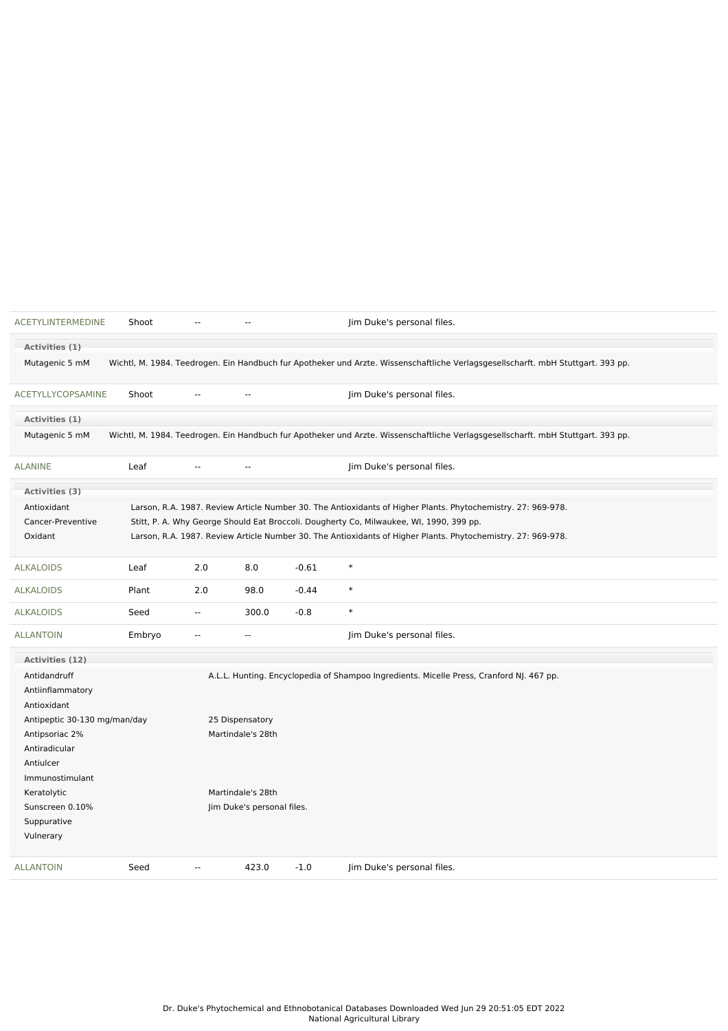| ACETYLINTERMEDINE            | Shoot  |                | $\sim$                     |         | Jim Duke's personal files.                                                                                                       |
|------------------------------|--------|----------------|----------------------------|---------|----------------------------------------------------------------------------------------------------------------------------------|
| Activities (1)               |        |                |                            |         |                                                                                                                                  |
| Mutagenic 5 mM               |        |                |                            |         | Wichtl, M. 1984. Teedrogen. Ein Handbuch fur Apotheker und Arzte. Wissenschaftliche Verlagsgesellscharft. mbH Stuttgart. 393 pp. |
| <b>ACETYLLYCOPSAMINE</b>     | Shoot  |                | --                         |         | Jim Duke's personal files.                                                                                                       |
| Activities (1)               |        |                |                            |         |                                                                                                                                  |
| Mutagenic 5 mM               |        |                |                            |         | Wichtl, M. 1984. Teedrogen. Ein Handbuch fur Apotheker und Arzte. Wissenschaftliche Verlagsgesellscharft. mbH Stuttgart. 393 pp. |
| <b>ALANINE</b>               | Leaf   |                | $-$                        |         | Jim Duke's personal files.                                                                                                       |
| Activities (3)               |        |                |                            |         |                                                                                                                                  |
| Antioxidant                  |        |                |                            |         | Larson, R.A. 1987. Review Article Number 30. The Antioxidants of Higher Plants. Phytochemistry. 27: 969-978.                     |
| Cancer-Preventive            |        |                |                            |         | Stitt, P. A. Why George Should Eat Broccoli. Dougherty Co, Milwaukee, WI, 1990, 399 pp.                                          |
| Oxidant                      |        |                |                            |         | Larson, R.A. 1987. Review Article Number 30. The Antioxidants of Higher Plants. Phytochemistry. 27: 969-978.                     |
| <b>ALKALOIDS</b>             | Leaf   | 2.0            | 8.0                        | $-0.61$ | $\ast$                                                                                                                           |
| <b>ALKALOIDS</b>             | Plant  | 2.0            | 98.0                       | $-0.44$ | $\ast$                                                                                                                           |
| <b>ALKALOIDS</b>             | Seed   | $\overline{a}$ | 300.0                      | $-0.8$  | $\ast$                                                                                                                           |
| <b>ALLANTOIN</b>             | Embryo | $\sim$ $\sim$  | $\sim$ $\sim$              |         | Jim Duke's personal files.                                                                                                       |
| Activities (12)              |        |                |                            |         |                                                                                                                                  |
| Antidandruff                 |        |                |                            |         | A.L.L. Hunting. Encyclopedia of Shampoo Ingredients. Micelle Press, Cranford NJ. 467 pp.                                         |
| Antiinflammatory             |        |                |                            |         |                                                                                                                                  |
| Antioxidant                  |        |                |                            |         |                                                                                                                                  |
| Antipeptic 30-130 mg/man/day |        |                | 25 Dispensatory            |         |                                                                                                                                  |
| Antipsoriac 2%               |        |                | Martindale's 28th          |         |                                                                                                                                  |
| Antiradicular                |        |                |                            |         |                                                                                                                                  |
| Antiulcer                    |        |                |                            |         |                                                                                                                                  |
| Immunostimulant              |        |                |                            |         |                                                                                                                                  |
| Keratolytic                  |        |                | Martindale's 28th          |         |                                                                                                                                  |
| Sunscreen 0.10%              |        |                | Jim Duke's personal files. |         |                                                                                                                                  |
| Suppurative                  |        |                |                            |         |                                                                                                                                  |
| Vulnerary                    |        |                |                            |         |                                                                                                                                  |
| <b>ALLANTOIN</b>             | Seed   | --             | 423.0                      | $-1.0$  | Jim Duke's personal files.                                                                                                       |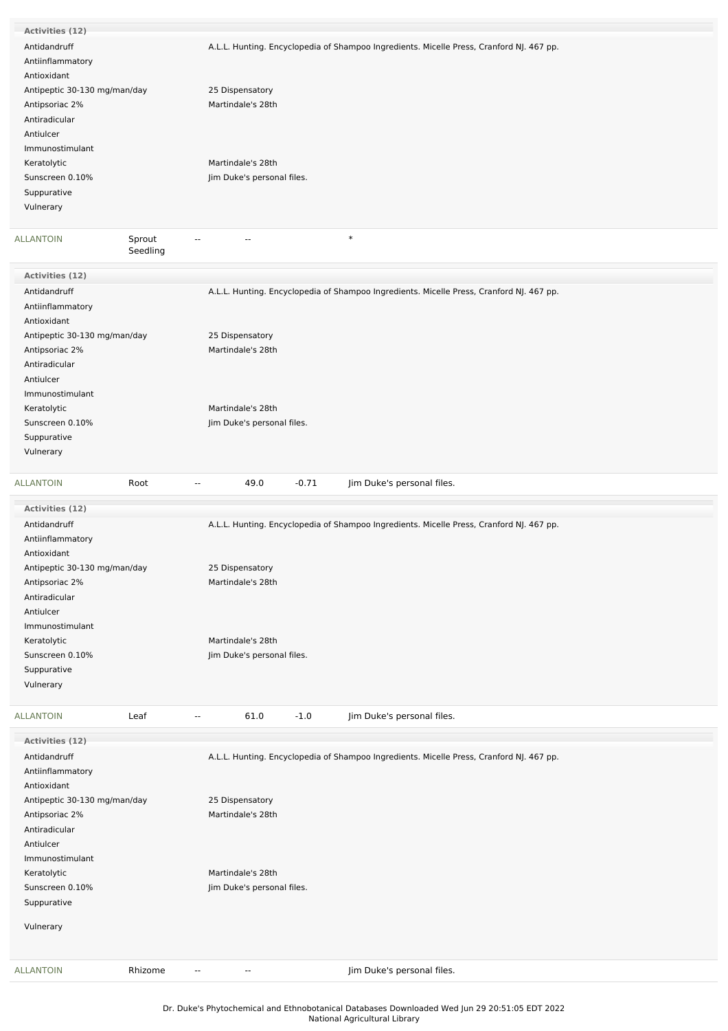| <b>Activities (12)</b>       |                                     |                                                                                          |
|------------------------------|-------------------------------------|------------------------------------------------------------------------------------------|
| Antidandruff                 |                                     | A.L.L. Hunting. Encyclopedia of Shampoo Ingredients. Micelle Press, Cranford NJ. 467 pp. |
| Antiinflammatory             |                                     |                                                                                          |
| Antioxidant                  |                                     |                                                                                          |
| Antipeptic 30-130 mg/man/day |                                     | 25 Dispensatory                                                                          |
| Antipsoriac 2%               |                                     | Martindale's 28th                                                                        |
| Antiradicular                |                                     |                                                                                          |
| Antiulcer                    |                                     |                                                                                          |
| Immunostimulant              |                                     |                                                                                          |
| Keratolytic                  |                                     | Martindale's 28th                                                                        |
|                              |                                     |                                                                                          |
| Sunscreen 0.10%              |                                     | Jim Duke's personal files.                                                               |
| Suppurative                  |                                     |                                                                                          |
| Vulnerary                    |                                     |                                                                                          |
| <b>ALLANTOIN</b>             | Sprout                              | $\ast$<br>$-$                                                                            |
|                              | Seedling                            |                                                                                          |
| Activities (12)              |                                     |                                                                                          |
| Antidandruff                 |                                     | A.L.L. Hunting. Encyclopedia of Shampoo Ingredients. Micelle Press, Cranford NJ. 467 pp. |
| Antiinflammatory             |                                     |                                                                                          |
| Antioxidant                  |                                     |                                                                                          |
| Antipeptic 30-130 mg/man/day |                                     | 25 Dispensatory                                                                          |
|                              |                                     |                                                                                          |
| Antipsoriac 2%               |                                     | Martindale's 28th                                                                        |
| Antiradicular                |                                     |                                                                                          |
| Antiulcer                    |                                     |                                                                                          |
| Immunostimulant              |                                     |                                                                                          |
| Keratolytic                  |                                     | Martindale's 28th                                                                        |
| Sunscreen 0.10%              |                                     | Jim Duke's personal files.                                                               |
| Suppurative                  |                                     |                                                                                          |
| Vulnerary                    |                                     |                                                                                          |
|                              |                                     |                                                                                          |
| <b>ALLANTOIN</b>             | Root<br>$\sim$                      | 49.0<br>$-0.71$<br>Jim Duke's personal files.                                            |
|                              |                                     |                                                                                          |
| Activities (12)              |                                     |                                                                                          |
| Antidandruff                 |                                     | A.L.L. Hunting. Encyclopedia of Shampoo Ingredients. Micelle Press, Cranford NJ. 467 pp. |
| Antiinflammatory             |                                     |                                                                                          |
|                              |                                     |                                                                                          |
| Antioxidant                  |                                     |                                                                                          |
| Antipeptic 30-130 mg/man/day |                                     | 25 Dispensatory                                                                          |
| Antipsoriac 2%               |                                     | Martindale's 28th                                                                        |
| Antiradicular                |                                     |                                                                                          |
| Antiulcer                    |                                     |                                                                                          |
| Immunostimulant              |                                     |                                                                                          |
| Keratolytic                  |                                     | Martindale's 28th                                                                        |
| Sunscreen 0.10%              |                                     | Jim Duke's personal files.                                                               |
| Suppurative                  |                                     |                                                                                          |
| Vulnerary                    |                                     |                                                                                          |
|                              |                                     |                                                                                          |
| <b>ALLANTOIN</b>             | Leaf<br>$\overline{\phantom{a}}$    | 61.0<br>$-1.0$<br>Jim Duke's personal files.                                             |
| Activities (12)              |                                     |                                                                                          |
|                              |                                     |                                                                                          |
| Antidandruff                 |                                     | A.L.L. Hunting. Encyclopedia of Shampoo Ingredients. Micelle Press, Cranford NJ. 467 pp. |
| Antiinflammatory             |                                     |                                                                                          |
| Antioxidant                  |                                     |                                                                                          |
| Antipeptic 30-130 mg/man/day |                                     | 25 Dispensatory                                                                          |
| Antipsoriac 2%               |                                     | Martindale's 28th                                                                        |
| Antiradicular                |                                     |                                                                                          |
| Antiulcer                    |                                     |                                                                                          |
| Immunostimulant              |                                     |                                                                                          |
| Keratolytic                  |                                     | Martindale's 28th                                                                        |
| Sunscreen 0.10%              |                                     | Jim Duke's personal files.                                                               |
| Suppurative                  |                                     |                                                                                          |
|                              |                                     |                                                                                          |
| Vulnerary                    |                                     |                                                                                          |
| <b>ALLANTOIN</b>             | Rhizome<br>$\overline{\phantom{a}}$ | Jim Duke's personal files.<br>--                                                         |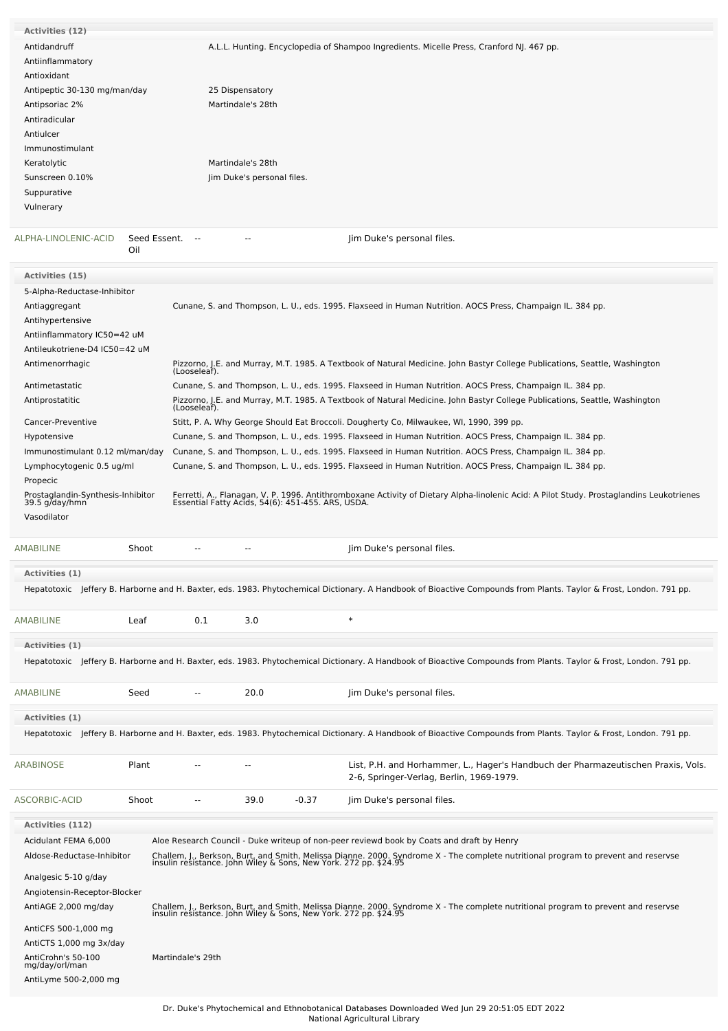| Activities (12)                                     |                        |                            |         |                                                                                                                                                                                                        |
|-----------------------------------------------------|------------------------|----------------------------|---------|--------------------------------------------------------------------------------------------------------------------------------------------------------------------------------------------------------|
| Antidandruff                                        |                        |                            |         | A.L.L. Hunting. Encyclopedia of Shampoo Ingredients. Micelle Press, Cranford NJ. 467 pp.                                                                                                               |
| Antiinflammatory                                    |                        |                            |         |                                                                                                                                                                                                        |
| Antioxidant                                         |                        |                            |         |                                                                                                                                                                                                        |
| Antipeptic 30-130 mg/man/day                        |                        | 25 Dispensatory            |         |                                                                                                                                                                                                        |
| Antipsoriac 2%                                      |                        | Martindale's 28th          |         |                                                                                                                                                                                                        |
| Antiradicular                                       |                        |                            |         |                                                                                                                                                                                                        |
| Antiulcer                                           |                        |                            |         |                                                                                                                                                                                                        |
| Immunostimulant                                     |                        |                            |         |                                                                                                                                                                                                        |
| Keratolytic                                         |                        | Martindale's 28th          |         |                                                                                                                                                                                                        |
| Sunscreen 0.10%                                     |                        | Jim Duke's personal files. |         |                                                                                                                                                                                                        |
| Suppurative                                         |                        |                            |         |                                                                                                                                                                                                        |
| Vulnerary                                           |                        |                            |         |                                                                                                                                                                                                        |
|                                                     |                        |                            |         |                                                                                                                                                                                                        |
| ALPHA-LINOLENIC-ACID<br>Oil                         | Seed Essent.<br>$\sim$ |                            |         | Jim Duke's personal files.                                                                                                                                                                             |
| Activities (15)                                     |                        |                            |         |                                                                                                                                                                                                        |
| 5-Alpha-Reductase-Inhibitor                         |                        |                            |         |                                                                                                                                                                                                        |
| Antiaggregant                                       |                        |                            |         | Cunane, S. and Thompson, L. U., eds. 1995. Flaxseed in Human Nutrition. AOCS Press, Champaign IL. 384 pp.                                                                                              |
| Antihypertensive                                    |                        |                            |         |                                                                                                                                                                                                        |
| Antiinflammatory IC50=42 uM                         |                        |                            |         |                                                                                                                                                                                                        |
| Antileukotriene-D4 IC50=42 uM                       |                        |                            |         |                                                                                                                                                                                                        |
| Antimenorrhagic                                     |                        |                            |         |                                                                                                                                                                                                        |
|                                                     |                        |                            |         | Pizzorno, J.E. and Murray, M.T. 1985. A Textbook of Natural Medicine. John Bastyr College Publications, Seattle, Washington<br>(Looseleaf).                                                            |
| Antimetastatic                                      |                        |                            |         | Cunane, S. and Thompson, L. U., eds. 1995. Flaxseed in Human Nutrition. AOCS Press, Champaign IL. 384 pp.                                                                                              |
| Antiprostatitic                                     | (Looseleaf).           |                            |         | Pizzorno, J.E. and Murray, M.T. 1985. A Textbook of Natural Medicine. John Bastyr College Publications, Seattle, Washington                                                                            |
| Cancer-Preventive                                   |                        |                            |         | Stitt, P. A. Why George Should Eat Broccoli. Dougherty Co, Milwaukee, WI, 1990, 399 pp.                                                                                                                |
| Hypotensive                                         |                        |                            |         | Cunane, S. and Thompson, L. U., eds. 1995. Flaxseed in Human Nutrition. AOCS Press, Champaign IL. 384 pp.                                                                                              |
| Immunostimulant 0.12 ml/man/day                     |                        |                            |         | Cunane, S. and Thompson, L. U., eds. 1995. Flaxseed in Human Nutrition. AOCS Press, Champaign IL. 384 pp.                                                                                              |
|                                                     |                        |                            |         |                                                                                                                                                                                                        |
| Lymphocytogenic 0.5 ug/ml<br>Propecic               |                        |                            |         | Cunane, S. and Thompson, L. U., eds. 1995. Flaxseed in Human Nutrition. AOCS Press, Champaign IL. 384 pp.                                                                                              |
|                                                     |                        |                            |         |                                                                                                                                                                                                        |
| Prostaglandin-Synthesis-Inhibitor<br>39.5 g/day/hmn |                        |                            |         | Ferretti, A., Flanagan, V. P. 1996. Antithromboxane Activity of Dietary Alpha-linolenic Acid: A Pilot Study. Prostaglandins Leukotrienes<br>Essential Fatty Acids, 54(6): 451-455. ARS, USDA.          |
| Vasodilator                                         |                        |                            |         |                                                                                                                                                                                                        |
|                                                     |                        |                            |         |                                                                                                                                                                                                        |
| <b>AMABILINE</b><br>Shoot                           |                        | ۵.                         |         | Jim Duke's personal files.                                                                                                                                                                             |
|                                                     |                        |                            |         |                                                                                                                                                                                                        |
| Activities (1)                                      |                        |                            |         |                                                                                                                                                                                                        |
|                                                     |                        |                            |         | Hepatotoxic Jeffery B. Harborne and H. Baxter, eds. 1983. Phytochemical Dictionary. A Handbook of Bioactive Compounds from Plants. Taylor & Frost, London. 791 pp.                                     |
|                                                     |                        |                            |         |                                                                                                                                                                                                        |
| <b>AMABILINE</b><br>Leaf                            | 0.1                    | 3.0                        |         | $\ast$                                                                                                                                                                                                 |
| Activities (1)                                      |                        |                            |         |                                                                                                                                                                                                        |
|                                                     |                        |                            |         | Hepatotoxic Jeffery B. Harborne and H. Baxter, eds. 1983. Phytochemical Dictionary. A Handbook of Bioactive Compounds from Plants. Taylor & Frost, London. 791 pp.                                     |
|                                                     |                        |                            |         |                                                                                                                                                                                                        |
|                                                     |                        |                            |         |                                                                                                                                                                                                        |
| <b>AMABILINE</b><br>Seed                            |                        | 20.0                       |         | Jim Duke's personal files.                                                                                                                                                                             |
| Activities (1)                                      |                        |                            |         |                                                                                                                                                                                                        |
|                                                     |                        |                            |         | Hepatotoxic Jeffery B. Harborne and H. Baxter, eds. 1983. Phytochemical Dictionary. A Handbook of Bioactive Compounds from Plants. Taylor & Frost, London. 791 pp.                                     |
|                                                     |                        |                            |         |                                                                                                                                                                                                        |
| Plant<br>ARABINOSE                                  |                        | --                         |         | List, P.H. and Horhammer, L., Hager's Handbuch der Pharmazeutischen Praxis, Vols.<br>2-6, Springer-Verlag, Berlin, 1969-1979.                                                                          |
| ASCORBIC-ACID<br>Shoot                              | $\sim$ $\sim$          | 39.0                       | $-0.37$ | Jim Duke's personal files.                                                                                                                                                                             |
| <b>Activities (112)</b>                             |                        |                            |         |                                                                                                                                                                                                        |
| Acidulant FEMA 6,000                                |                        |                            |         | Aloe Research Council - Duke writeup of non-peer reviewd book by Coats and draft by Henry                                                                                                              |
| Aldose-Reductase-Inhibitor                          |                        |                            |         |                                                                                                                                                                                                        |
|                                                     |                        |                            |         | Challem, J., Berkson, Burt, and Smith, Melissa Dianne. 2000. Syndrome X - The complete nutritional program to prevent and reservse<br>insulin resistance. John Wiley & Sons, New York. 272 pp. \$24.95 |
| Analgesic 5-10 g/day                                |                        |                            |         |                                                                                                                                                                                                        |
| Angiotensin-Receptor-Blocker                        |                        |                            |         |                                                                                                                                                                                                        |
| AntiAGE 2,000 mg/day                                |                        |                            |         | Challem, J., Berkson, Burt, and Smith, Melissa Dianne. 2000. Syndrome X - The complete nutritional program to prevent and reservse<br>insulin resistance. John Wiley & Sons, New York. 272 pp. \$24.95 |
|                                                     |                        |                            |         |                                                                                                                                                                                                        |
| AntiCFS 500-1,000 mg                                |                        |                            |         |                                                                                                                                                                                                        |
| AntiCTS 1,000 mg 3x/day                             |                        |                            |         |                                                                                                                                                                                                        |
| AntiCrohn's 50-100<br>mg/day/orl/man                | Martindale's 29th      |                            |         |                                                                                                                                                                                                        |
| AntiLyme 500-2,000 mg                               |                        |                            |         |                                                                                                                                                                                                        |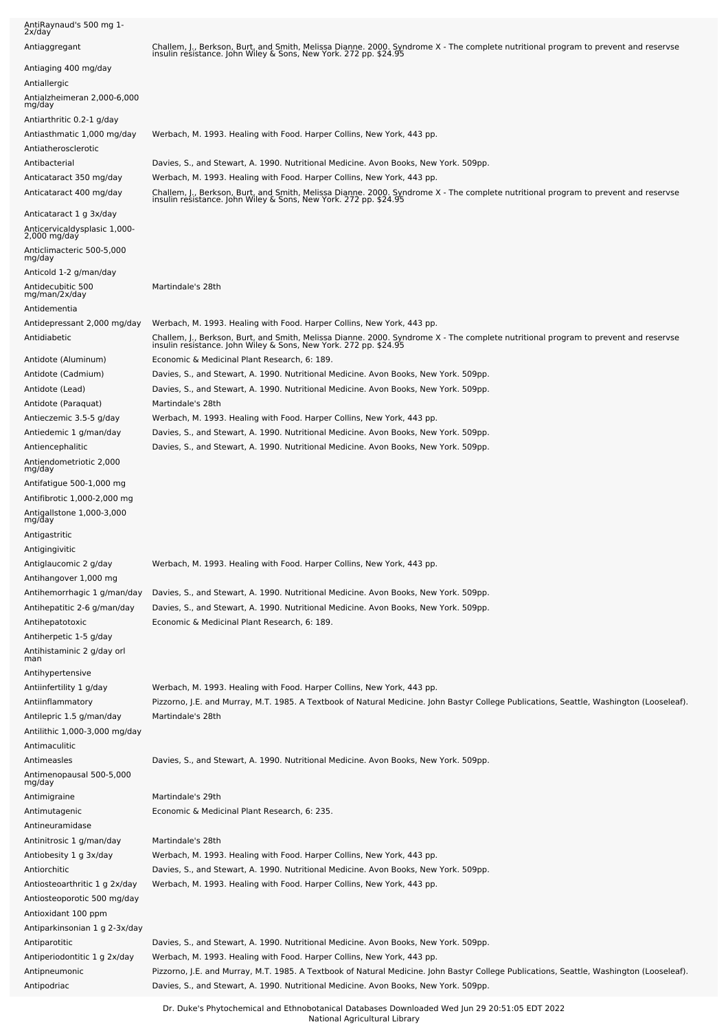| AntiRaynaud's 500 mg 1-<br>2x/day                                                                          |                                                                                                                                                                                                                                                                                  |
|------------------------------------------------------------------------------------------------------------|----------------------------------------------------------------------------------------------------------------------------------------------------------------------------------------------------------------------------------------------------------------------------------|
| Antiaggregant                                                                                              | Challem, J., Berkson, Burt, and Smith, Melissa Dianne. 2000. Syndrome X - The complete nutritional program to prevent and reservse<br>insulin resistance. John Wiley & Sons, New York. 272 pp. \$24.95                                                                           |
| Antiaging 400 mg/day<br>Antiallergic<br>Antialzheimeran 2,000-6,000<br>mg/day<br>Antiarthritic 0.2-1 g/day |                                                                                                                                                                                                                                                                                  |
| Antiasthmatic 1,000 mg/day<br>Antiatherosclerotic                                                          | Werbach, M. 1993. Healing with Food. Harper Collins, New York, 443 pp.                                                                                                                                                                                                           |
| Antibacterial                                                                                              | Davies, S., and Stewart, A. 1990. Nutritional Medicine. Avon Books, New York. 509pp.                                                                                                                                                                                             |
| Anticataract 350 mg/day<br>Anticataract 400 mg/day                                                         | Werbach, M. 1993. Healing with Food. Harper Collins, New York, 443 pp.<br>Challem, J., Berkson, Burt, and Smith, Melissa Dianne. 2000. Syndrome X - The complete nutritional program to prevent and reservse<br>insulin resistance. John Wiley & Sons, New York. 272 pp. \$24.95 |
| Anticataract 1 g 3x/day                                                                                    |                                                                                                                                                                                                                                                                                  |
| Anticervicaldysplasic 1,000-<br>2,000 mg/day<br>Anticlimacteric 500-5,000                                  |                                                                                                                                                                                                                                                                                  |
| mg/day                                                                                                     |                                                                                                                                                                                                                                                                                  |
| Anticold 1-2 g/man/day<br>Antidecubitic 500<br>mg/man/2x/day                                               | Martindale's 28th                                                                                                                                                                                                                                                                |
| Antidementia                                                                                               |                                                                                                                                                                                                                                                                                  |
| Antidepressant 2,000 mg/day<br>Antidiabetic                                                                | Werbach, M. 1993. Healing with Food. Harper Collins, New York, 443 pp.<br>Challem, J., Berkson, Burt, and Smith, Melissa Dianne. 2000. Syndrome X - The complete nutritional program to prevent and reservse<br>insulin resistance. John Wiley & Sons, New York. 272 pp. \$24.95 |
| Antidote (Aluminum)                                                                                        | Economic & Medicinal Plant Research, 6: 189.                                                                                                                                                                                                                                     |
| Antidote (Cadmium)                                                                                         | Davies, S., and Stewart, A. 1990. Nutritional Medicine. Avon Books, New York. 509pp.                                                                                                                                                                                             |
| Antidote (Lead)<br>Antidote (Paraquat)                                                                     | Davies, S., and Stewart, A. 1990. Nutritional Medicine. Avon Books, New York. 509pp.<br>Martindale's 28th                                                                                                                                                                        |
| Antieczemic 3.5-5 g/day                                                                                    | Werbach, M. 1993. Healing with Food. Harper Collins, New York, 443 pp.                                                                                                                                                                                                           |
| Antiedemic 1 g/man/day                                                                                     | Davies, S., and Stewart, A. 1990. Nutritional Medicine. Avon Books, New York. 509pp.                                                                                                                                                                                             |
| Antiencephalitic                                                                                           | Davies, S., and Stewart, A. 1990. Nutritional Medicine. Avon Books, New York. 509pp.                                                                                                                                                                                             |
| Antiendometriotic 2,000<br>mg/day                                                                          |                                                                                                                                                                                                                                                                                  |
| Antifatigue 500-1,000 mg                                                                                   |                                                                                                                                                                                                                                                                                  |
| Antifibrotic 1,000-2,000 mg<br>Antigallstone 1,000-3,000<br>mg/day                                         |                                                                                                                                                                                                                                                                                  |
| Antigastritic                                                                                              |                                                                                                                                                                                                                                                                                  |
| Antigingivitic                                                                                             |                                                                                                                                                                                                                                                                                  |
| Antiglaucomic 2 g/day<br>Antihangover 1,000 mg                                                             | Werbach, M. 1993. Healing with Food. Harper Collins, New York, 443 pp.                                                                                                                                                                                                           |
| Antihemorrhagic 1 g/man/day                                                                                | Davies, S., and Stewart, A. 1990. Nutritional Medicine. Avon Books, New York. 509pp.                                                                                                                                                                                             |
| Antihepatitic 2-6 g/man/day                                                                                | Davies, S., and Stewart, A. 1990. Nutritional Medicine. Avon Books, New York. 509pp.                                                                                                                                                                                             |
| Antihepatotoxic                                                                                            | Economic & Medicinal Plant Research, 6: 189.                                                                                                                                                                                                                                     |
| Antiherpetic 1-5 g/day                                                                                     |                                                                                                                                                                                                                                                                                  |
| Antihistaminic 2 g/day orl<br>man                                                                          |                                                                                                                                                                                                                                                                                  |
| Antihypertensive                                                                                           |                                                                                                                                                                                                                                                                                  |
| Antiinfertility 1 g/day<br>Antiinflammatory                                                                | Werbach, M. 1993. Healing with Food. Harper Collins, New York, 443 pp.<br>Pizzorno, J.E. and Murray, M.T. 1985. A Textbook of Natural Medicine. John Bastyr College Publications, Seattle, Washington (Looseleaf).                                                               |
| Antilepric 1.5 g/man/day<br>Antilithic 1,000-3,000 mg/day                                                  | Martindale's 28th                                                                                                                                                                                                                                                                |
| Antimaculitic                                                                                              |                                                                                                                                                                                                                                                                                  |
| Antimeasles                                                                                                | Davies, S., and Stewart, A. 1990. Nutritional Medicine. Avon Books, New York. 509pp.                                                                                                                                                                                             |
| Antimenopausal 500-5,000<br>mg/day                                                                         |                                                                                                                                                                                                                                                                                  |
| Antimigraine                                                                                               | Martindale's 29th                                                                                                                                                                                                                                                                |
| Antimutagenic                                                                                              | Economic & Medicinal Plant Research, 6: 235.                                                                                                                                                                                                                                     |
| Antineuramidase<br>Antinitrosic 1 g/man/day                                                                | Martindale's 28th                                                                                                                                                                                                                                                                |
| Antiobesity 1 g 3x/day                                                                                     | Werbach, M. 1993. Healing with Food. Harper Collins, New York, 443 pp.                                                                                                                                                                                                           |
| Antiorchitic                                                                                               | Davies, S., and Stewart, A. 1990. Nutritional Medicine. Avon Books, New York. 509pp.                                                                                                                                                                                             |
| Antiosteoarthritic 1 g 2x/day<br>Antiosteoporotic 500 mg/day                                               | Werbach, M. 1993. Healing with Food. Harper Collins, New York, 443 pp.                                                                                                                                                                                                           |
| Antioxidant 100 ppm                                                                                        |                                                                                                                                                                                                                                                                                  |
| Antiparkinsonian 1 g 2-3x/day<br>Antiparotitic                                                             | Davies, S., and Stewart, A. 1990. Nutritional Medicine. Avon Books, New York. 509pp.                                                                                                                                                                                             |
| Antiperiodontitic 1 g 2x/day                                                                               | Werbach, M. 1993. Healing with Food. Harper Collins, New York, 443 pp.                                                                                                                                                                                                           |
| Antipneumonic                                                                                              | Pizzorno, J.E. and Murray, M.T. 1985. A Textbook of Natural Medicine. John Bastyr College Publications, Seattle, Washington (Looseleaf).                                                                                                                                         |
| Antipodriac                                                                                                | Davies, S., and Stewart, A. 1990. Nutritional Medicine. Avon Books, New York. 509pp.                                                                                                                                                                                             |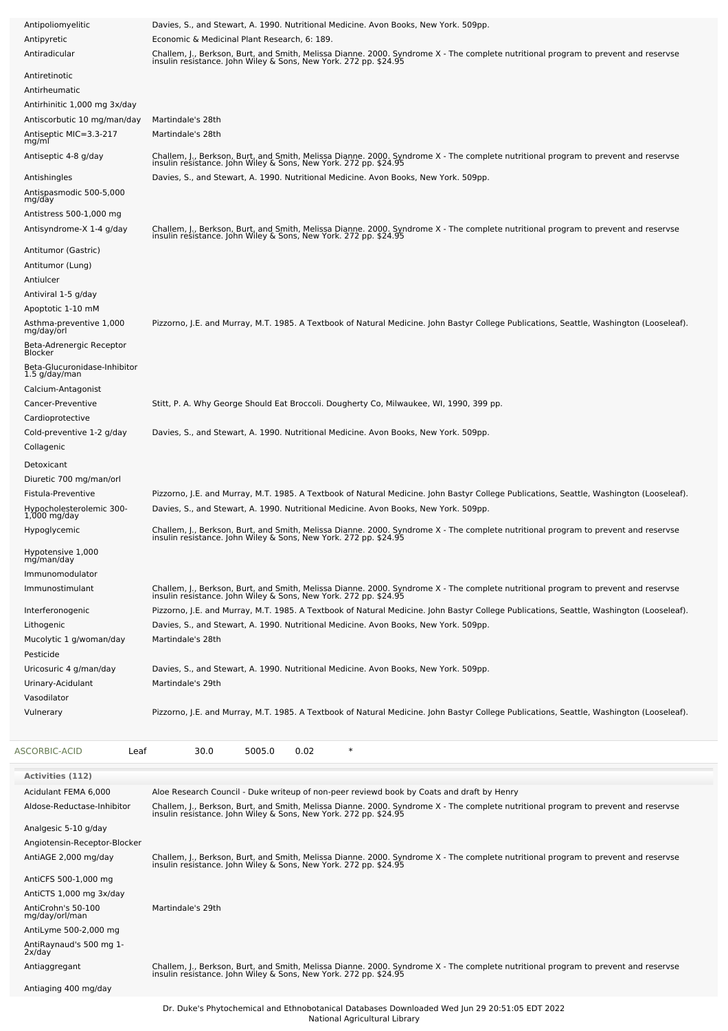| Antipoliomyelitic                             | Davies, S., and Stewart, A. 1990. Nutritional Medicine. Avon Books, New York. 509pp.                                                                                                                   |
|-----------------------------------------------|--------------------------------------------------------------------------------------------------------------------------------------------------------------------------------------------------------|
| Antipyretic                                   | Economic & Medicinal Plant Research, 6: 189.                                                                                                                                                           |
| Antiradicular                                 | Challem, J., Berkson, Burt, and Smith, Melissa Dianne. 2000. Syndrome X - The complete nutritional program to prevent and reservse<br>insulin resistance. John Wiley & Sons, New York. 272 pp. \$24.95 |
| Antiretinotic                                 |                                                                                                                                                                                                        |
| Antirheumatic                                 |                                                                                                                                                                                                        |
| Antirhinitic 1,000 mg 3x/day                  |                                                                                                                                                                                                        |
| Antiscorbutic 10 mg/man/day                   | Martindale's 28th                                                                                                                                                                                      |
| Antiseptic MIC=3.3-217<br>mg/ml               | Martindale's 28th                                                                                                                                                                                      |
| Antiseptic 4-8 g/day                          | Challem, J., Berkson, Burt, and Smith, Melissa Dianne. 2000. Syndrome X - The complete nutritional program to prevent and reservse<br>insulin resistance. John Wiley & Sons, New York. 272 pp. \$24.95 |
| Antishingles                                  | Davies, S., and Stewart, A. 1990. Nutritional Medicine. Avon Books, New York. 509pp.                                                                                                                   |
| Antispasmodic 500-5,000<br>mg/day             |                                                                                                                                                                                                        |
| Antistress 500-1,000 mg                       |                                                                                                                                                                                                        |
| Antisyndrome-X 1-4 g/day                      | Challem, J., Berkson, Burt, and Smith, Melissa Dianne. 2000. Syndrome X - The complete nutritional program to prevent and reservse<br>insulin resistance. John Wiley & Sons, New York. 272 pp. \$24.95 |
| Antitumor (Gastric)                           |                                                                                                                                                                                                        |
| Antitumor (Lung)                              |                                                                                                                                                                                                        |
| Antiulcer                                     |                                                                                                                                                                                                        |
| Antiviral 1-5 g/day                           |                                                                                                                                                                                                        |
| Apoptotic 1-10 mM                             | Pizzorno, J.E. and Murray, M.T. 1985. A Textbook of Natural Medicine. John Bastyr College Publications, Seattle, Washington (Looseleaf).                                                               |
| Asthma-preventive 1,000<br>mg/day/orl         |                                                                                                                                                                                                        |
| Beta-Adrenergic Receptor<br>Blocker           |                                                                                                                                                                                                        |
| Beta-Glucuronidase-Inhibitor                  |                                                                                                                                                                                                        |
| 1.5 g/day/man                                 |                                                                                                                                                                                                        |
| Calcium-Antagonist                            |                                                                                                                                                                                                        |
| Cancer-Preventive                             | Stitt, P. A. Why George Should Eat Broccoli. Dougherty Co, Milwaukee, WI, 1990, 399 pp.                                                                                                                |
| Cardioprotective                              |                                                                                                                                                                                                        |
| Cold-preventive 1-2 g/day                     | Davies, S., and Stewart, A. 1990. Nutritional Medicine. Avon Books, New York. 509pp.                                                                                                                   |
| Collagenic                                    |                                                                                                                                                                                                        |
| Detoxicant                                    |                                                                                                                                                                                                        |
| Diuretic 700 mg/man/orl<br>Fistula-Preventive | Pizzorno, J.E. and Murray, M.T. 1985. A Textbook of Natural Medicine. John Bastyr College Publications, Seattle, Washington (Looseleaf).                                                               |
| Hypocholesterolemic 300-                      | Davies, S., and Stewart, A. 1990. Nutritional Medicine. Avon Books, New York. 509pp.                                                                                                                   |
| $1,000$ mg/day                                |                                                                                                                                                                                                        |
| Hypoglycemic                                  | Challem, J., Berkson, Burt, and Smith, Melissa Dianne. 2000. Syndrome X - The complete nutritional program to prevent and reservse<br>insulin resistance. John Wiley & Sons, New York. 272 pp. \$24.95 |
| Hypotensive 1,000                             |                                                                                                                                                                                                        |
| mg/man/day                                    |                                                                                                                                                                                                        |
| Immunomodulator<br>Immunostimulant            |                                                                                                                                                                                                        |
|                                               | Challem, J., Berkson, Burt, and Smith, Melissa Dianne. 2000. Syndrome X - The complete nutritional program to prevent and reservse<br>insulin resistance. John Wiley & Sons, New York. 272 pp. \$24.95 |
| Interferonogenic                              | Pizzorno, J.E. and Murray, M.T. 1985. A Textbook of Natural Medicine. John Bastyr College Publications, Seattle, Washington (Looseleaf).                                                               |
| Lithogenic                                    | Davies, S., and Stewart, A. 1990. Nutritional Medicine. Avon Books, New York. 509pp.                                                                                                                   |
| Mucolytic 1 g/woman/day                       | Martindale's 28th                                                                                                                                                                                      |
| Pesticide                                     |                                                                                                                                                                                                        |
| Uricosuric 4 g/man/day<br>Urinary-Acidulant   | Davies, S., and Stewart, A. 1990. Nutritional Medicine. Avon Books, New York. 509pp.<br>Martindale's 29th                                                                                              |
| Vasodilator                                   |                                                                                                                                                                                                        |
| Vulnerary                                     | Pizzorno, J.E. and Murray, M.T. 1985. A Textbook of Natural Medicine. John Bastyr College Publications, Seattle, Washington (Looseleaf).                                                               |
|                                               |                                                                                                                                                                                                        |
| ASCORBIC-ACID<br>Leaf                         | 0.02<br>$\ast$<br>30.0<br>5005.0                                                                                                                                                                       |
|                                               |                                                                                                                                                                                                        |
| <b>Activities (112)</b>                       |                                                                                                                                                                                                        |
| Acidulant FEMA 6,000                          | Aloe Research Council - Duke writeup of non-peer reviewd book by Coats and draft by Henry                                                                                                              |
| Aldose-Reductase-Inhibitor                    | Challem, J., Berkson, Burt, and Smith, Melissa Dianne. 2000. Syndrome X - The complete nutritional program to prevent and reservse<br>insulin resistance. John Wiley & Sons, New York. 272 pp. \$24.95 |
| Analgesic 5-10 g/day                          |                                                                                                                                                                                                        |
| Angiotensin-Receptor-Blocker                  |                                                                                                                                                                                                        |
| AntiAGE 2,000 mg/day                          | Challem, J., Berkson, Burt, and Smith, Melissa Dianne. 2000. Syndrome X - The complete nutritional program to prevent and reservse<br>insulin resistance. John Wiley & Sons, New York. 272 pp. \$24.95 |
| AntiCFS 500-1,000 mg                          |                                                                                                                                                                                                        |
| AntiCTS 1,000 mg 3x/day                       |                                                                                                                                                                                                        |
| AntiCrohn's 50-100                            | Martindale's 29th                                                                                                                                                                                      |
| mg/day/orl/man<br>AntiLyme 500-2,000 mg       |                                                                                                                                                                                                        |
| AntiRaynaud's 500 mg 1-                       |                                                                                                                                                                                                        |
| 2x/day                                        |                                                                                                                                                                                                        |
| Antiaggregant                                 | Challem, J., Berkson, Burt, and Smith, Melissa Dianne. 2000. Syndrome X - The complete nutritional program to prevent and reservse<br>insulin resistance. John Wiley & Sons, New York. 272 pp. \$24.95 |
| Antiaging 400 mg/day                          |                                                                                                                                                                                                        |
|                                               |                                                                                                                                                                                                        |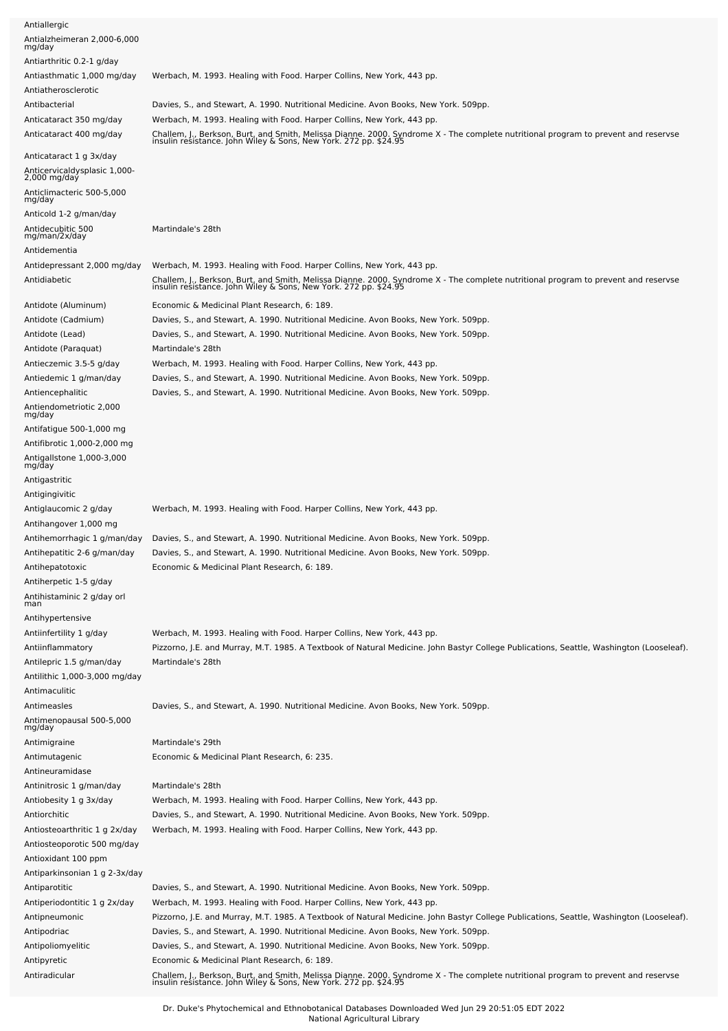| Antiallergic                                              |                                                                                                                                                                                                        |
|-----------------------------------------------------------|--------------------------------------------------------------------------------------------------------------------------------------------------------------------------------------------------------|
| Antialzheimeran 2,000-6,000<br>mg/day                     |                                                                                                                                                                                                        |
| Antiarthritic 0.2-1 g/day                                 |                                                                                                                                                                                                        |
| Antiasthmatic 1,000 mg/day                                | Werbach, M. 1993. Healing with Food. Harper Collins, New York, 443 pp.                                                                                                                                 |
| Antiatherosclerotic                                       |                                                                                                                                                                                                        |
| Antibacterial                                             | Davies, S., and Stewart, A. 1990. Nutritional Medicine. Avon Books, New York. 509pp.                                                                                                                   |
| Anticataract 350 mg/day                                   | Werbach, M. 1993. Healing with Food. Harper Collins, New York, 443 pp.                                                                                                                                 |
| Anticataract 400 mg/day                                   | Challem, J., Berkson, Burt, and Smith, Melissa Dianne. 2000. Syndrome X - The complete nutritional program to prevent and reservse<br>insulin resistance. John Wiley & Sons, New York. 272 pp. \$24.95 |
| Anticataract 1 g 3x/day                                   |                                                                                                                                                                                                        |
| Anticervicaldysplasic 1,000-<br>$2,000$ mg/day            |                                                                                                                                                                                                        |
| Anticlimacteric 500-5,000<br>mg/day                       |                                                                                                                                                                                                        |
| Anticold 1-2 g/man/day                                    |                                                                                                                                                                                                        |
| Antidecubitic 500<br>mg/man/2x/day<br>Antidementia        | Martindale's 28th                                                                                                                                                                                      |
| Antidepressant 2,000 mg/day                               | Werbach, M. 1993. Healing with Food. Harper Collins, New York, 443 pp.                                                                                                                                 |
| Antidiabetic                                              | Challem, J., Berkson, Burt, and Smith, Melissa Dianne. 2000. Syndrome X - The complete nutritional program to prevent and reservse<br>insulin resistance. John Wiley & Sons, New York. 272 pp. \$24.95 |
|                                                           |                                                                                                                                                                                                        |
| Antidote (Aluminum)                                       | Economic & Medicinal Plant Research, 6: 189.                                                                                                                                                           |
| Antidote (Cadmium)                                        | Davies, S., and Stewart, A. 1990. Nutritional Medicine. Avon Books, New York. 509pp.                                                                                                                   |
| Antidote (Lead)<br>Antidote (Paraquat)                    | Davies, S., and Stewart, A. 1990. Nutritional Medicine. Avon Books, New York. 509pp.<br>Martindale's 28th                                                                                              |
| Antieczemic 3.5-5 g/day                                   | Werbach, M. 1993. Healing with Food. Harper Collins, New York, 443 pp.                                                                                                                                 |
| Antiedemic 1 g/man/day                                    | Davies, S., and Stewart, A. 1990. Nutritional Medicine. Avon Books, New York. 509pp.                                                                                                                   |
| Antiencephalitic                                          | Davies, S., and Stewart, A. 1990. Nutritional Medicine. Avon Books, New York. 509pp.                                                                                                                   |
| Antiendometriotic 2,000<br>mg/day                         |                                                                                                                                                                                                        |
| Antifatigue 500-1,000 mg                                  |                                                                                                                                                                                                        |
| Antifibrotic 1,000-2,000 mg                               |                                                                                                                                                                                                        |
| Antigallstone 1,000-3,000<br>mg/day                       |                                                                                                                                                                                                        |
| Antigastritic                                             |                                                                                                                                                                                                        |
| Antigingivitic                                            |                                                                                                                                                                                                        |
| Antiglaucomic 2 g/day                                     | Werbach, M. 1993. Healing with Food. Harper Collins, New York, 443 pp.                                                                                                                                 |
| Antihangover 1,000 mg                                     |                                                                                                                                                                                                        |
| Antihemorrhagic 1 g/man/day                               | Davies, S., and Stewart, A. 1990. Nutritional Medicine. Avon Books, New York. 509pp.                                                                                                                   |
| Antihepatitic 2-6 g/man/day<br>Antihepatotoxic            | Davies, S., and Stewart, A. 1990. Nutritional Medicine. Avon Books, New York. 509pp.<br>Economic & Medicinal Plant Research, 6: 189.                                                                   |
| Antiherpetic 1-5 g/day                                    |                                                                                                                                                                                                        |
| Antihistaminic 2 g/day orl                                |                                                                                                                                                                                                        |
| man                                                       |                                                                                                                                                                                                        |
| Antihypertensive                                          |                                                                                                                                                                                                        |
| Antiinfertility 1 g/day                                   | Werbach, M. 1993. Healing with Food. Harper Collins, New York, 443 pp.                                                                                                                                 |
| Antiinflammatory                                          | Pizzorno, J.E. and Murray, M.T. 1985. A Textbook of Natural Medicine. John Bastyr College Publications, Seattle, Washington (Looseleaf).<br>Martindale's 28th                                          |
| Antilepric 1.5 g/man/day<br>Antilithic 1,000-3,000 mg/day |                                                                                                                                                                                                        |
| Antimaculitic                                             |                                                                                                                                                                                                        |
| Antimeasles                                               | Davies, S., and Stewart, A. 1990. Nutritional Medicine. Avon Books, New York. 509pp.                                                                                                                   |
| Antimenopausal 500-5,000<br>mg/day                        |                                                                                                                                                                                                        |
| Antimigraine                                              | Martindale's 29th                                                                                                                                                                                      |
| Antimutagenic                                             | Economic & Medicinal Plant Research, 6: 235.                                                                                                                                                           |
| Antineuramidase                                           |                                                                                                                                                                                                        |
| Antinitrosic 1 g/man/day                                  | Martindale's 28th                                                                                                                                                                                      |
| Antiobesity 1 g 3x/day                                    | Werbach, M. 1993. Healing with Food. Harper Collins, New York, 443 pp.                                                                                                                                 |
| Antiorchitic                                              | Davies, S., and Stewart, A. 1990. Nutritional Medicine. Avon Books, New York. 509pp.                                                                                                                   |
| Antiosteoarthritic 1 g 2x/day                             | Werbach, M. 1993. Healing with Food. Harper Collins, New York, 443 pp.                                                                                                                                 |
| Antiosteoporotic 500 mg/day                               |                                                                                                                                                                                                        |
| Antioxidant 100 ppm                                       |                                                                                                                                                                                                        |
| Antiparkinsonian 1 g 2-3x/day<br>Antiparotitic            | Davies, S., and Stewart, A. 1990. Nutritional Medicine. Avon Books, New York. 509pp.                                                                                                                   |
| Antiperiodontitic 1 g 2x/day                              | Werbach, M. 1993. Healing with Food. Harper Collins, New York, 443 pp.                                                                                                                                 |
| Antipneumonic                                             | Pizzorno, J.E. and Murray, M.T. 1985. A Textbook of Natural Medicine. John Bastyr College Publications, Seattle, Washington (Looseleaf).                                                               |
| Antipodriac                                               | Davies, S., and Stewart, A. 1990. Nutritional Medicine. Avon Books, New York. 509pp.                                                                                                                   |
| Antipoliomyelitic                                         | Davies, S., and Stewart, A. 1990. Nutritional Medicine. Avon Books, New York. 509pp.                                                                                                                   |
| Antipyretic                                               | Economic & Medicinal Plant Research, 6: 189.                                                                                                                                                           |
| Antiradicular                                             | Challem, J., Berkson, Burt, and Smith, Melissa Dianne. 2000. Syndrome X - The complete nutritional program to prevent and reservse<br>insulin resistance. John Wiley & Sons, New York. 272 pp. \$24.95 |
|                                                           |                                                                                                                                                                                                        |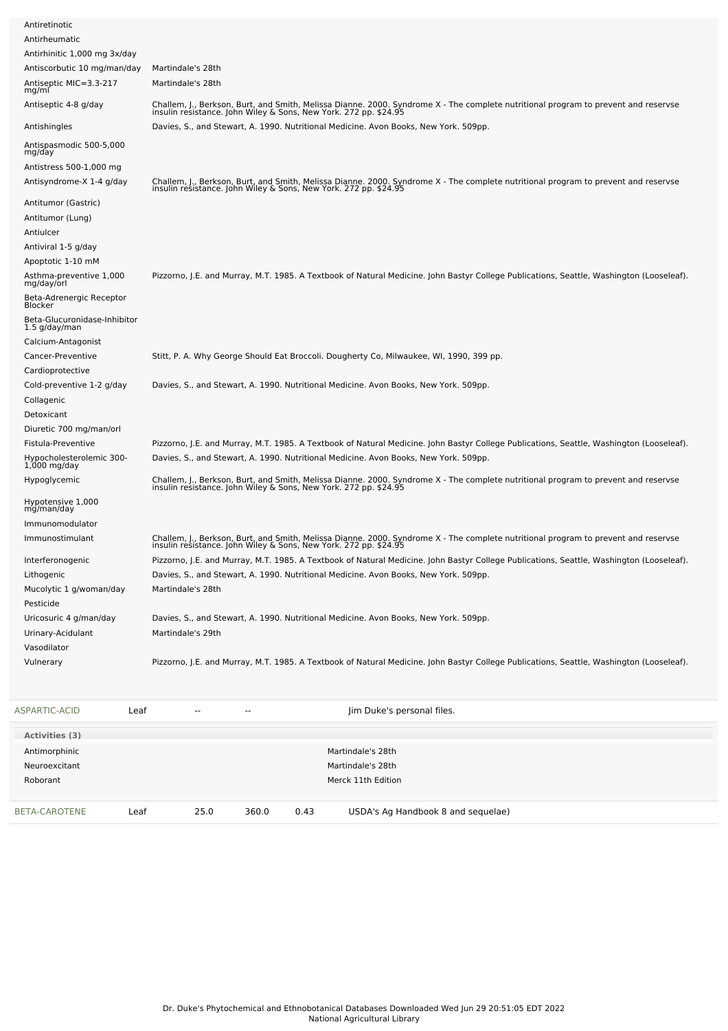| Antiretinotic                                 |                                                                                                                                                                                                        |
|-----------------------------------------------|--------------------------------------------------------------------------------------------------------------------------------------------------------------------------------------------------------|
| Antirheumatic                                 |                                                                                                                                                                                                        |
| Antirhinitic 1,000 mg 3x/day                  |                                                                                                                                                                                                        |
| Antiscorbutic 10 mg/man/day                   | Martindale's 28th                                                                                                                                                                                      |
| Antiseptic MIC=3.3-217<br>mg/ml               | Martindale's 28th                                                                                                                                                                                      |
| Antiseptic 4-8 g/day                          | Challem, J., Berkson, Burt, and Smith, Melissa Dianne. 2000. Syndrome X - The complete nutritional program to prevent and reservse<br>insulin resistance. John Wiley & Sons, New York. 272 pp. \$24.95 |
| Antishingles                                  | Davies, S., and Stewart, A. 1990. Nutritional Medicine. Avon Books, New York. 509pp.                                                                                                                   |
| Antispasmodic 500-5,000<br>mg/day             |                                                                                                                                                                                                        |
| Antistress 500-1,000 mg                       |                                                                                                                                                                                                        |
| Antisyndrome-X 1-4 g/day                      | Challem, J., Berkson, Burt, and Smith, Melissa Dianne. 2000. Syndrome X - The complete nutritional program to prevent and reservse<br>insulin resistance. John Wiley & Sons, New York. 272 pp. \$24.95 |
| Antitumor (Gastric)                           |                                                                                                                                                                                                        |
| Antitumor (Lung)                              |                                                                                                                                                                                                        |
| Antiulcer                                     |                                                                                                                                                                                                        |
| Antiviral 1-5 g/day                           |                                                                                                                                                                                                        |
| Apoptotic 1-10 mM                             |                                                                                                                                                                                                        |
| Asthma-preventive 1,000<br>mg/day/orl         | Pizzorno, J.E. and Murray, M.T. 1985. A Textbook of Natural Medicine. John Bastyr College Publications, Seattle, Washington (Looseleaf).                                                               |
| Beta-Adrenergic Receptor<br>Blocker           |                                                                                                                                                                                                        |
| Beta-Glucuronidase-Inhibitor<br>1.5 g/day/man |                                                                                                                                                                                                        |
| Calcium-Antagonist                            |                                                                                                                                                                                                        |
| Cancer-Preventive                             | Stitt, P. A. Why George Should Eat Broccoli. Dougherty Co, Milwaukee, WI, 1990, 399 pp.                                                                                                                |
| Cardioprotective                              |                                                                                                                                                                                                        |
| Cold-preventive 1-2 g/day                     | Davies, S., and Stewart, A. 1990. Nutritional Medicine. Avon Books, New York. 509pp.                                                                                                                   |
| Collagenic                                    |                                                                                                                                                                                                        |
| Detoxicant                                    |                                                                                                                                                                                                        |
| Diuretic 700 mg/man/orl                       |                                                                                                                                                                                                        |
| Fistula-Preventive                            | Pizzorno, J.E. and Murray, M.T. 1985. A Textbook of Natural Medicine. John Bastyr College Publications, Seattle, Washington (Looseleaf).                                                               |
| Hypocholesterolemic 300-<br>1,000 mg/day      | Davies, S., and Stewart, A. 1990. Nutritional Medicine. Avon Books, New York. 509pp.                                                                                                                   |
| Hypoglycemic                                  | Challem, J., Berkson, Burt, and Smith, Melissa Dianne. 2000. Syndrome X - The complete nutritional program to prevent and reservse<br>insulin resistance. John Wiley & Sons, New York. 272 pp. \$24.95 |
| Hypotensive 1,000<br>mg/man/day               |                                                                                                                                                                                                        |
| Immunomodulator                               |                                                                                                                                                                                                        |
| Immunostimulant                               | Challem, J., Berkson, Burt, and Smith, Melissa Dianne. 2000. Syndrome X - The complete nutritional program to prevent and reservse<br>insulin resistance. John Wiley & Sons, New York. 272 pp. \$24.95 |
| Interferonogenic                              | Pizzorno, J.E. and Murray, M.T. 1985. A Textbook of Natural Medicine. John Bastyr College Publications, Seattle, Washington (Looseleaf).                                                               |
| Lithogenic                                    | Davies, S., and Stewart, A. 1990. Nutritional Medicine. Avon Books, New York. 509pp.                                                                                                                   |
| Mucolytic 1 g/woman/day                       | Martindale's 28th                                                                                                                                                                                      |
| Pesticide                                     |                                                                                                                                                                                                        |
| Uricosuric 4 g/man/day                        | Davies, S., and Stewart, A. 1990. Nutritional Medicine. Avon Books, New York. 509pp.                                                                                                                   |
| Urinary-Acidulant                             | Martindale's 29th                                                                                                                                                                                      |
| Vasodilator                                   |                                                                                                                                                                                                        |
| Vulnerary                                     | Pizzorno, J.E. and Murray, M.T. 1985. A Textbook of Natural Medicine. John Bastyr College Publications, Seattle, Washington (Looseleaf).                                                               |
|                                               |                                                                                                                                                                                                        |

| ASPARTIC-ACID        | Leaf | $\sim$ $\sim$ | $\overline{\phantom{a}}$ |      | Jim Duke's personal files.         |
|----------------------|------|---------------|--------------------------|------|------------------------------------|
| Activities (3)       |      |               |                          |      |                                    |
| Antimorphinic        |      |               |                          |      | Martindale's 28th                  |
| Neuroexcitant        |      |               |                          |      | Martindale's 28th                  |
| Roborant             |      |               |                          |      | Merck 11th Edition                 |
|                      |      |               |                          |      |                                    |
| <b>BETA-CAROTENE</b> | Leaf | 25.0          | 360.0                    | 0.43 | USDA's Ag Handbook 8 and sequelae) |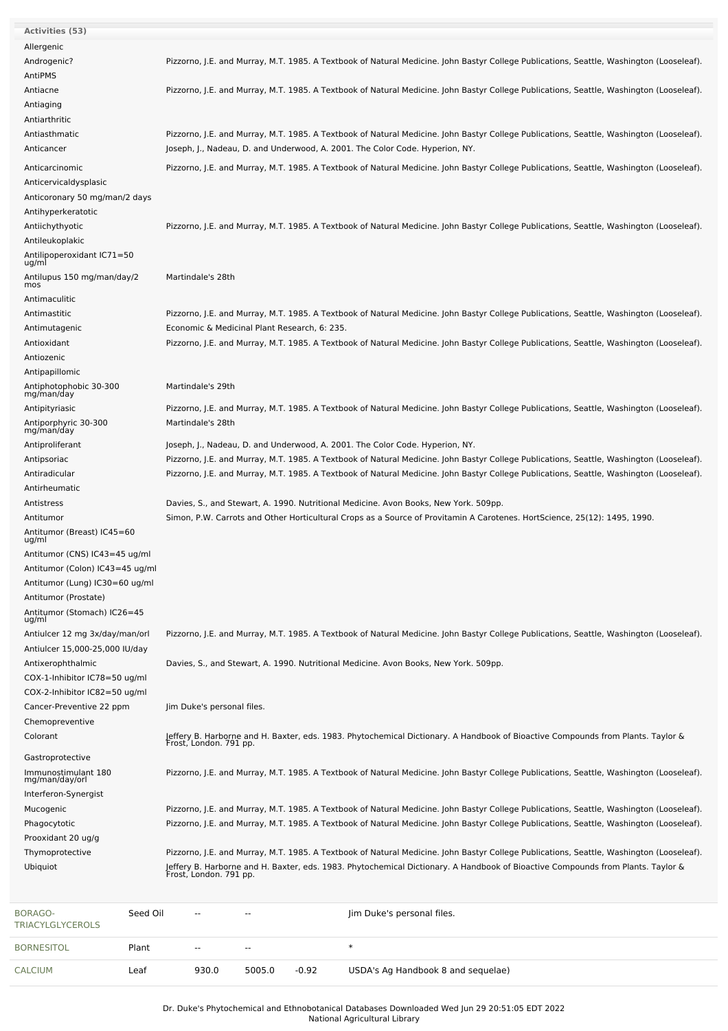| <b>Activities (53)</b>                                           |                                                                                                                                                                                                                                                                                      |
|------------------------------------------------------------------|--------------------------------------------------------------------------------------------------------------------------------------------------------------------------------------------------------------------------------------------------------------------------------------|
| Allergenic                                                       |                                                                                                                                                                                                                                                                                      |
| Androgenic?                                                      | Pizzorno, J.E. and Murray, M.T. 1985. A Textbook of Natural Medicine. John Bastyr College Publications, Seattle, Washington (Looseleaf).                                                                                                                                             |
| AntiPMS                                                          |                                                                                                                                                                                                                                                                                      |
| Antiacne                                                         | Pizzorno, J.E. and Murray, M.T. 1985. A Textbook of Natural Medicine. John Bastyr College Publications, Seattle, Washington (Looseleaf).                                                                                                                                             |
| Antiaging                                                        |                                                                                                                                                                                                                                                                                      |
| Antiarthritic                                                    |                                                                                                                                                                                                                                                                                      |
| Antiasthmatic                                                    | Pizzorno, J.E. and Murray, M.T. 1985. A Textbook of Natural Medicine. John Bastyr College Publications, Seattle, Washington (Looseleaf).                                                                                                                                             |
| Anticancer                                                       | Joseph, J., Nadeau, D. and Underwood, A. 2001. The Color Code. Hyperion, NY.                                                                                                                                                                                                         |
| Anticarcinomic                                                   | Pizzorno, J.E. and Murray, M.T. 1985. A Textbook of Natural Medicine. John Bastyr College Publications, Seattle, Washington (Looseleaf).                                                                                                                                             |
| Anticervicaldysplasic                                            |                                                                                                                                                                                                                                                                                      |
| Anticoronary 50 mg/man/2 days                                    |                                                                                                                                                                                                                                                                                      |
| Antihyperkeratotic                                               |                                                                                                                                                                                                                                                                                      |
| Antiichythyotic                                                  | Pizzorno, J.E. and Murray, M.T. 1985. A Textbook of Natural Medicine. John Bastyr College Publications, Seattle, Washington (Looseleaf).                                                                                                                                             |
| Antileukoplakic                                                  |                                                                                                                                                                                                                                                                                      |
| Antilipoperoxidant IC71=50<br>ug/ml                              |                                                                                                                                                                                                                                                                                      |
| Antilupus 150 mg/man/day/2<br>mos                                | Martindale's 28th                                                                                                                                                                                                                                                                    |
| Antimaculitic                                                    |                                                                                                                                                                                                                                                                                      |
| Antimastitic                                                     | Pizzorno, J.E. and Murray, M.T. 1985. A Textbook of Natural Medicine. John Bastyr College Publications, Seattle, Washington (Looseleaf).                                                                                                                                             |
| Antimutagenic                                                    | Economic & Medicinal Plant Research, 6: 235.                                                                                                                                                                                                                                         |
| Antioxidant                                                      | Pizzorno, J.E. and Murray, M.T. 1985. A Textbook of Natural Medicine. John Bastyr College Publications, Seattle, Washington (Looseleaf).                                                                                                                                             |
| Antiozenic                                                       |                                                                                                                                                                                                                                                                                      |
| Antipapillomic                                                   |                                                                                                                                                                                                                                                                                      |
| Antiphotophobic 30-300<br>mg/man/day                             | Martindale's 29th                                                                                                                                                                                                                                                                    |
| Antipityriasic                                                   | Pizzorno, J.E. and Murray, M.T. 1985. A Textbook of Natural Medicine. John Bastyr College Publications, Seattle, Washington (Looseleaf).                                                                                                                                             |
| Antiporphyric 30-300<br>mg/man/day                               | Martindale's 28th                                                                                                                                                                                                                                                                    |
| Antiproliferant                                                  | Joseph, J., Nadeau, D. and Underwood, A. 2001. The Color Code. Hyperion, NY.                                                                                                                                                                                                         |
| Antipsoriac                                                      | Pizzorno, J.E. and Murray, M.T. 1985. A Textbook of Natural Medicine. John Bastyr College Publications, Seattle, Washington (Looseleaf).                                                                                                                                             |
| Antiradicular                                                    | Pizzorno, J.E. and Murray, M.T. 1985. A Textbook of Natural Medicine. John Bastyr College Publications, Seattle, Washington (Looseleaf).                                                                                                                                             |
| Antirheumatic                                                    |                                                                                                                                                                                                                                                                                      |
| Antistress                                                       | Davies, S., and Stewart, A. 1990. Nutritional Medicine. Avon Books, New York. 509pp.                                                                                                                                                                                                 |
| Antitumor                                                        | Simon, P.W. Carrots and Other Horticultural Crops as a Source of Provitamin A Carotenes. HortScience, 25(12): 1495, 1990.                                                                                                                                                            |
| Antitumor (Breast) IC45=60<br>ug/ml                              |                                                                                                                                                                                                                                                                                      |
| Antitumor (CNS) IC43=45 ug/ml                                    |                                                                                                                                                                                                                                                                                      |
| Antitumor (Colon) IC43=45 ug/ml                                  |                                                                                                                                                                                                                                                                                      |
| Antitumor (Lung) IC30=60 ug/ml                                   |                                                                                                                                                                                                                                                                                      |
| Antitumor (Prostate)                                             |                                                                                                                                                                                                                                                                                      |
| Antitumor (Stomach) IC26=45<br>ug/ml                             |                                                                                                                                                                                                                                                                                      |
| Antiulcer 12 mg 3x/day/man/orl<br>Antiulcer 15,000-25,000 IU/day | Pizzorno, J.E. and Murray, M.T. 1985. A Textbook of Natural Medicine. John Bastyr College Publications, Seattle, Washington (Looseleaf).                                                                                                                                             |
| Antixerophthalmic                                                | Davies, S., and Stewart, A. 1990. Nutritional Medicine. Avon Books, New York. 509pp.                                                                                                                                                                                                 |
| COX-1-Inhibitor IC78=50 ug/ml                                    |                                                                                                                                                                                                                                                                                      |
| COX-2-Inhibitor IC82=50 ug/ml                                    |                                                                                                                                                                                                                                                                                      |
| Cancer-Preventive 22 ppm                                         | Jim Duke's personal files.                                                                                                                                                                                                                                                           |
| Chemopreventive                                                  |                                                                                                                                                                                                                                                                                      |
| Colorant                                                         | Jeffery B. Harborne and H. Baxter, eds. 1983. Phytochemical Dictionary. A Handbook of Bioactive Compounds from Plants. Taylor &<br>Frost, London. 791 pp.                                                                                                                            |
| Gastroprotective                                                 |                                                                                                                                                                                                                                                                                      |
| Immunostimulant 180<br>mg/man/day/orl                            | Pizzorno, J.E. and Murray, M.T. 1985. A Textbook of Natural Medicine. John Bastyr College Publications, Seattle, Washington (Looseleaf).                                                                                                                                             |
| Interferon-Synergist                                             |                                                                                                                                                                                                                                                                                      |
| Mucogenic                                                        | Pizzorno, J.E. and Murray, M.T. 1985. A Textbook of Natural Medicine. John Bastyr College Publications, Seattle, Washington (Looseleaf).<br>Pizzorno, J.E. and Murray, M.T. 1985. A Textbook of Natural Medicine. John Bastyr College Publications, Seattle, Washington (Looseleaf). |
| Phagocytotic<br>Prooxidant 20 ug/g                               |                                                                                                                                                                                                                                                                                      |
| Thymoprotective                                                  | Pizzorno, J.E. and Murray, M.T. 1985. A Textbook of Natural Medicine. John Bastyr College Publications, Seattle, Washington (Looseleaf).                                                                                                                                             |
| Ubiquiot                                                         |                                                                                                                                                                                                                                                                                      |
|                                                                  | Jeffery B. Harborne and H. Baxter, eds. 1983. Phytochemical Dictionary. A Handbook of Bioactive Compounds from Plants. Taylor &<br>Frost, London. 791 pp.                                                                                                                            |

| BORAGO-<br>TRIACYLGLYCEROLS | Seed Oil | $\overline{\phantom{a}}$ | $- -$  |         | Jim Duke's personal files.         |
|-----------------------------|----------|--------------------------|--------|---------|------------------------------------|
| <b>BORNESITOL</b>           | Plant    | $\overline{\phantom{a}}$ | $- -$  |         |                                    |
| <b>CALCIUM</b>              | Leaf     | 930.0                    | 5005.0 | $-0.92$ | USDA's Ag Handbook 8 and sequelae) |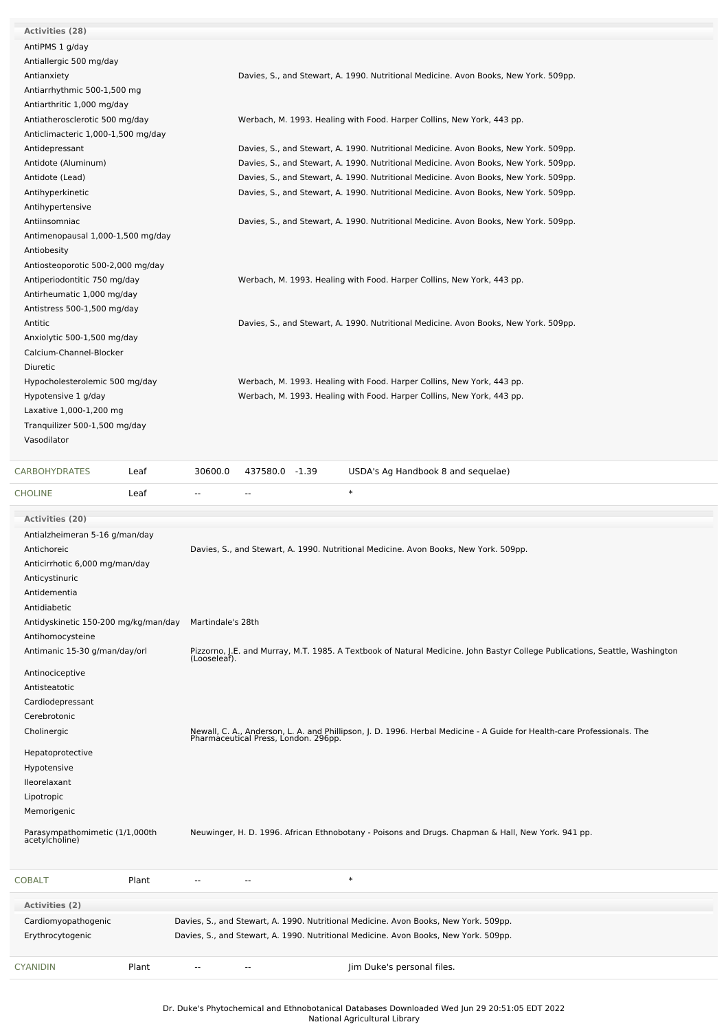| <b>Activities (28)</b>               |                                                                                                                                                                 |
|--------------------------------------|-----------------------------------------------------------------------------------------------------------------------------------------------------------------|
| AntiPMS 1 g/day                      |                                                                                                                                                                 |
| Antiallergic 500 mg/day              |                                                                                                                                                                 |
| Antianxiety                          | Davies, S., and Stewart, A. 1990. Nutritional Medicine. Avon Books, New York. 509pp.                                                                            |
| Antiarrhythmic 500-1,500 mg          |                                                                                                                                                                 |
| Antiarthritic 1,000 mg/day           |                                                                                                                                                                 |
| Antiatherosclerotic 500 mg/day       | Werbach, M. 1993. Healing with Food. Harper Collins, New York, 443 pp.                                                                                          |
| Anticlimacteric 1,000-1,500 mg/day   |                                                                                                                                                                 |
| Antidepressant                       | Davies, S., and Stewart, A. 1990. Nutritional Medicine. Avon Books, New York. 509pp.                                                                            |
| Antidote (Aluminum)                  | Davies, S., and Stewart, A. 1990. Nutritional Medicine. Avon Books, New York. 509pp.                                                                            |
| Antidote (Lead)                      | Davies, S., and Stewart, A. 1990. Nutritional Medicine. Avon Books, New York. 509pp.                                                                            |
| Antihyperkinetic                     | Davies, S., and Stewart, A. 1990. Nutritional Medicine. Avon Books, New York. 509pp.                                                                            |
| Antihypertensive                     |                                                                                                                                                                 |
| Antiinsomniac                        | Davies, S., and Stewart, A. 1990. Nutritional Medicine. Avon Books, New York. 509pp.                                                                            |
| Antimenopausal 1,000-1,500 mg/day    |                                                                                                                                                                 |
| Antiobesity                          |                                                                                                                                                                 |
| Antiosteoporotic 500-2,000 mg/day    |                                                                                                                                                                 |
| Antiperiodontitic 750 mg/day         | Werbach, M. 1993. Healing with Food. Harper Collins, New York, 443 pp.                                                                                          |
| Antirheumatic 1,000 mg/day           |                                                                                                                                                                 |
| Antistress 500-1,500 mg/day          |                                                                                                                                                                 |
| Antitic                              | Davies, S., and Stewart, A. 1990. Nutritional Medicine. Avon Books, New York. 509pp.                                                                            |
| Anxiolytic 500-1,500 mg/day          |                                                                                                                                                                 |
| Calcium-Channel-Blocker              |                                                                                                                                                                 |
| Diuretic                             |                                                                                                                                                                 |
| Hypocholesterolemic 500 mg/day       | Werbach, M. 1993. Healing with Food. Harper Collins, New York, 443 pp.                                                                                          |
| Hypotensive 1 g/day                  | Werbach, M. 1993. Healing with Food. Harper Collins, New York, 443 pp.                                                                                          |
| Laxative 1,000-1,200 mg              |                                                                                                                                                                 |
| Tranquilizer 500-1,500 mg/day        |                                                                                                                                                                 |
| Vasodilator                          |                                                                                                                                                                 |
|                                      |                                                                                                                                                                 |
| <b>CARBOHYDRATES</b><br>Leaf         | 30600.0<br>437580.0 -1.39<br>USDA's Ag Handbook 8 and sequelae)                                                                                                 |
| <b>CHOLINE</b><br>Leaf               | $\ast$<br>$\overline{a}$<br>$\sim$                                                                                                                              |
| <b>Activities (20)</b>               |                                                                                                                                                                 |
| Antialzheimeran 5-16 g/man/day       |                                                                                                                                                                 |
| Antichoreic                          | Davies, S., and Stewart, A. 1990. Nutritional Medicine. Avon Books, New York. 509pp.                                                                            |
| Anticirrhotic 6,000 mg/man/day       |                                                                                                                                                                 |
| Anticystinuric                       |                                                                                                                                                                 |
| Antidementia                         |                                                                                                                                                                 |
| Antidiabetic                         |                                                                                                                                                                 |
| Antidyskinetic 150-200 mg/kg/man/day | Martindale's 28th                                                                                                                                               |
| Antihomocysteine                     |                                                                                                                                                                 |
| Antimanic 15-30 g/man/day/orl        |                                                                                                                                                                 |
|                                      | Pizzorno, J.E. and Murray, M.T. 1985. A Textbook of Natural Medicine. John Bastyr College Publications, Seattle, Washington<br>(Looseleaf).                     |
| Antinociceptive                      |                                                                                                                                                                 |
|                                      |                                                                                                                                                                 |
| Antisteatotic                        |                                                                                                                                                                 |
| Cardiodepressant                     |                                                                                                                                                                 |
| Cerebrotonic                         |                                                                                                                                                                 |
| Cholinergic                          |                                                                                                                                                                 |
|                                      | Newall, C. A., Anderson, L. A. and Phillipson, J. D. 1996. Herbal Medicine - A Guide for Health-care Professionals. The<br>Pharmaceutical Press, London. 296pp. |
| Hepatoprotective                     |                                                                                                                                                                 |
| Hypotensive                          |                                                                                                                                                                 |
| lleorelaxant                         |                                                                                                                                                                 |
| Lipotropic<br>Memorigenic            |                                                                                                                                                                 |

Parasympathomimetic (1/1,000th acetylcholine) Neuwinger, H. D. 1996. African Ethnobotany - Poisons and Drugs. Chapman & Hall, New York. 941 pp.

| <b>COBALT</b>                           | Plant | $\sim$ $\sim$ | $- -$                    | $\ast$                                                                                                                                                                       |
|-----------------------------------------|-------|---------------|--------------------------|------------------------------------------------------------------------------------------------------------------------------------------------------------------------------|
| Activities (2)                          |       |               |                          |                                                                                                                                                                              |
| Cardiomyopathogenic<br>Erythrocytogenic |       |               |                          | Davies, S., and Stewart, A. 1990. Nutritional Medicine. Avon Books, New York. 509pp.<br>Davies, S., and Stewart, A. 1990. Nutritional Medicine. Avon Books, New York. 509pp. |
| <b>CYANIDIN</b>                         | Plant | $- -$         | $\overline{\phantom{a}}$ | Jim Duke's personal files.                                                                                                                                                   |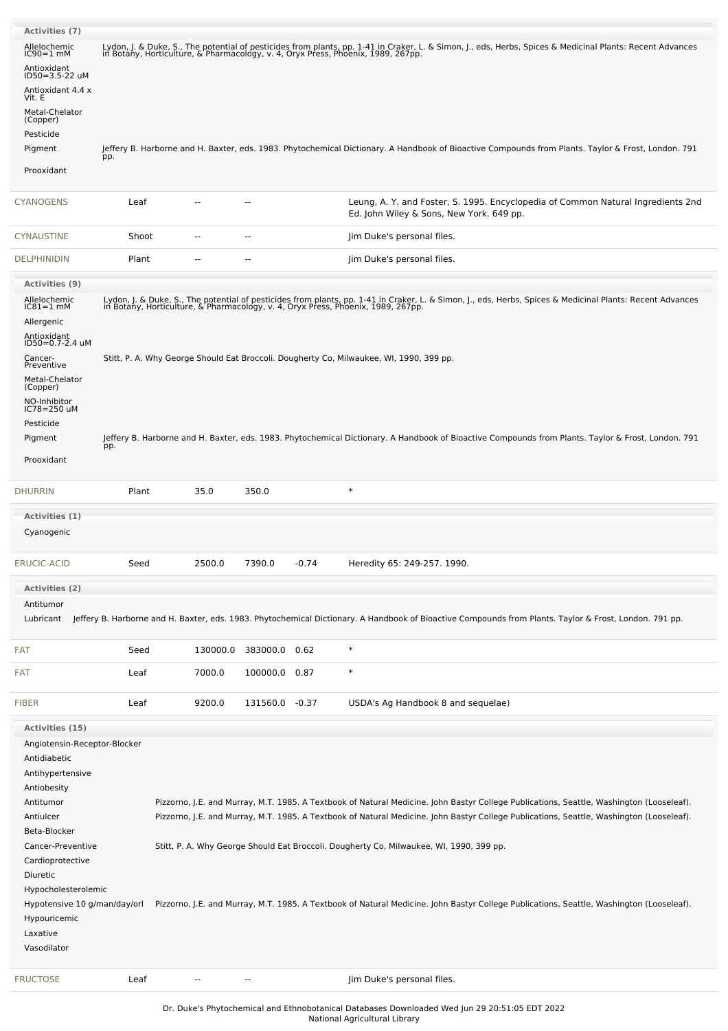| <b>Activities (7)</b>                       |       |                          |                          |         |                                                                                                                                                                                                                                  |
|---------------------------------------------|-------|--------------------------|--------------------------|---------|----------------------------------------------------------------------------------------------------------------------------------------------------------------------------------------------------------------------------------|
| Allelochemic                                |       |                          |                          |         | Lydon, J. & Duke, S., The potential of pesticides from plants, pp. 1-41 in Craker, L. & Simon, J., eds, Herbs, Spices & Medicinal Plants: Recent Advances<br>in Botany, Horticulture, & Pharmacology, v. 4, Oryx Press, Phoenix, |
| $IC90=1$ mM                                 |       |                          |                          |         |                                                                                                                                                                                                                                  |
| Antioxidant<br>ID50=3.5-22 uM               |       |                          |                          |         |                                                                                                                                                                                                                                  |
| Antioxidant 4.4 x<br>Vit. E                 |       |                          |                          |         |                                                                                                                                                                                                                                  |
| Metal-Chelator<br>(Copper)                  |       |                          |                          |         |                                                                                                                                                                                                                                  |
| Pesticide                                   |       |                          |                          |         |                                                                                                                                                                                                                                  |
| Pigment                                     | pp.   |                          |                          |         | Jeffery B. Harborne and H. Baxter, eds. 1983. Phytochemical Dictionary. A Handbook of Bioactive Compounds from Plants. Taylor & Frost, London. 791                                                                               |
| Prooxidant                                  |       |                          |                          |         |                                                                                                                                                                                                                                  |
| CYANOGENS                                   | Leaf  | н.                       | $\sim$                   |         | Leung, A. Y. and Foster, S. 1995. Encyclopedia of Common Natural Ingredients 2nd<br>Ed. John Wiley & Sons, New York. 649 pp.                                                                                                     |
| CYNAUSTINE                                  | Shoot |                          | --                       |         | Jim Duke's personal files.                                                                                                                                                                                                       |
| <b>DELPHINIDIN</b>                          | Plant | --                       |                          |         | Jim Duke's personal files.                                                                                                                                                                                                       |
| <b>Activities (9)</b>                       |       |                          |                          |         |                                                                                                                                                                                                                                  |
| Allelochemic<br>$IC81 = 1$ mM<br>Allergenic |       |                          |                          |         | Lydon, J. & Duke, S., The potential of pesticides from plants, pp. 1-41 in Craker, L. & Simon, J., eds, Herbs, Spices & Medicinal Plants: Recent Advances<br>in Botany, Horticulture, & Pharmacology, v. 4, Oryx Press, Phoenix, |
| Antioxidant<br>ID50=0.7-2.4 uM              |       |                          |                          |         |                                                                                                                                                                                                                                  |
| Cancer-                                     |       |                          |                          |         | Stitt, P. A. Why George Should Eat Broccoli. Dougherty Co, Milwaukee, WI, 1990, 399 pp.                                                                                                                                          |
| Preventive                                  |       |                          |                          |         |                                                                                                                                                                                                                                  |
| Metal-Chelator<br>(Copper)                  |       |                          |                          |         |                                                                                                                                                                                                                                  |
| NO-Inhibitor<br>IC78=250 uM                 |       |                          |                          |         |                                                                                                                                                                                                                                  |
| Pesticide                                   |       |                          |                          |         |                                                                                                                                                                                                                                  |
| Pigment                                     |       |                          |                          |         | Jeffery B. Harborne and H. Baxter, eds. 1983. Phytochemical Dictionary. A Handbook of Bioactive Compounds from Plants. Taylor & Frost, London. 791                                                                               |
|                                             | pp.   |                          |                          |         |                                                                                                                                                                                                                                  |
| Prooxidant                                  |       |                          |                          |         |                                                                                                                                                                                                                                  |
| <b>DHURRIN</b>                              | Plant | 35.0                     | 350.0                    |         | $\ast$                                                                                                                                                                                                                           |
| Activities (1)                              |       |                          |                          |         |                                                                                                                                                                                                                                  |
| Cyanogenic                                  |       |                          |                          |         |                                                                                                                                                                                                                                  |
| <b>ERUCIC-ACID</b>                          | Seed  | 2500.0                   | 7390.0                   | $-0.74$ | Heredity 65: 249-257. 1990.                                                                                                                                                                                                      |
| Activities (2)                              |       |                          |                          |         |                                                                                                                                                                                                                                  |
| Antitumor                                   |       |                          |                          |         |                                                                                                                                                                                                                                  |
| Lubricant                                   |       |                          |                          |         | Jeffery B. Harborne and H. Baxter, eds. 1983. Phytochemical Dictionary. A Handbook of Bioactive Compounds from Plants. Taylor & Frost, London. 791 pp.                                                                           |
| <b>FAT</b>                                  | Seed  | 130000.0                 | 383000.0                 | 0.62    | $\ast$                                                                                                                                                                                                                           |
| <b>FAT</b>                                  | Leaf  | 7000.0                   | 100000.0                 | 0.87    | $\ast$                                                                                                                                                                                                                           |
| <b>FIBER</b>                                | Leaf  | 9200.0                   | 131560.0 -0.37           |         | USDA's Ag Handbook 8 and sequelae)                                                                                                                                                                                               |
| <b>Activities (15)</b>                      |       |                          |                          |         |                                                                                                                                                                                                                                  |
| Angiotensin-Receptor-Blocker                |       |                          |                          |         |                                                                                                                                                                                                                                  |
| Antidiabetic                                |       |                          |                          |         |                                                                                                                                                                                                                                  |
| Antihypertensive                            |       |                          |                          |         |                                                                                                                                                                                                                                  |
| Antiobesity                                 |       |                          |                          |         |                                                                                                                                                                                                                                  |
| Antitumor                                   |       |                          |                          |         | Pizzorno, J.E. and Murray, M.T. 1985. A Textbook of Natural Medicine. John Bastyr College Publications, Seattle, Washington (Looseleaf).                                                                                         |
| Antiulcer                                   |       |                          |                          |         | Pizzorno, J.E. and Murray, M.T. 1985. A Textbook of Natural Medicine. John Bastyr College Publications, Seattle, Washington (Looseleaf).                                                                                         |
| Beta-Blocker                                |       |                          |                          |         |                                                                                                                                                                                                                                  |
| Cancer-Preventive                           |       |                          |                          |         | Stitt, P. A. Why George Should Eat Broccoli. Dougherty Co, Milwaukee, WI, 1990, 399 pp.                                                                                                                                          |
| Cardioprotective                            |       |                          |                          |         |                                                                                                                                                                                                                                  |
| Diuretic                                    |       |                          |                          |         |                                                                                                                                                                                                                                  |
| Hypocholesterolemic                         |       |                          |                          |         |                                                                                                                                                                                                                                  |
| Hypotensive 10 g/man/day/orl                |       |                          |                          |         | Pizzorno, J.E. and Murray, M.T. 1985. A Textbook of Natural Medicine. John Bastyr College Publications, Seattle, Washington (Looseleaf).                                                                                         |
| Hypouricemic                                |       |                          |                          |         |                                                                                                                                                                                                                                  |
| Laxative                                    |       |                          |                          |         |                                                                                                                                                                                                                                  |
| Vasodilator                                 |       |                          |                          |         |                                                                                                                                                                                                                                  |
| <b>FRUCTOSE</b>                             | Leaf  | $\overline{\phantom{a}}$ | $\overline{\phantom{a}}$ |         | Jim Duke's personal files.                                                                                                                                                                                                       |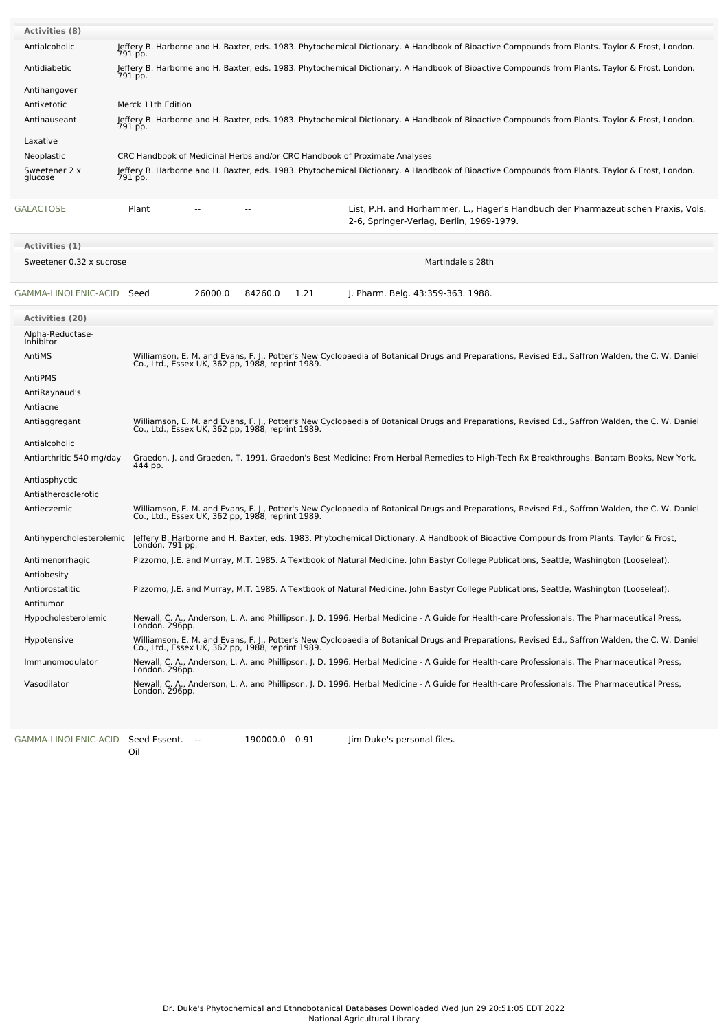| <b>Activities (8)</b>          |                                                                                                                                                                                                     |  |  |  |  |  |  |  |
|--------------------------------|-----------------------------------------------------------------------------------------------------------------------------------------------------------------------------------------------------|--|--|--|--|--|--|--|
| Antialcoholic                  | Jeffery B. Harborne and H. Baxter, eds. 1983. Phytochemical Dictionary. A Handbook of Bioactive Compounds from Plants. Taylor & Frost, London.<br>791 pp.                                           |  |  |  |  |  |  |  |
| Antidiabetic                   | Jeffery B. Harborne and H. Baxter, eds. 1983. Phytochemical Dictionary. A Handbook of Bioactive Compounds from Plants. Taylor & Frost, London.<br>791 pp.                                           |  |  |  |  |  |  |  |
| Antihangover                   |                                                                                                                                                                                                     |  |  |  |  |  |  |  |
| Antiketotic                    | Merck 11th Edition                                                                                                                                                                                  |  |  |  |  |  |  |  |
| Antinauseant                   | Jeffery B. Harborne and H. Baxter, eds. 1983. Phytochemical Dictionary. A Handbook of Bioactive Compounds from Plants. Taylor & Frost, London.<br>791 pp.                                           |  |  |  |  |  |  |  |
| Laxative                       |                                                                                                                                                                                                     |  |  |  |  |  |  |  |
| Neoplastic                     | CRC Handbook of Medicinal Herbs and/or CRC Handbook of Proximate Analyses                                                                                                                           |  |  |  |  |  |  |  |
| Sweetener 2 x<br>glucose       | Jeffery B. Harborne and H. Baxter, eds. 1983. Phytochemical Dictionary. A Handbook of Bioactive Compounds from Plants. Taylor & Frost, London.<br>791 pp.                                           |  |  |  |  |  |  |  |
| GALACTOSE                      | Plant<br>List, P.H. and Horhammer, L., Hager's Handbuch der Pharmazeutischen Praxis, Vols.<br>2-6, Springer-Verlag, Berlin, 1969-1979.                                                              |  |  |  |  |  |  |  |
| Activities (1)                 |                                                                                                                                                                                                     |  |  |  |  |  |  |  |
| Sweetener 0.32 x sucrose       | Martindale's 28th                                                                                                                                                                                   |  |  |  |  |  |  |  |
| GAMMA-LINOLENIC-ACID Seed      | 26000.0<br>84260.0<br>1.21<br>J. Pharm. Belg. 43:359-363. 1988.                                                                                                                                     |  |  |  |  |  |  |  |
| <b>Activities (20)</b>         |                                                                                                                                                                                                     |  |  |  |  |  |  |  |
| Alpha-Reductase-<br>Inhibitor  |                                                                                                                                                                                                     |  |  |  |  |  |  |  |
| AntiMS                         | Williamson, E. M. and Evans, F. J., Potter's New Cyclopaedia of Botanical Drugs and Preparations, Revised Ed., Saffron Walden, the C. W. Daniel                                                     |  |  |  |  |  |  |  |
|                                | Co., Ltd., Essex UK, 362 pp, 1988, reprint 1989.                                                                                                                                                    |  |  |  |  |  |  |  |
| AntiPMS                        |                                                                                                                                                                                                     |  |  |  |  |  |  |  |
| AntiRaynaud's                  |                                                                                                                                                                                                     |  |  |  |  |  |  |  |
| Antiacne<br>Antiaggregant      | Williamson, E. M. and Evans, F. J., Potter's New Cyclopaedia of Botanical Drugs and Preparations, Revised Ed., Saffron Walden, the C. W. Daniel                                                     |  |  |  |  |  |  |  |
|                                | Co., Ltd., Essex UK, 362 pp, 1988, reprint 1989.                                                                                                                                                    |  |  |  |  |  |  |  |
| Antialcoholic                  |                                                                                                                                                                                                     |  |  |  |  |  |  |  |
| Antiarthritic 540 mg/day       | Graedon, J. and Graeden, T. 1991. Graedon's Best Medicine: From Herbal Remedies to High-Tech Rx Breakthroughs. Bantam Books, New York.<br>444 pp.                                                   |  |  |  |  |  |  |  |
| Antiasphyctic                  |                                                                                                                                                                                                     |  |  |  |  |  |  |  |
| Antiatherosclerotic            |                                                                                                                                                                                                     |  |  |  |  |  |  |  |
| Antieczemic                    | Williamson, E. M. and Evans, F. J., Potter's New Cyclopaedia of Botanical Drugs and Preparations, Revised Ed., Saffron Walden, the C. W. Daniel<br>Co., Ltd., Essex UK, 362 pp, 1988, reprint 1989. |  |  |  |  |  |  |  |
| Antihypercholesterolemic       | Jeffery B. Harborne and H. Baxter, eds. 1983. Phytochemical Dictionary. A Handbook of Bioactive Compounds from Plants. Taylor & Frost,<br>London. 791 pp.                                           |  |  |  |  |  |  |  |
| Antimenorrhagic<br>Antiobesity | Pizzorno, J.E. and Murray, M.T. 1985. A Textbook of Natural Medicine. John Bastyr College Publications, Seattle, Washington (Looseleaf).                                                            |  |  |  |  |  |  |  |
| Antiprostatitic                | Pizzorno, J.E. and Murray, M.T. 1985. A Textbook of Natural Medicine. John Bastyr College Publications, Seattle, Washington (Looseleaf).                                                            |  |  |  |  |  |  |  |
| Antitumor                      |                                                                                                                                                                                                     |  |  |  |  |  |  |  |
| Hypocholesterolemic            | Newall, C. A., Anderson, L. A. and Phillipson, J. D. 1996. Herbal Medicine - A Guide for Health-care Professionals. The Pharmaceutical Press,<br>London. 296pp.                                     |  |  |  |  |  |  |  |
| Hypotensive                    | Williamson, E. M. and Evans, F. J., Potter's New Cyclopaedia of Botanical Drugs and Preparations, Revised Ed., Saffron Walden, the C. W. Daniel<br>Co., Ltd., Essex UK, 362 pp, 1988, reprint 1989. |  |  |  |  |  |  |  |
| Immunomodulator                | Newall, C. A., Anderson, L. A. and Phillipson, J. D. 1996. Herbal Medicine - A Guide for Health-care Professionals. The Pharmaceutical Press,<br>London. 296pp.                                     |  |  |  |  |  |  |  |
| Vasodilator                    | Newall, C. A., Anderson, L. A. and Phillipson, J. D. 1996. Herbal Medicine - A Guide for Health-care Professionals. The Pharmaceutical Press,<br>London. 296pp.                                     |  |  |  |  |  |  |  |
|                                |                                                                                                                                                                                                     |  |  |  |  |  |  |  |
|                                |                                                                                                                                                                                                     |  |  |  |  |  |  |  |

Oil

[GAMMA-LINOLENIC-ACID](file:///phytochem/chemicals/show/8811) Seed Essent. -- 190000.0 0.91 Jim Duke's personal files.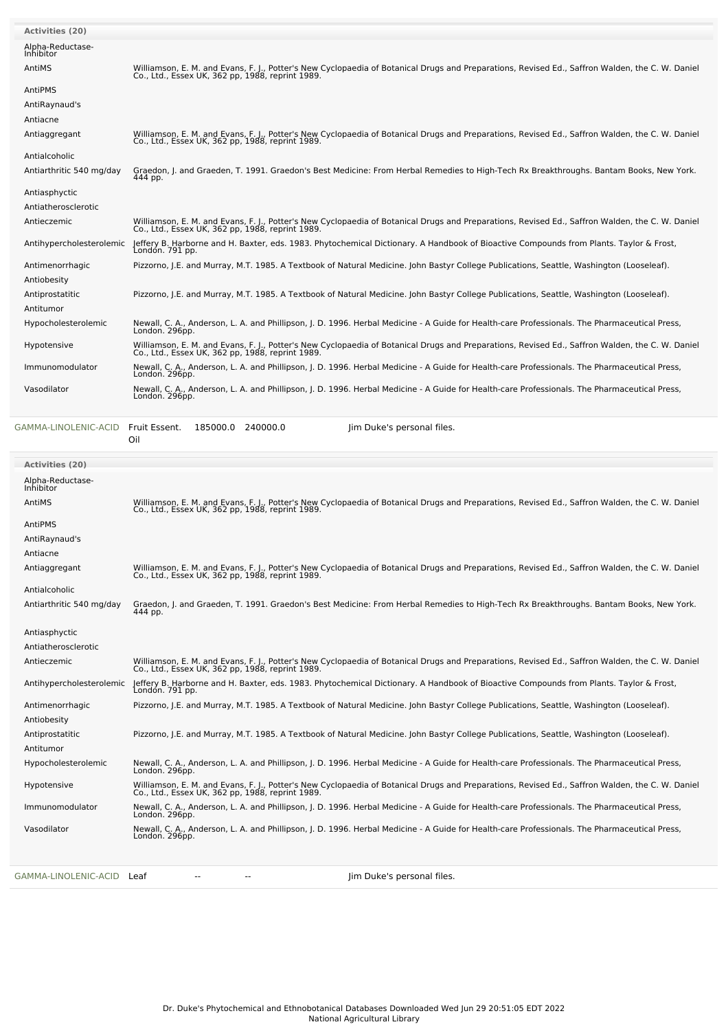| <b>Activities (20)</b>         |                                                                                                                                                                                                     |
|--------------------------------|-----------------------------------------------------------------------------------------------------------------------------------------------------------------------------------------------------|
| Alpha-Reductase-<br>Inhibitor  |                                                                                                                                                                                                     |
| AntiMS                         | Williamson, E. M. and Evans, F. J., Potter's New Cyclopaedia of Botanical Drugs and Preparations, Revised Ed., Saffron Walden, the C. W. Daniel<br>Co., Ltd., Essex UK, 362 pp, 1988, reprint 1989. |
| AntiPMS                        |                                                                                                                                                                                                     |
| AntiRaynaud's                  |                                                                                                                                                                                                     |
| Antiacne                       |                                                                                                                                                                                                     |
| Antiaggregant                  | Williamson, E. M. and Evans, F. J., Potter's New Cyclopaedia of Botanical Drugs and Preparations, Revised Ed., Saffron Walden, the C. W. Daniel<br>Co., Ltd., Essex UK, 362 pp, 1988, reprint 1989. |
| Antialcoholic                  |                                                                                                                                                                                                     |
| Antiarthritic 540 mg/day       | Graedon, J. and Graeden, T. 1991. Graedon's Best Medicine: From Herbal Remedies to High-Tech Rx Breakthroughs. Bantam Books, New York.<br>444 pp.                                                   |
| Antiasphyctic                  |                                                                                                                                                                                                     |
| Antiatherosclerotic            |                                                                                                                                                                                                     |
| Antieczemic                    | Williamson, E. M. and Evans, F. J., Potter's New Cyclopaedia of Botanical Drugs and Preparations, Revised Ed., Saffron Walden, the C. W. Daniel<br>Co., Ltd., Essex UK, 362 pp, 1988, reprint 1989. |
| Antihypercholesterolemic       | Jeffery B. Harborne and H. Baxter, eds. 1983. Phytochemical Dictionary. A Handbook of Bioactive Compounds from Plants. Taylor & Frost,<br>Londón. 791 pp.                                           |
| Antimenorrhagic<br>Antiobesity | Pizzorno, J.E. and Murray, M.T. 1985. A Textbook of Natural Medicine. John Bastyr College Publications, Seattle, Washington (Looseleaf).                                                            |
| Antiprostatitic                | Pizzorno, J.E. and Murray, M.T. 1985. A Textbook of Natural Medicine. John Bastyr College Publications, Seattle, Washington (Looseleaf).                                                            |
| Antitumor                      |                                                                                                                                                                                                     |
| Hypocholesterolemic            | Newall, C. A., Anderson, L. A. and Phillipson, J. D. 1996. Herbal Medicine - A Guide for Health-care Professionals. The Pharmaceutical Press,<br>London. 296pp.                                     |
| Hypotensive                    | Williamson, E. M. and Evans, F. J., Potter's New Cyclopaedia of Botanical Drugs and Preparations, Revised Ed., Saffron Walden, the C. W. Daniel<br>Co., Ltd., Essex UK, 362 pp, 1988, reprint 1989. |
| Immunomodulator                | Newall, C. A., Anderson, L. A. and Phillipson, J. D. 1996. Herbal Medicine - A Guide for Health-care Professionals. The Pharmaceutical Press,<br>London. 296pp.                                     |
| Vasodilator                    | Newall, C. A., Anderson, L. A. and Phillipson, J. D. 1996. Herbal Medicine - A Guide for Health-care Professionals. The Pharmaceutical Press,<br>London. 296pp.                                     |
| GAMMA-LINOLENIC-ACID           | Fruit Essent.<br>185000.0 240000.0<br>Jim Duke's personal files.<br>Oil                                                                                                                             |
| <b>Activities (20)</b>         |                                                                                                                                                                                                     |
| Alpha-Reductase-<br>Inhibitor  |                                                                                                                                                                                                     |
| AntiMS                         | Williamson, E. M. and Evans, F. J., Potter's New Cyclopaedia of Botanical Drugs and Preparations, Revised Ed., Saffron Walden, the C. W. Daniel<br>Co., Ltd., Essex UK, 362 pp, 1988, reprint 1989. |
| AntiPMS                        |                                                                                                                                                                                                     |
| AntiRaynaud's                  |                                                                                                                                                                                                     |
| Antiacne                       |                                                                                                                                                                                                     |
| Antiaggregant                  | Williamson, E. M. and Evans, F. J., Potter's New Cyclopaedia of Botanical Drugs and Preparations, Revised Ed., Saffron Walden, the C. W. Daniel<br>Co., Ltd., Essex UK, 362 pp, 1988, reprint 1989. |
| Antialcoholic                  |                                                                                                                                                                                                     |
| Antiarthritic 540 mg/day       | Graedon, J. and Graeden, T. 1991. Graedon's Best Medicine: From Herbal Remedies to High-Tech Rx Breakthroughs. Bantam Books, New York.<br>444 pp.                                                   |
| Antiasphyctic                  |                                                                                                                                                                                                     |

| Antiatherosclerotic      |                                                                                                                                                                                                     |
|--------------------------|-----------------------------------------------------------------------------------------------------------------------------------------------------------------------------------------------------|
| Antieczemic              | Williamson, E. M. and Evans, F. J., Potter's New Cyclopaedia of Botanical Drugs and Preparations, Revised Ed., Saffron Walden, the C. W. Daniel<br>Co., Ltd., Essex UK, 362 pp, 1988, reprint 1989. |
| Antihypercholesterolemic | Jeffery B. Harborne and H. Baxter, eds. 1983. Phytochemical Dictionary. A Handbook of Bioactive Compounds from Plants. Taylor & Frost,<br>London. 791 pp.                                           |
| Antimenorrhagic          | Pizzorno, J.E. and Murray, M.T. 1985. A Textbook of Natural Medicine. John Bastyr College Publications, Seattle, Washington (Looseleaf).                                                            |
| Antiobesity              |                                                                                                                                                                                                     |
| Antiprostatitic          | Pizzorno, J.E. and Murray, M.T. 1985. A Textbook of Natural Medicine. John Bastyr College Publications, Seattle, Washington (Looseleaf).                                                            |
| Antitumor                |                                                                                                                                                                                                     |
| Hypocholesterolemic      | Newall, C. A., Anderson, L. A. and Phillipson, J. D. 1996. Herbal Medicine - A Guide for Health-care Professionals. The Pharmaceutical Press,<br>London. 296pp.                                     |
| Hypotensive              | Williamson, E. M. and Evans, F. J., Potter's New Cyclopaedia of Botanical Drugs and Preparations, Revised Ed., Saffron Walden, the C. W. Daniel<br>Co., Ltd., Essex UK, 362 pp, 1988, reprint 1989. |
| Immunomodulator          | Newall, C. A., Anderson, L. A. and Phillipson, J. D. 1996. Herbal Medicine - A Guide for Health-care Professionals. The Pharmaceutical Press,<br>London. 296pp.                                     |
| Vasodilator              | Newall, C. A., Anderson, L. A. and Phillipson, J. D. 1996. Herbal Medicine - A Guide for Health-care Professionals. The Pharmaceutical Press,<br>London. 296pp.                                     |
|                          |                                                                                                                                                                                                     |
|                          |                                                                                                                                                                                                     |

[GAMMA-LINOLENIC-ACID](file:///phytochem/chemicals/show/8811) Leaf -- - - - - - - - Jim Duke's personal files.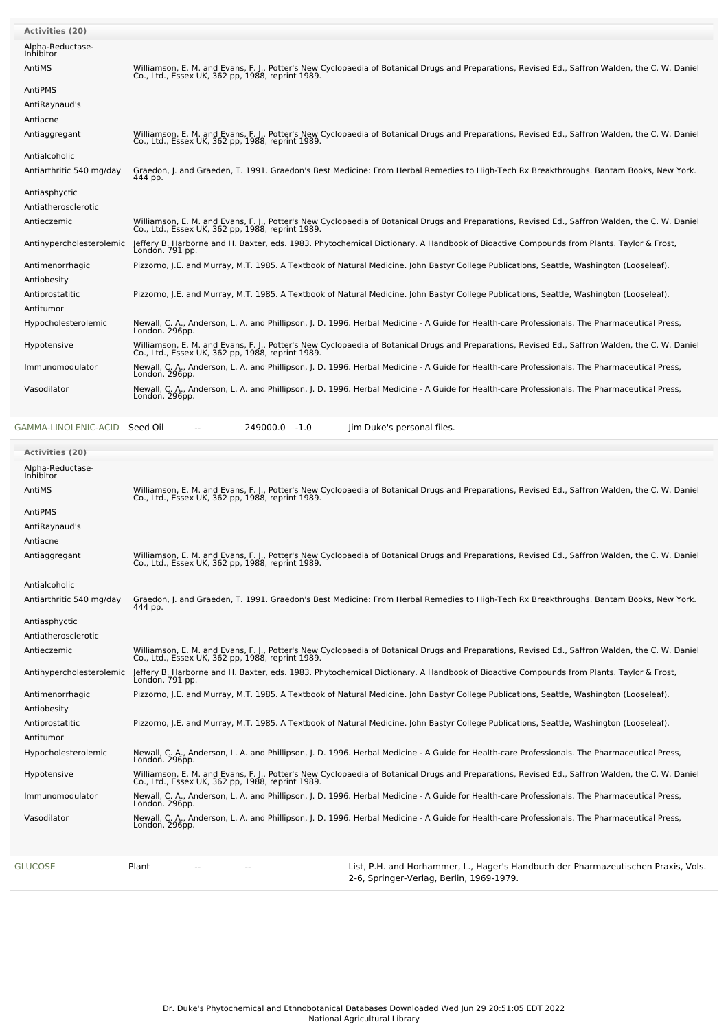| <b>Activities (20)</b>        |                                                                                                                                                                                                     |
|-------------------------------|-----------------------------------------------------------------------------------------------------------------------------------------------------------------------------------------------------|
| Alpha-Reductase-<br>Inhibitor |                                                                                                                                                                                                     |
| AntiMS                        | Williamson, E. M. and Evans, F. J., Potter's New Cyclopaedia of Botanical Drugs and Preparations, Revised Ed., Saffron Walden, the C. W. Daniel<br>Co., Ltd., Essex UK, 362 pp, 1988, reprint 1989. |
| AntiPMS                       |                                                                                                                                                                                                     |
| AntiRaynaud's                 |                                                                                                                                                                                                     |
| Antiacne                      |                                                                                                                                                                                                     |
| Antiaggregant                 | Williamson, E. M. and Evans, F. J., Potter's New Cyclopaedia of Botanical Drugs and Preparations, Revised Ed., Saffron Walden, the C. W. Daniel<br>Co., Ltd., Essex UK, 362 pp, 1988, reprint 1989. |
| Antialcoholic                 |                                                                                                                                                                                                     |
| Antiarthritic 540 mg/day      | Graedon, J. and Graeden, T. 1991. Graedon's Best Medicine: From Herbal Remedies to High-Tech Rx Breakthroughs. Bantam Books, New York.<br>444 pp.                                                   |
| Antiasphyctic                 |                                                                                                                                                                                                     |
| Antiatherosclerotic           |                                                                                                                                                                                                     |
| Antieczemic                   | Williamson, E. M. and Evans, F. J., Potter's New Cyclopaedia of Botanical Drugs and Preparations, Revised Ed., Saffron Walden, the C. W. Daniel<br>Co., Ltd., Essex UK, 362 pp, 1988, reprint 1989. |
| Antihypercholesterolemic      | Jeffery B. Harborne and H. Baxter, eds. 1983. Phytochemical Dictionary. A Handbook of Bioactive Compounds from Plants. Taylor & Frost,<br>Londón. 791 pp.                                           |
| Antimenorrhagic               | Pizzorno, J.E. and Murray, M.T. 1985. A Textbook of Natural Medicine. John Bastyr College Publications, Seattle, Washington (Looseleaf).                                                            |
| Antiobesity                   |                                                                                                                                                                                                     |
| Antiprostatitic               | Pizzorno, J.E. and Murray, M.T. 1985. A Textbook of Natural Medicine. John Bastyr College Publications, Seattle, Washington (Looseleaf).                                                            |
| Antitumor                     |                                                                                                                                                                                                     |
| Hypocholesterolemic           | Newall, C. A., Anderson, L. A. and Phillipson, J. D. 1996. Herbal Medicine - A Guide for Health-care Professionals. The Pharmaceutical Press,<br>London. 296pp.                                     |
| Hypotensive                   | Williamson, E. M. and Evans, F. J., Potter's New Cyclopaedia of Botanical Drugs and Preparations, Revised Ed., Saffron Walden, the C. W. Daniel<br>Co., Ltd., Essex UK, 362 pp, 1988, reprint 1989. |
| Immunomodulator               | Newall, C. A., Anderson, L. A. and Phillipson, J. D. 1996. Herbal Medicine - A Guide for Health-care Professionals. The Pharmaceutical Press,<br>London. 296pp.                                     |
| Vasodilator                   | Newall, C. A., Anderson, L. A. and Phillipson, J. D. 1996. Herbal Medicine - A Guide for Health-care Professionals. The Pharmaceutical Press,<br>London. 296pp.                                     |
|                               |                                                                                                                                                                                                     |

[GAMMA-LINOLENIC-ACID](file:///phytochem/chemicals/show/8811) Seed Oil -- 249000.0 -1.0 Jim Duke's personal files.

| <b>Activities (20)</b>        |                                                                                                                                                                                                     |  |
|-------------------------------|-----------------------------------------------------------------------------------------------------------------------------------------------------------------------------------------------------|--|
| Alpha-Reductase-<br>Inhibitor |                                                                                                                                                                                                     |  |
| AntiMS                        | Williamson, E. M. and Evans, F. J., Potter's New Cyclopaedia of Botanical Drugs and Preparations, Revised Ed., Saffron Walden, the C. W. Daniel Co., Ltd., Essex UK, 362 pp, 1988, reprint 1989.    |  |
| AntiPMS                       |                                                                                                                                                                                                     |  |
| AntiRaynaud's                 |                                                                                                                                                                                                     |  |
| Antiacne                      |                                                                                                                                                                                                     |  |
| Antiaggregant                 | Williamson, E. M. and Evans, F. J., Potter's New Cyclopaedia of Botanical Drugs and Preparations, Revised Ed., Saffron Walden, the C. W. Daniel<br>Co., Ltd., Essex UK, 362 pp, 1988, reprint 1989. |  |
| Antialcoholic                 |                                                                                                                                                                                                     |  |
| Antiarthritic 540 mg/day      | Graedon, J. and Graeden, T. 1991. Graedon's Best Medicine: From Herbal Remedies to High-Tech Rx Breakthroughs. Bantam Books, New York.<br>444 pp.                                                   |  |
| Antiasphyctic                 |                                                                                                                                                                                                     |  |
| Antiatherosclerotic           |                                                                                                                                                                                                     |  |
| Antieczemic                   | Williamson, E. M. and Evans, F. J., Potter's New Cyclopaedia of Botanical Drugs and Preparations, Revised Ed., Saffron Walden, the C. W. Daniel<br>Co., Ltd., Essex UK, 362 pp, 1988, reprint 1989. |  |
| Antihypercholesterolemic      | Jeffery B. Harborne and H. Baxter, eds. 1983. Phytochemical Dictionary. A Handbook of Bioactive Compounds from Plants. Taylor & Frost,<br>Londón. 791 pp.                                           |  |
| Antimenorrhagic               | Pizzorno, J.E. and Murray, M.T. 1985. A Textbook of Natural Medicine. John Bastyr College Publications, Seattle, Washington (Looseleaf).                                                            |  |
| Antiobesity                   |                                                                                                                                                                                                     |  |
| Antiprostatitic               | Pizzorno, J.E. and Murray, M.T. 1985. A Textbook of Natural Medicine. John Bastyr College Publications, Seattle, Washington (Looseleaf).                                                            |  |
| Antitumor                     |                                                                                                                                                                                                     |  |
| Hypocholesterolemic           | Newall, C. A., Anderson, L. A. and Phillipson, J. D. 1996. Herbal Medicine - A Guide for Health-care Professionals. The Pharmaceutical Press,<br>London. 296pp.                                     |  |
| Hypotensive                   | Williamson, E. M. and Evans, F. J., Potter's New Cyclopaedia of Botanical Drugs and Preparations, Revised Ed., Saffron Walden, the C. W. Daniel<br>Co., Ltd., Essex UK, 362 pp, 1988, reprint 1989. |  |
| Immunomodulator               | Newall, C. A., Anderson, L. A. and Phillipson, J. D. 1996. Herbal Medicine - A Guide for Health-care Professionals. The Pharmaceutical Press,<br>London. 296pp.                                     |  |
| Vasodilator                   | Newall, C. A., Anderson, L. A. and Phillipson, J. D. 1996. Herbal Medicine - A Guide for Health-care Professionals. The Pharmaceutical Press,<br>London. 296pp.                                     |  |
| GLUCOSE                       | Plant<br>List, P.H. and Horhammer, L., Hager's Handbuch der Pharmazeutischen Praxis, Vols.<br>2-6. Springer-Verlag. Berlin. 1969-1979.                                                              |  |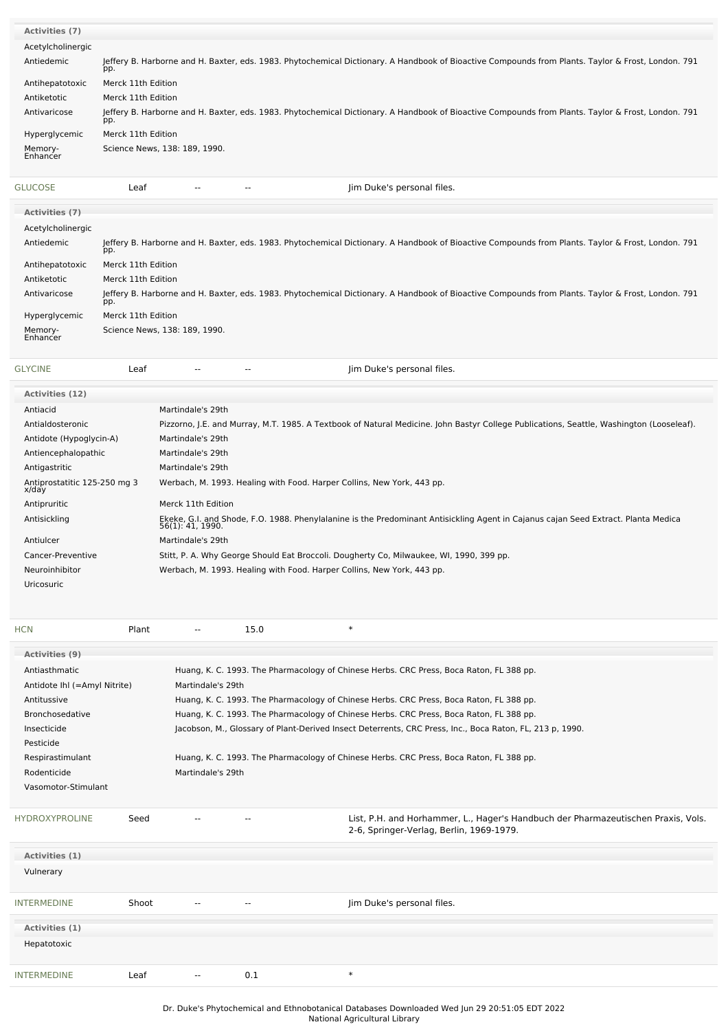| Activities (7)        |                                                                                                                                                           |                                                                                                                                                    |                                                                                                                                                    |  |  |  |  |  |
|-----------------------|-----------------------------------------------------------------------------------------------------------------------------------------------------------|----------------------------------------------------------------------------------------------------------------------------------------------------|----------------------------------------------------------------------------------------------------------------------------------------------------|--|--|--|--|--|
| Acetylcholinergic     |                                                                                                                                                           |                                                                                                                                                    |                                                                                                                                                    |  |  |  |  |  |
| Antiedemic            | Jeffery B. Harborne and H. Baxter, eds. 1983. Phytochemical Dictionary. A Handbook of Bioactive Compounds from Plants. Taylor & Frost, London. 791<br>pp. |                                                                                                                                                    |                                                                                                                                                    |  |  |  |  |  |
| Antihepatotoxic       | Merck 11th Edition                                                                                                                                        |                                                                                                                                                    |                                                                                                                                                    |  |  |  |  |  |
| Antiketotic           | Merck 11th Edition                                                                                                                                        |                                                                                                                                                    |                                                                                                                                                    |  |  |  |  |  |
| Antivaricose          | pp.                                                                                                                                                       | Jeffery B. Harborne and H. Baxter, eds. 1983. Phytochemical Dictionary. A Handbook of Bioactive Compounds from Plants. Taylor & Frost, London. 791 |                                                                                                                                                    |  |  |  |  |  |
| Hyperglycemic         | Merck 11th Edition                                                                                                                                        |                                                                                                                                                    |                                                                                                                                                    |  |  |  |  |  |
| Memory-<br>Enhancer   | Science News, 138: 189, 1990.                                                                                                                             |                                                                                                                                                    |                                                                                                                                                    |  |  |  |  |  |
| GLUCOSE               | Leaf                                                                                                                                                      | $\overline{\phantom{m}}$<br>$\overline{\phantom{a}}$                                                                                               | Jim Duke's personal files.                                                                                                                         |  |  |  |  |  |
| <b>Activities (7)</b> |                                                                                                                                                           |                                                                                                                                                    |                                                                                                                                                    |  |  |  |  |  |
| Acetylcholinergic     |                                                                                                                                                           |                                                                                                                                                    |                                                                                                                                                    |  |  |  |  |  |
| Antiedemic            | pp.                                                                                                                                                       |                                                                                                                                                    | Jeffery B. Harborne and H. Baxter, eds. 1983. Phytochemical Dictionary. A Handbook of Bioactive Compounds from Plants. Taylor & Frost, London. 791 |  |  |  |  |  |

| Antihepatotoxic | Merck 11th Edition                                                                                                                                        |
|-----------------|-----------------------------------------------------------------------------------------------------------------------------------------------------------|
| Antiketotic     | Merck 11th Edition                                                                                                                                        |
| Antivaricose    | Jeffery B. Harborne and H. Baxter, eds. 1983. Phytochemical Dictionary. A Handbook of Bioactive Compounds from Plants. Taylor & Frost, London. 791<br>pp. |
| Hyperglycemic   | Merck 11th Edition                                                                                                                                        |
| $\cdots$        |                                                                                                                                                           |

Memory- Enhancer Science News, 138: 189, 1990.

| <b>GLYCINE</b> | Leaf |  | Jim Duke's personal files. |
|----------------|------|--|----------------------------|

| <b>Activities (12)</b>                |                                                                                                                                                        |
|---------------------------------------|--------------------------------------------------------------------------------------------------------------------------------------------------------|
| Antiacid                              | Martindale's 29th                                                                                                                                      |
| Antialdosteronic                      | Pizzorno, J.E. and Murray, M.T. 1985. A Textbook of Natural Medicine. John Bastyr College Publications, Seattle, Washington (Looseleaf).               |
| Antidote (Hypoglycin-A)               | Martindale's 29th                                                                                                                                      |
| Antiencephalopathic                   | Martindale's 29th                                                                                                                                      |
| Antigastritic                         | Martindale's 29th                                                                                                                                      |
| Antiprostatitic 125-250 mg 3<br>x/day | Werbach, M. 1993. Healing with Food. Harper Collins, New York, 443 pp.                                                                                 |
| Antipruritic                          | Merck 11th Edition                                                                                                                                     |
| Antisickling                          | Ekeke, G.I. and Shode, F.O. 1988. Phenylalanine is the Predominant Antisickling Agent in Cajanus cajan Seed Extract. Planta Medica<br>56(1): 41, 1990. |
| Antiulcer                             | Martindale's 29th                                                                                                                                      |
| Cancer-Preventive                     | Stitt, P. A. Why George Should Eat Broccoli. Dougherty Co, Milwaukee, WI, 1990, 399 pp.                                                                |
| Neuroinhibitor                        | Werbach, M. 1993. Healing with Food. Harper Collins, New York, 443 pp.                                                                                 |
| <b>Uricosuric</b>                     |                                                                                                                                                        |

| <b>HCN</b>                                                                                                 | Plant             | $\sim$ $\sim$     | 15.0 | $\ast$                                                                                                                        |  |  |
|------------------------------------------------------------------------------------------------------------|-------------------|-------------------|------|-------------------------------------------------------------------------------------------------------------------------------|--|--|
| Activities (9)                                                                                             |                   |                   |      |                                                                                                                               |  |  |
| Antiasthmatic                                                                                              |                   |                   |      | Huang, K. C. 1993. The Pharmacology of Chinese Herbs. CRC Press, Boca Raton, FL 388 pp.                                       |  |  |
| Antidote Ihl (=Amyl Nitrite)                                                                               | Martindale's 29th |                   |      |                                                                                                                               |  |  |
| Antitussive<br>Huang, K. C. 1993. The Pharmacology of Chinese Herbs. CRC Press, Boca Raton, FL 388 pp.     |                   |                   |      |                                                                                                                               |  |  |
| Huang, K. C. 1993. The Pharmacology of Chinese Herbs. CRC Press, Boca Raton, FL 388 pp.<br>Bronchosedative |                   |                   |      |                                                                                                                               |  |  |
| Insecticide                                                                                                |                   |                   |      | Jacobson, M., Glossary of Plant-Derived Insect Deterrents, CRC Press, Inc., Boca Raton, FL, 213 p, 1990.                      |  |  |
| Pesticide                                                                                                  |                   |                   |      |                                                                                                                               |  |  |
| Respirastimulant                                                                                           |                   |                   |      | Huang, K. C. 1993. The Pharmacology of Chinese Herbs. CRC Press, Boca Raton, FL 388 pp.                                       |  |  |
| Rodenticide                                                                                                |                   | Martindale's 29th |      |                                                                                                                               |  |  |
| Vasomotor-Stimulant                                                                                        |                   |                   |      |                                                                                                                               |  |  |
| <b>HYDROXYPROLINE</b>                                                                                      | Seed              |                   | $-$  | List, P.H. and Horhammer, L., Hager's Handbuch der Pharmazeutischen Praxis, Vols.<br>2-6, Springer-Verlag, Berlin, 1969-1979. |  |  |
| Activities (1)                                                                                             |                   |                   |      |                                                                                                                               |  |  |
| Vulnerary                                                                                                  |                   |                   |      |                                                                                                                               |  |  |
| <b>INTERMEDINE</b>                                                                                         | Shoot             |                   | --   | Jim Duke's personal files.                                                                                                    |  |  |
| Activities (1)                                                                                             |                   |                   |      |                                                                                                                               |  |  |
| Hepatotoxic                                                                                                |                   |                   |      |                                                                                                                               |  |  |
| <b>INTERMEDINE</b>                                                                                         | Leaf              |                   | 0.1  | $\ast$                                                                                                                        |  |  |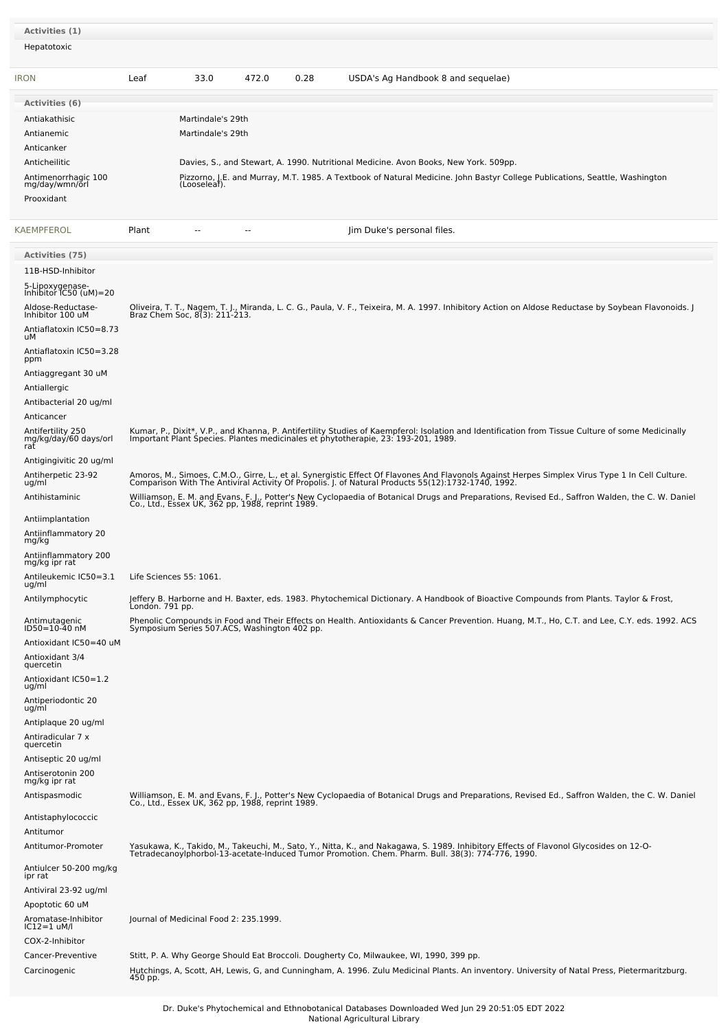| Activities (1)<br>Hepatotoxic                                                                                                                                                                                                                                                       |                         |                                                        |        |      |                                                                                                                                                                                                                                                                                                                                                                                                                                                                                                                                                                                                                                                    |
|-------------------------------------------------------------------------------------------------------------------------------------------------------------------------------------------------------------------------------------------------------------------------------------|-------------------------|--------------------------------------------------------|--------|------|----------------------------------------------------------------------------------------------------------------------------------------------------------------------------------------------------------------------------------------------------------------------------------------------------------------------------------------------------------------------------------------------------------------------------------------------------------------------------------------------------------------------------------------------------------------------------------------------------------------------------------------------------|
| <b>IRON</b>                                                                                                                                                                                                                                                                         | Leaf                    | 33.0                                                   | 472.0  | 0.28 | USDA's Ag Handbook 8 and sequelae)                                                                                                                                                                                                                                                                                                                                                                                                                                                                                                                                                                                                                 |
| Activities (6)<br>Antiakathisic<br>Antianemic<br>Anticanker<br>Anticheilitic<br>Antimenorrhagic 100<br>mg/day/wmn/orl<br>Prooxidant                                                                                                                                                 |                         | Martindale's 29th<br>Martindale's 29th<br>(Looseleaf). |        |      | Davies, S., and Stewart, A. 1990. Nutritional Medicine. Avon Books, New York. 509pp.<br>Pizzorno, J.E. and Murray, M.T. 1985. A Textbook of Natural Medicine. John Bastyr College Publications, Seattle, Washington                                                                                                                                                                                                                                                                                                                                                                                                                                |
| KAEMPFEROL                                                                                                                                                                                                                                                                          | Plant                   | $\overline{\phantom{a}}$                               | $\sim$ |      | Jim Duke's personal files.                                                                                                                                                                                                                                                                                                                                                                                                                                                                                                                                                                                                                         |
| <b>Activities (75)</b><br>11B-HSD-Inhibitor<br>5-Lipoxygenase-<br>Inhibitor IC50 (uM)=20<br>Aldose-Reductase-<br>Inhibitor 100 uM<br>Antiaflatoxin IC50=8.73<br>uМ<br>Antiaflatoxin IC50=3.28<br>ppm<br>Antiaggregant 30 uM<br>Antiallergic<br>Antibacterial 20 ug/ml<br>Anticancer |                         |                                                        |        |      | Oliveira, T. T., Nagem, T. J., Miranda, L. C. G., Paula, V. F., Teixeira, M. A. 1997. Inhibitory Action on Aldose Reductase by Soybean Flavonoids. J<br>Braz Chem Soc, 8(3): 211-213.                                                                                                                                                                                                                                                                                                                                                                                                                                                              |
| Antifertility 250<br>mg/kg/day/60 days/orl<br>rat<br>Antigingivitic 20 ug/ml<br>Antiherpetic 23-92<br>ug/ml<br>Antihistaminic                                                                                                                                                       |                         | Co., Ltd., Essex UK, 362 pp, 1988, reprint 1989.       |        |      | Kumar, P., Dixit*, V.P., and Khanna, P. Antifertility Studies of Kaempferol: Isolation and Identification from Tissue Culture of some Medicinally<br>Important Plant Species. Plantes medicinales et phytotherapie, 23: 193-201, 1989.<br>Amoros, M., Simoes, C.M.O., Girre, L., et al. Synergistic Effect Of Flavones And Flavonols Against Herpes Simplex Virus Type 1 In Cell Culture.<br>Comparison With The Antiviral Activity Of Propolis. J. of Natural Products 55(12):1732-1740, 1992.<br>Williamson, E. M. and Evans, F. J., Potter's New Cyclopaedia of Botanical Drugs and Preparations, Revised Ed., Saffron Walden, the C. W. Daniel |
| Antiimplantation<br>Antiinflammatory 20<br>mg/kg<br>Antiinflammatory 200<br>mg/kg ipr rat<br>Antileukemic IC50=3.1<br>ug/ml<br>Antilymphocytic                                                                                                                                      | Life Sciences 55: 1061. |                                                        |        |      | Jeffery B. Harborne and H. Baxter, eds. 1983. Phytochemical Dictionary. A Handbook of Bioactive Compounds from Plants. Taylor & Frost,                                                                                                                                                                                                                                                                                                                                                                                                                                                                                                             |
| Antimutagenic<br>ID50=10-40 nM<br>Antioxidant IC50=40 uM<br>Antioxidant 3/4<br>quercetin<br>Antioxidant IC50=1.2<br>ug/ml<br>Antiperiodontic 20<br>ug/ml<br>Antiplaque 20 ug/ml<br>Antiradicular 7 x<br>quercetin<br>Antiseptic 20 ug/ml<br>Antiserotonin 200<br>mg/kg ipr rat      | Londón. 791 pp.         |                                                        |        |      | Phenolic Compounds in Food and Their Effects on Health. Antioxidants & Cancer Prevention. Huang, M.T., Ho, C.T. and Lee, C.Y. eds. 1992. ACS<br>Symposium Series 507.ACS, Washington 402 pp.                                                                                                                                                                                                                                                                                                                                                                                                                                                       |
| Antispasmodic<br>Antistaphylococcic<br>Antitumor                                                                                                                                                                                                                                    |                         |                                                        |        |      | Williamson, E. M. and Evans, F. J., Potter's New Cyclopaedia of Botanical Drugs and Preparations, Revised Ed., Saffron Walden, the C. W. Daniel<br>Co., Ltd., Essex UK, 362 pp, 1988, reprint 1989.                                                                                                                                                                                                                                                                                                                                                                                                                                                |
| Antitumor-Promoter<br>Antiulcer 50-200 mg/kg<br>ipr rat<br>Antiviral 23-92 ug/ml<br>Apoptotic 60 uM                                                                                                                                                                                 |                         |                                                        |        |      | Yasukawa, K., Takido, M., Takeuchi, M., Sato, Y., Nitta, K., and Nakagawa, S. 1989. Inhibitory Effects of Flavonol Glycosides on 12-O-<br>Tetradecanoylphorbol-13-acetate-Induced Tumor Promotion. Chem. Pharm. Bull. 38(3): 774-                                                                                                                                                                                                                                                                                                                                                                                                                  |
| Aromatase-Inhibitor<br>$IC12=1$ uM/l<br>COX-2-Inhibitor                                                                                                                                                                                                                             |                         | Journal of Medicinal Food 2: 235.1999.                 |        |      |                                                                                                                                                                                                                                                                                                                                                                                                                                                                                                                                                                                                                                                    |
| Cancer-Preventive<br>Carcinogenic                                                                                                                                                                                                                                                   | 450 pp.                 |                                                        |        |      | Stitt, P. A. Why George Should Eat Broccoli. Dougherty Co, Milwaukee, WI, 1990, 399 pp.<br>Hutchings, A, Scott, AH, Lewis, G, and Cunningham, A. 1996. Zulu Medicinal Plants. An inventory. University of Natal Press, Pietermaritzburg.                                                                                                                                                                                                                                                                                                                                                                                                           |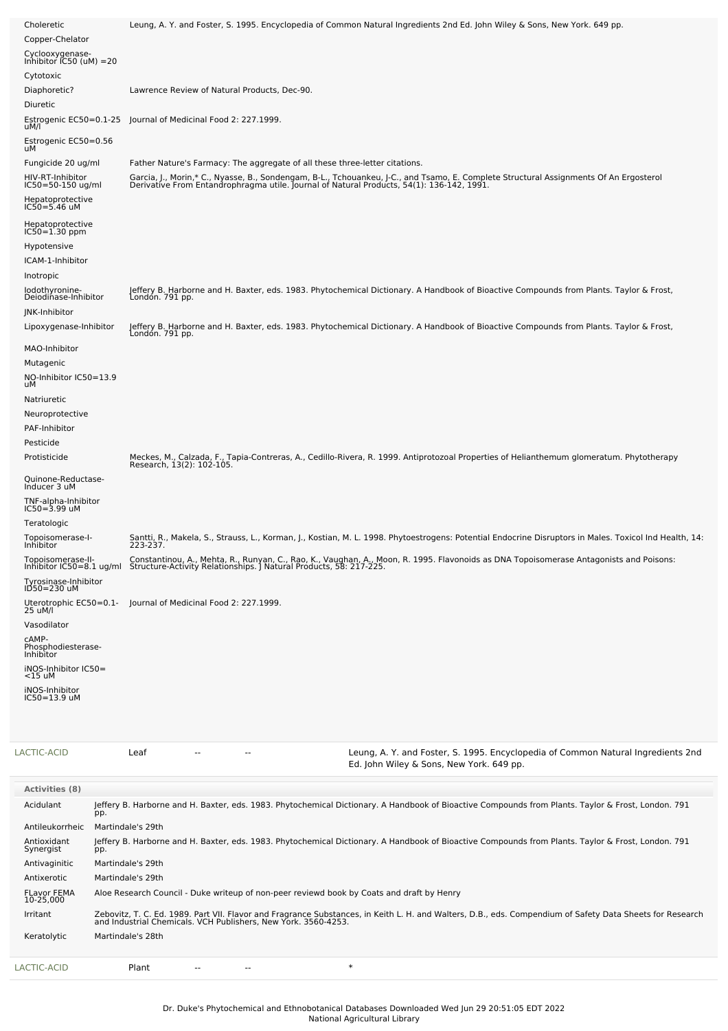| Choleretic                                    | Leung, A. Y. and Foster, S. 1995. Encyclopedia of Common Natural Ingredients 2nd Ed. John Wiley & Sons, New York. 649 pp.                                                                                                         |
|-----------------------------------------------|-----------------------------------------------------------------------------------------------------------------------------------------------------------------------------------------------------------------------------------|
| Copper-Chelator                               |                                                                                                                                                                                                                                   |
| Cyclooxygenase-<br>Inhibitor IC50 (uM) =20    |                                                                                                                                                                                                                                   |
| Cytotoxic                                     |                                                                                                                                                                                                                                   |
| Diaphoretic?                                  | Lawrence Review of Natural Products, Dec-90.                                                                                                                                                                                      |
| Diuretic                                      |                                                                                                                                                                                                                                   |
| Estrogenic EC50=0.1-25<br>uM/l                | Journal of Medicinal Food 2: 227.1999.                                                                                                                                                                                            |
| Estrogenic EC50=0.56<br>uМ                    |                                                                                                                                                                                                                                   |
| Fungicide 20 ug/ml                            | Father Nature's Farmacy: The aggregate of all these three-letter citations.                                                                                                                                                       |
| HIV-RT-Inhibitor<br>IC50=50-150 ug/ml         | Garcia, J., Morin,* C., Nyasse, B., Sondengam, B-L., Tchouankeu, J-C., and Tsamo, E. Complete Structural Assignments Of An Ergosterol<br>Derivative From Entandrophragma utile. Journal of Natural Products, 54(1): 136-142, 1991 |
| Hepatoprotective<br>IC50=5.46 uM              |                                                                                                                                                                                                                                   |
| Hepatoprotective<br>IC50=1.30 ppm             |                                                                                                                                                                                                                                   |
| Hypotensive                                   |                                                                                                                                                                                                                                   |
| ICAM-1-Inhibitor                              |                                                                                                                                                                                                                                   |
| Inotropic                                     |                                                                                                                                                                                                                                   |
| lodothyronine-<br>Deiodinase-Inhibitor        | Jeffery B. Harborne and H. Baxter, eds. 1983. Phytochemical Dictionary. A Handbook of Bioactive Compounds from Plants. Taylor & Frost,<br>Londón. 791 pp.                                                                         |
| JNK-Inhibitor                                 |                                                                                                                                                                                                                                   |
| Lipoxygenase-Inhibitor                        | Jeffery B. Harborne and H. Baxter, eds. 1983. Phytochemical Dictionary. A Handbook of Bioactive Compounds from Plants. Taylor & Frost,<br>London. 791 pp.                                                                         |
| MAO-Inhibitor                                 |                                                                                                                                                                                                                                   |
| Mutagenic<br>NO-Inhibitor IC50=13.9<br>uМ     |                                                                                                                                                                                                                                   |
| Natriuretic                                   |                                                                                                                                                                                                                                   |
| Neuroprotective                               |                                                                                                                                                                                                                                   |
| PAF-Inhibitor                                 |                                                                                                                                                                                                                                   |
| Pesticide                                     |                                                                                                                                                                                                                                   |
| Protisticide                                  | Meckes, M., Calzada, F., Tapia-Contreras, A., Cedillo-Rivera, R. 1999. Antiprotozoal Properties of Helianthemum glomeratum. Phytotherapy<br>Research, 13(2): 102-105.                                                             |
| Quinone-Reductase-<br>Inducer 3 uM            |                                                                                                                                                                                                                                   |
| TNF-alpha-Inhibitor<br>IC50=3.99 uM           |                                                                                                                                                                                                                                   |
| Teratologic                                   |                                                                                                                                                                                                                                   |
| Topoisomerase-I-<br>Inhibitor                 | Santti, R., Makela, S., Strauss, L., Korman, J., Kostian, M. L. 1998. Phytoestrogens: Potential Endocrine Disruptors in Males. Toxicol Ind Health, 14:<br>223-237.                                                                |
| Topoisomerase-II-<br>Inhibitor IC50=8.1 ug/ml | Constantinou, A., Mehta, R., Runyan, C., Rao, K., Vaughan, A., Moon, R. 1995. Flavonoids as DNA Topoisomerase Antagonists and Poisons:<br>Structure-Activity Relationships. J Natural Products, 58: 217-225                       |
| Tyrosinase-Inhibitor<br>ID50=230 uM           |                                                                                                                                                                                                                                   |
| 25 uM/l                                       | Uterotrophic EC50=0.1- Journal of Medicinal Food 2: 227.1999.                                                                                                                                                                     |
| Vasodilator                                   |                                                                                                                                                                                                                                   |
| CAMP-<br>Phosphodiesterase-<br>Inhibitor      |                                                                                                                                                                                                                                   |
| iNOS-Inhibitor IC50=<br>$<$ 15 uM             |                                                                                                                                                                                                                                   |
| iNOS-Inhibitor<br>IC50=13.9 uM                |                                                                                                                                                                                                                                   |
|                                               |                                                                                                                                                                                                                                   |

| LACTIC-ACID                     | Leaf              |  | Leung, A. Y. and Foster, S. 1995. Encyclopedia of Common Natural Ingredients 2nd<br>Ed. John Wiley & Sons, New York. 649 pp.                                                                                             |
|---------------------------------|-------------------|--|--------------------------------------------------------------------------------------------------------------------------------------------------------------------------------------------------------------------------|
| <b>Activities (8)</b>           |                   |  |                                                                                                                                                                                                                          |
| Acidulant                       |                   |  | Jeffery B. Harborne and H. Baxter, eds. 1983. Phytochemical Dictionary. A Handbook of Bioactive Compounds from Plants. Taylor & Frost, London. 791                                                                       |
|                                 | pp.               |  |                                                                                                                                                                                                                          |
| Antileukorrheic                 | Martindale's 29th |  |                                                                                                                                                                                                                          |
| Antioxidant<br>Synergist        | pp.               |  | Jeffery B. Harborne and H. Baxter, eds. 1983. Phytochemical Dictionary. A Handbook of Bioactive Compounds from Plants. Taylor & Frost, London. 791                                                                       |
| Antivaginitic                   | Martindale's 29th |  |                                                                                                                                                                                                                          |
| Antixerotic                     | Martindale's 29th |  |                                                                                                                                                                                                                          |
| <b>FLavor FEMA</b><br>10-25.000 |                   |  | Aloe Research Council - Duke writeup of non-peer reviewd book by Coats and draft by Henry                                                                                                                                |
| Irritant                        |                   |  | Zebovitz, T. C. Ed. 1989. Part VII. Flavor and Fragrance Substances, in Keith L. H. and Walters, D.B., eds. Compendium of Safety Data Sheets for Research and Industrial Chemicals. VCH Publishers, New York. 3560-4253. |
| Keratolytic                     | Martindale's 28th |  |                                                                                                                                                                                                                          |
| LACTIC-ACID                     | Plant             |  | $\ast$                                                                                                                                                                                                                   |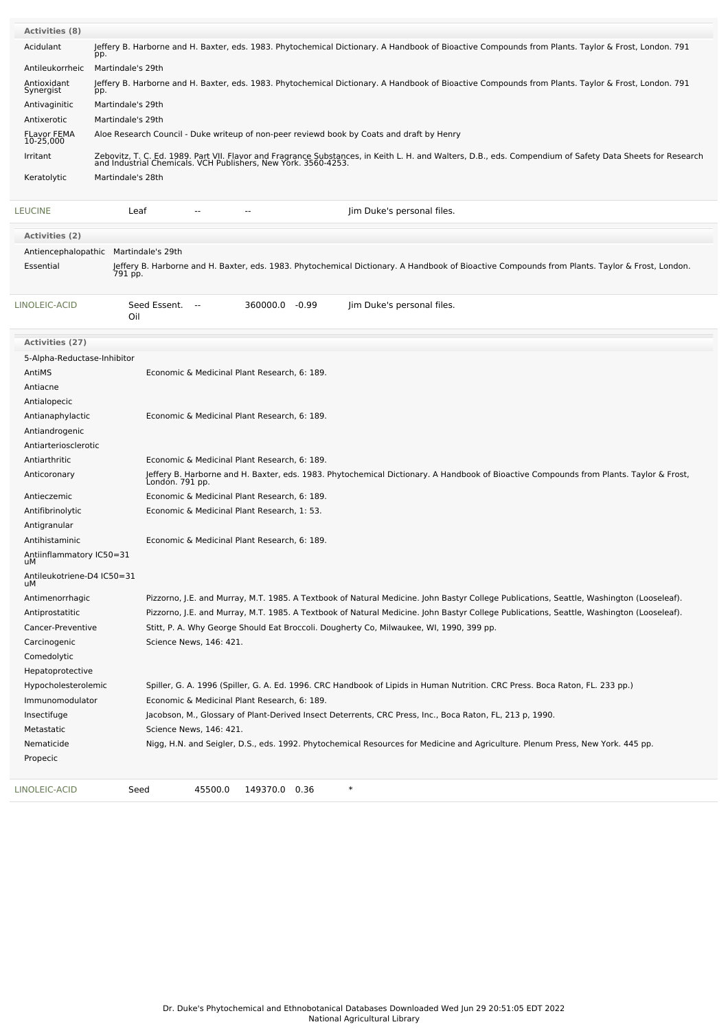| <b>Activities (8)</b>                      |                                                                                                                                                                                                                             |
|--------------------------------------------|-----------------------------------------------------------------------------------------------------------------------------------------------------------------------------------------------------------------------------|
| Acidulant                                  | Jeffery B. Harborne and H. Baxter, eds. 1983. Phytochemical Dictionary. A Handbook of Bioactive Compounds from Plants. Taylor & Frost, London. 791<br>pp.                                                                   |
| Antileukorrheic                            | Martindale's 29th                                                                                                                                                                                                           |
| Antioxidant<br>Synergist                   | Jeffery B. Harborne and H. Baxter, eds. 1983. Phytochemical Dictionary. A Handbook of Bioactive Compounds from Plants. Taylor & Frost, London. 791<br>pp.                                                                   |
| Antivaginitic                              | Martindale's 29th                                                                                                                                                                                                           |
| Antixerotic                                | Martindale's 29th                                                                                                                                                                                                           |
| <b>FLavor FEMA</b><br>10-25,000            | Aloe Research Council - Duke writeup of non-peer reviewd book by Coats and draft by Henry                                                                                                                                   |
| Irritant                                   | Zebovitz, T. C. Ed. 1989. Part VII. Flavor and Fragrance Substances, in Keith L. H. and Walters, D.B., eds. Compendium of Safety Data Sheets for Research<br>and Industrial Chemicals. VCH Publishers, New York. 3560-4253. |
| Keratolytic                                | Martindale's 28th                                                                                                                                                                                                           |
| <b>LEUCINE</b>                             | Leaf<br>Jim Duke's personal files.                                                                                                                                                                                          |
| Activities (2)                             |                                                                                                                                                                                                                             |
|                                            | Antiencephalopathic Martindale's 29th                                                                                                                                                                                       |
| Essential                                  | Jeffery B. Harborne and H. Baxter, eds. 1983. Phytochemical Dictionary. A Handbook of Bioactive Compounds from Plants. Taylor & Frost, London.<br>791 pp.                                                                   |
| LINOLEIC-ACID                              | Seed Essent.<br>360000.0 -0.99<br>Jim Duke's personal files.<br>$\sim$<br>Oil                                                                                                                                               |
| <b>Activities (27)</b>                     |                                                                                                                                                                                                                             |
| 5-Alpha-Reductase-Inhibitor                |                                                                                                                                                                                                                             |
| AntiMS                                     | Economic & Medicinal Plant Research, 6: 189.                                                                                                                                                                                |
| Antiacne                                   |                                                                                                                                                                                                                             |
| Antialopecic                               |                                                                                                                                                                                                                             |
| Antianaphylactic                           | Economic & Medicinal Plant Research, 6: 189.                                                                                                                                                                                |
| Antiandrogenic                             |                                                                                                                                                                                                                             |
| Antiarteriosclerotic                       |                                                                                                                                                                                                                             |
| Antiarthritic                              | Economic & Medicinal Plant Research, 6: 189.                                                                                                                                                                                |
| Anticoronary                               | Jeffery B. Harborne and H. Baxter, eds. 1983. Phytochemical Dictionary. A Handbook of Bioactive Compounds from Plants. Taylor & Frost,<br>London. 791 pp.                                                                   |
| Antieczemic                                | Economic & Medicinal Plant Research, 6: 189.                                                                                                                                                                                |
| Antifibrinolytic                           | Economic & Medicinal Plant Research, 1: 53.                                                                                                                                                                                 |
| Antigranular                               |                                                                                                                                                                                                                             |
| Antihistaminic<br>Antiinflammatory IC50=31 | Economic & Medicinal Plant Research, 6: 189.                                                                                                                                                                                |
| uМ                                         |                                                                                                                                                                                                                             |
| Antileukotriene-D4 IC50=31<br>uМ           |                                                                                                                                                                                                                             |
| Antimenorrhagic                            | Pizzorno, J.E. and Murray, M.T. 1985. A Textbook of Natural Medicine. John Bastyr College Publications, Seattle, Washington (Looseleaf).                                                                                    |
| Antiprostatitic                            | Pizzorno, J.E. and Murray, M.T. 1985. A Textbook of Natural Medicine. John Bastyr College Publications, Seattle, Washington (Looseleaf).                                                                                    |
| Cancer-Preventive                          | Stitt, P. A. Why George Should Eat Broccoli. Dougherty Co, Milwaukee, WI, 1990, 399 pp.                                                                                                                                     |
| Carcinogenic                               | Science News, 146: 421.                                                                                                                                                                                                     |
| Comedolytic                                |                                                                                                                                                                                                                             |
| Hepatoprotective                           |                                                                                                                                                                                                                             |
| Hypocholesterolemic                        | Spiller, G. A. 1996 (Spiller, G. A. Ed. 1996. CRC Handbook of Lipids in Human Nutrition. CRC Press. Boca Raton, FL. 233 pp.)<br>Economic & Medicinal Plant Research, 6: 189.                                                |
| Immunomodulator                            |                                                                                                                                                                                                                             |
| Insectifuge<br>Metastatic                  | Jacobson, M., Glossary of Plant-Derived Insect Deterrents, CRC Press, Inc., Boca Raton, FL, 213 p, 1990.<br>Science News, 146: 421.                                                                                         |
| Nematicide                                 | Nigg, H.N. and Seigler, D.S., eds. 1992. Phytochemical Resources for Medicine and Agriculture. Plenum Press, New York. 445 pp.                                                                                              |
| Propecic                                   |                                                                                                                                                                                                                             |
|                                            |                                                                                                                                                                                                                             |
| LINOLEIC-ACID                              | $\ast$<br>Seed<br>45500.0<br>149370.0 0.36                                                                                                                                                                                  |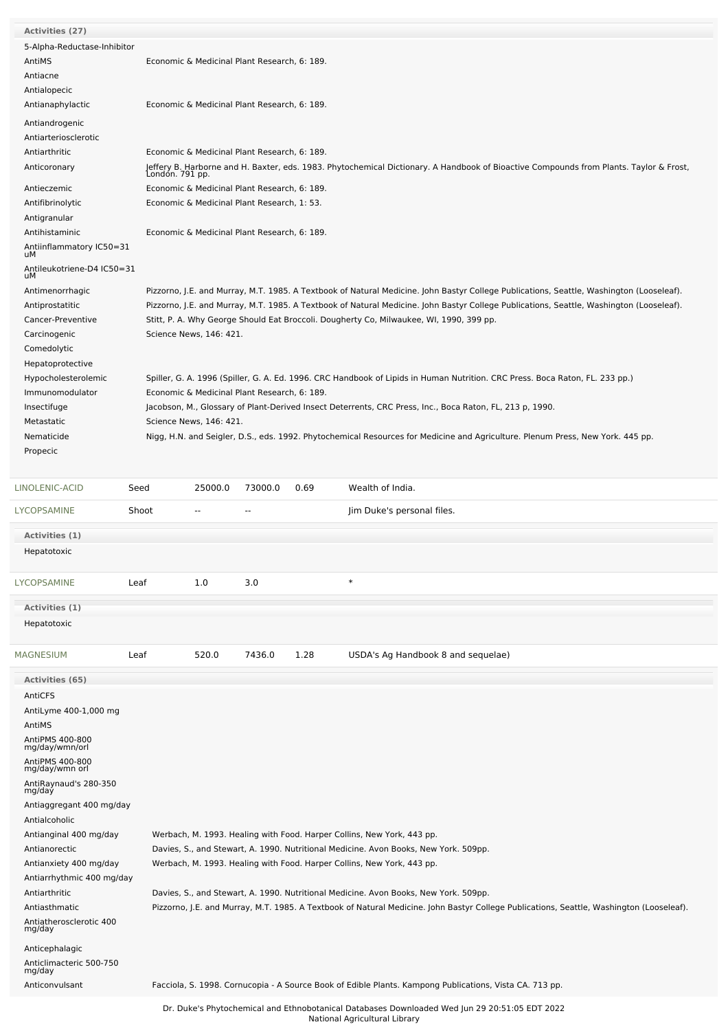| <b>Activities (27)</b>                               |                 |                                              |                                              |      |                                                                                                                                          |  |  |  |  |  |
|------------------------------------------------------|-----------------|----------------------------------------------|----------------------------------------------|------|------------------------------------------------------------------------------------------------------------------------------------------|--|--|--|--|--|
| 5-Alpha-Reductase-Inhibitor                          |                 |                                              |                                              |      |                                                                                                                                          |  |  |  |  |  |
| AntiMS                                               |                 |                                              | Economic & Medicinal Plant Research, 6: 189. |      |                                                                                                                                          |  |  |  |  |  |
| Antiacne                                             |                 |                                              |                                              |      |                                                                                                                                          |  |  |  |  |  |
| Antialopecic                                         |                 |                                              |                                              |      |                                                                                                                                          |  |  |  |  |  |
| Antianaphylactic                                     |                 | Economic & Medicinal Plant Research, 6: 189. |                                              |      |                                                                                                                                          |  |  |  |  |  |
| Antiandrogenic                                       |                 |                                              |                                              |      |                                                                                                                                          |  |  |  |  |  |
| Antiarteriosclerotic                                 |                 |                                              |                                              |      |                                                                                                                                          |  |  |  |  |  |
| Antiarthritic                                        |                 |                                              | Economic & Medicinal Plant Research, 6: 189. |      |                                                                                                                                          |  |  |  |  |  |
| Anticoronary                                         |                 |                                              |                                              |      | Jeffery B. Harborne and H. Baxter, eds. 1983. Phytochemical Dictionary. A Handbook of Bioactive Compounds from Plants. Taylor & Frost,   |  |  |  |  |  |
|                                                      | Londón. 791 pp. |                                              |                                              |      |                                                                                                                                          |  |  |  |  |  |
| Antieczemic                                          |                 |                                              | Economic & Medicinal Plant Research, 6: 189. |      |                                                                                                                                          |  |  |  |  |  |
| Antifibrinolytic                                     |                 |                                              | Economic & Medicinal Plant Research, 1: 53.  |      |                                                                                                                                          |  |  |  |  |  |
| Antigranular                                         |                 |                                              |                                              |      |                                                                                                                                          |  |  |  |  |  |
| Antihistaminic                                       |                 |                                              | Economic & Medicinal Plant Research, 6: 189. |      |                                                                                                                                          |  |  |  |  |  |
| Antiinflammatory IC50=31<br>uМ                       |                 |                                              |                                              |      |                                                                                                                                          |  |  |  |  |  |
| Antileukotriene-D4 IC50=31<br>uМ                     |                 |                                              |                                              |      |                                                                                                                                          |  |  |  |  |  |
| Antimenorrhagic                                      |                 |                                              |                                              |      | Pizzorno, J.E. and Murray, M.T. 1985. A Textbook of Natural Medicine. John Bastyr College Publications, Seattle, Washington (Looseleaf). |  |  |  |  |  |
| Antiprostatitic                                      |                 |                                              |                                              |      | Pizzorno, J.E. and Murray, M.T. 1985. A Textbook of Natural Medicine. John Bastyr College Publications, Seattle, Washington (Looseleaf). |  |  |  |  |  |
| Cancer-Preventive                                    |                 |                                              |                                              |      | Stitt, P. A. Why George Should Eat Broccoli. Dougherty Co, Milwaukee, WI, 1990, 399 pp.                                                  |  |  |  |  |  |
| Carcinogenic                                         |                 | Science News, 146: 421.                      |                                              |      |                                                                                                                                          |  |  |  |  |  |
| Comedolytic                                          |                 |                                              |                                              |      |                                                                                                                                          |  |  |  |  |  |
| Hepatoprotective                                     |                 |                                              |                                              |      |                                                                                                                                          |  |  |  |  |  |
| Hypocholesterolemic                                  |                 |                                              |                                              |      | Spiller, G. A. 1996 (Spiller, G. A. Ed. 1996. CRC Handbook of Lipids in Human Nutrition. CRC Press. Boca Raton, FL. 233 pp.)             |  |  |  |  |  |
| Immunomodulator                                      |                 |                                              | Economic & Medicinal Plant Research, 6: 189. |      |                                                                                                                                          |  |  |  |  |  |
| Insectifuge                                          |                 |                                              |                                              |      | Jacobson, M., Glossary of Plant-Derived Insect Deterrents, CRC Press, Inc., Boca Raton, FL, 213 p, 1990.                                 |  |  |  |  |  |
| Metastatic                                           |                 | Science News, 146: 421.                      |                                              |      |                                                                                                                                          |  |  |  |  |  |
| Nematicide                                           |                 |                                              |                                              |      | Nigg, H.N. and Seigler, D.S., eds. 1992. Phytochemical Resources for Medicine and Agriculture. Plenum Press, New York. 445 pp.           |  |  |  |  |  |
| Propecic                                             |                 |                                              |                                              |      |                                                                                                                                          |  |  |  |  |  |
|                                                      |                 |                                              |                                              |      |                                                                                                                                          |  |  |  |  |  |
| LINOLENIC-ACID                                       | Seed            | 25000.0                                      | 73000.0                                      | 0.69 | Wealth of India.                                                                                                                         |  |  |  |  |  |
|                                                      |                 |                                              |                                              |      |                                                                                                                                          |  |  |  |  |  |
| LYCOPSAMINE                                          | Shoot           |                                              | $\overline{a}$                               |      | Jim Duke's personal files.                                                                                                               |  |  |  |  |  |
| Activities (1)                                       |                 |                                              |                                              |      |                                                                                                                                          |  |  |  |  |  |
| Hepatotoxic                                          |                 |                                              |                                              |      |                                                                                                                                          |  |  |  |  |  |
| LYCOPSAMINE                                          | Leaf            | 1.0                                          | 3.0                                          |      | $\ast$                                                                                                                                   |  |  |  |  |  |
|                                                      |                 |                                              |                                              |      |                                                                                                                                          |  |  |  |  |  |
| Activities (1)                                       |                 |                                              |                                              |      |                                                                                                                                          |  |  |  |  |  |
| Hepatotoxic                                          |                 |                                              |                                              |      |                                                                                                                                          |  |  |  |  |  |
|                                                      |                 |                                              |                                              |      |                                                                                                                                          |  |  |  |  |  |
| MAGNESIUM                                            | Leaf            | 520.0                                        | 7436.0                                       | 1.28 | USDA's Ag Handbook 8 and sequelae)                                                                                                       |  |  |  |  |  |
|                                                      |                 |                                              |                                              |      |                                                                                                                                          |  |  |  |  |  |
| <b>Activities (65)</b>                               |                 |                                              |                                              |      |                                                                                                                                          |  |  |  |  |  |
| AntiCFS                                              |                 |                                              |                                              |      |                                                                                                                                          |  |  |  |  |  |
| AntiLyme 400-1,000 mg                                |                 |                                              |                                              |      |                                                                                                                                          |  |  |  |  |  |
| AntiMS                                               |                 |                                              |                                              |      |                                                                                                                                          |  |  |  |  |  |
| AntiPMS 400-800<br>mg/day/wmn/orl<br>AntiPMS 400-800 |                 |                                              |                                              |      |                                                                                                                                          |  |  |  |  |  |
| mg/day/wmn orl<br>AntiRaynaud's 280-350              |                 |                                              |                                              |      |                                                                                                                                          |  |  |  |  |  |
| mg/day<br>Antiaggregant 400 mg/day                   |                 |                                              |                                              |      |                                                                                                                                          |  |  |  |  |  |
| Antialcoholic                                        |                 |                                              |                                              |      |                                                                                                                                          |  |  |  |  |  |
| Antianginal 400 mg/day                               |                 |                                              |                                              |      | Werbach, M. 1993. Healing with Food. Harper Collins, New York, 443 pp.                                                                   |  |  |  |  |  |
| Antianorectic                                        |                 |                                              |                                              |      | Davies, S., and Stewart, A. 1990. Nutritional Medicine. Avon Books, New York. 509pp.                                                     |  |  |  |  |  |
| Antianxiety 400 mg/day                               |                 |                                              |                                              |      | Werbach, M. 1993. Healing with Food. Harper Collins, New York, 443 pp.                                                                   |  |  |  |  |  |
| Antiarrhythmic 400 mg/day                            |                 |                                              |                                              |      |                                                                                                                                          |  |  |  |  |  |
| Antiarthritic                                        |                 |                                              |                                              |      | Davies, S., and Stewart, A. 1990. Nutritional Medicine. Avon Books, New York. 509pp.                                                     |  |  |  |  |  |
| Antiasthmatic<br>Antiatherosclerotic 400<br>mg/day   |                 |                                              |                                              |      | Pizzorno, J.E. and Murray, M.T. 1985. A Textbook of Natural Medicine. John Bastyr College Publications, Seattle, Washington (Looseleaf). |  |  |  |  |  |
|                                                      |                 |                                              |                                              |      |                                                                                                                                          |  |  |  |  |  |
| Anticephalagic                                       |                 |                                              |                                              |      |                                                                                                                                          |  |  |  |  |  |
| Anticlimacteric 500-750<br>mg/day                    |                 |                                              |                                              |      |                                                                                                                                          |  |  |  |  |  |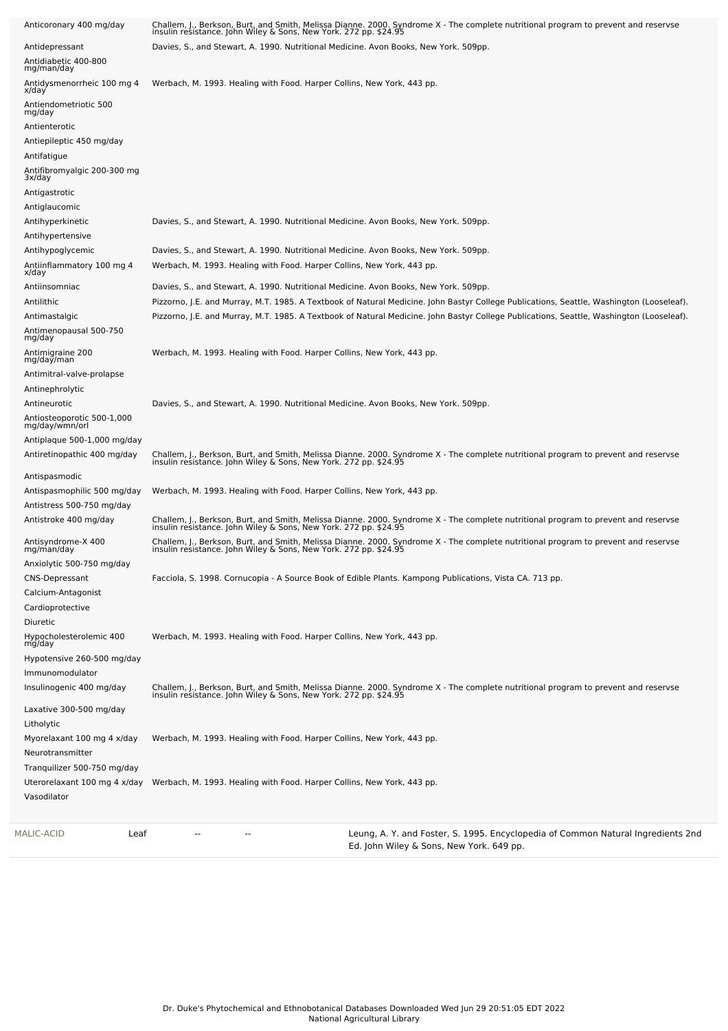| Anticoronary 400 mg/day                           | Challem, J., Berkson, Burt, and Smith, Melissa Dianne. 2000. Syndrome X - The complete nutritional program to prevent and reservse<br>insulin resistance. John Wiley & Sons, New York. 272 pp. \$24.95 |
|---------------------------------------------------|--------------------------------------------------------------------------------------------------------------------------------------------------------------------------------------------------------|
| Antidepressant                                    | Davies, S., and Stewart, A. 1990. Nutritional Medicine. Avon Books, New York. 509pp.                                                                                                                   |
| Antidiabetic 400-800<br>mg/man/day                |                                                                                                                                                                                                        |
| Antidysmenorrheic 100 mg 4<br>x/day               | Werbach, M. 1993. Healing with Food. Harper Collins, New York, 443 pp.                                                                                                                                 |
| Antiendometriotic 500<br>mg/day                   |                                                                                                                                                                                                        |
| Antienterotic                                     |                                                                                                                                                                                                        |
| Antiepileptic 450 mg/day                          |                                                                                                                                                                                                        |
| Antifatigue                                       |                                                                                                                                                                                                        |
| Antifibromyalgic 200-300 mg<br>3x/day             |                                                                                                                                                                                                        |
| Antigastrotic                                     |                                                                                                                                                                                                        |
| Antiglaucomic                                     |                                                                                                                                                                                                        |
| Antihyperkinetic                                  | Davies, S., and Stewart, A. 1990. Nutritional Medicine. Avon Books, New York. 509pp.                                                                                                                   |
| Antihypertensive<br>Antihypoglycemic              | Davies, S., and Stewart, A. 1990. Nutritional Medicine. Avon Books, New York. 509pp.                                                                                                                   |
| Antiinflammatory 100 mg 4                         | Werbach, M. 1993. Healing with Food. Harper Collins, New York, 443 pp.                                                                                                                                 |
| x/day                                             |                                                                                                                                                                                                        |
| Antiinsomniac                                     | Davies, S., and Stewart, A. 1990. Nutritional Medicine. Avon Books, New York. 509pp.                                                                                                                   |
| Antilithic                                        | Pizzorno, J.E. and Murray, M.T. 1985. A Textbook of Natural Medicine. John Bastyr College Publications, Seattle, Washington (Looseleaf).                                                               |
| Antimastalgic<br>Antimenopausal 500-750<br>mg/day | Pizzorno, J.E. and Murray, M.T. 1985. A Textbook of Natural Medicine. John Bastyr College Publications, Seattle, Washington (Looseleaf).                                                               |
| Antimigraine 200<br>mg/day/man                    | Werbach, M. 1993. Healing with Food. Harper Collins, New York, 443 pp.                                                                                                                                 |
| Antimitral-valve-prolapse                         |                                                                                                                                                                                                        |
| Antinephrolytic                                   |                                                                                                                                                                                                        |
| Antineurotic                                      | Davies, S., and Stewart, A. 1990. Nutritional Medicine. Avon Books, New York. 509pp.                                                                                                                   |
| Antiosteoporotic 500-1,000<br>mg/day/wmn/orl      |                                                                                                                                                                                                        |
| Antiplaque 500-1,000 mg/day                       |                                                                                                                                                                                                        |
| Antiretinopathic 400 mg/day                       | Challem, J., Berkson, Burt, and Smith, Melissa Dianne. 2000. Syndrome X - The complete nutritional program to prevent and reservse<br>insulin resistance. John Wiley & Sons, New York. 272 pp. \$24.95 |
| Antispasmodic                                     |                                                                                                                                                                                                        |
| Antispasmophilic 500 mg/day                       | Werbach, M. 1993. Healing with Food. Harper Collins, New York, 443 pp.                                                                                                                                 |
| Antistress 500-750 mg/day                         |                                                                                                                                                                                                        |
| Antistroke 400 mg/day                             | Challem, J., Berkson, Burt, and Smith, Melissa Dianne. 2000. Syndrome X - The complete nutritional program to prevent and reservse<br>insulin resistance. John Wiley & Sons, New York. 272 pp. \$24.95 |
| Antisyndrome-X 400<br>mg/man/day                  | Challem, J., Berkson, Burt, and Smith, Melissa Dianne. 2000. Syndrome X - The complete nutritional program to prevent and reservse insulin resistance. John Wiley & Sons, New York. 272 pp. \$24.95    |
| Anxiolytic 500-750 mg/day                         |                                                                                                                                                                                                        |
| <b>CNS-Depressant</b>                             | Facciola, S. 1998. Cornucopia - A Source Book of Edible Plants. Kampong Publications, Vista CA. 713 pp.                                                                                                |
| Calcium-Antagonist<br>Cardioprotective            |                                                                                                                                                                                                        |
| Diuretic                                          |                                                                                                                                                                                                        |
| Hypocholesterolemic 400<br>mg/day                 | Werbach, M. 1993. Healing with Food. Harper Collins, New York, 443 pp.                                                                                                                                 |
| Hypotensive 260-500 mg/day                        |                                                                                                                                                                                                        |
| Immunomodulator                                   |                                                                                                                                                                                                        |
| Insulinogenic 400 mg/day                          | Challem, J., Berkson, Burt, and Smith, Melissa Dianne. 2000. Syndrome X - The complete nutritional program to prevent and reservse<br>insulin resistance. John Wiley & Sons, New York. 272 pp. \$24.95 |
| Laxative 300-500 mg/day                           |                                                                                                                                                                                                        |
| Litholytic                                        |                                                                                                                                                                                                        |
| Myorelaxant 100 mg 4 x/day                        | Werbach, M. 1993. Healing with Food. Harper Collins, New York, 443 pp.                                                                                                                                 |
| Neurotransmitter                                  |                                                                                                                                                                                                        |
| Tranquilizer 500-750 mg/day                       |                                                                                                                                                                                                        |
| Uterorelaxant 100 mg 4 x/day                      | Werbach, M. 1993. Healing with Food. Harper Collins, New York, 443 pp.                                                                                                                                 |
| Vasodilator                                       |                                                                                                                                                                                                        |
|                                                   |                                                                                                                                                                                                        |
| MALIC-ACID<br>Leaf                                | Leung, A. Y. and Foster, S. 1995. Encyclopedia of Common Natural Ingredients 2nd<br>$-$<br>Ed. John Wiley & Sons, New York. 649 pp.                                                                    |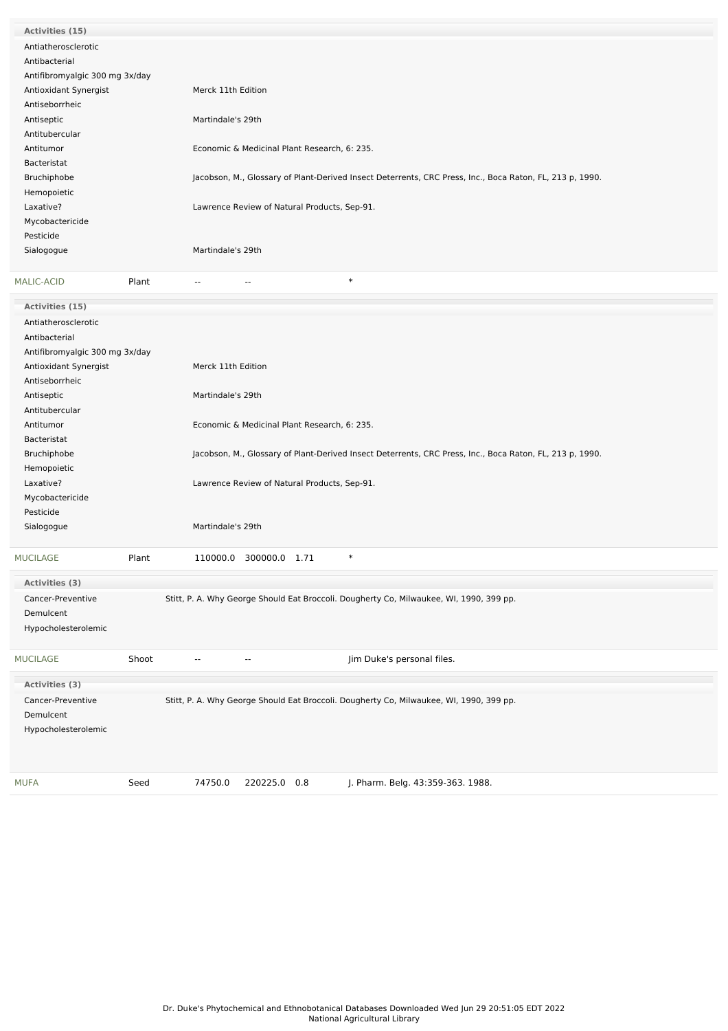| Activities (15)                |       |                                                                                                          |
|--------------------------------|-------|----------------------------------------------------------------------------------------------------------|
| Antiatherosclerotic            |       |                                                                                                          |
| Antibacterial                  |       |                                                                                                          |
| Antifibromyalgic 300 mg 3x/day |       |                                                                                                          |
| Antioxidant Synergist          |       | Merck 11th Edition                                                                                       |
| Antiseborrheic                 |       |                                                                                                          |
| Antiseptic                     |       | Martindale's 29th                                                                                        |
| Antitubercular                 |       |                                                                                                          |
| Antitumor                      |       | Economic & Medicinal Plant Research, 6: 235.                                                             |
| Bacteristat                    |       |                                                                                                          |
| Bruchiphobe                    |       | Jacobson, M., Glossary of Plant-Derived Insect Deterrents, CRC Press, Inc., Boca Raton, FL, 213 p, 1990. |
| Hemopoietic                    |       |                                                                                                          |
| Laxative?                      |       | Lawrence Review of Natural Products, Sep-91.                                                             |
| Mycobactericide                |       |                                                                                                          |
| Pesticide                      |       |                                                                                                          |
| Sialogogue                     |       | Martindale's 29th                                                                                        |
|                                |       |                                                                                                          |
| <b>MALIC-ACID</b>              | Plant | $\ast$<br>$- -$                                                                                          |

| Activities (15)                |       |                    |                                              |                                                                                                          |  |
|--------------------------------|-------|--------------------|----------------------------------------------|----------------------------------------------------------------------------------------------------------|--|
| Antiatherosclerotic            |       |                    |                                              |                                                                                                          |  |
| Antibacterial                  |       |                    |                                              |                                                                                                          |  |
| Antifibromyalgic 300 mg 3x/day |       |                    |                                              |                                                                                                          |  |
| Antioxidant Synergist          |       | Merck 11th Edition |                                              |                                                                                                          |  |
| Antiseborrheic                 |       |                    |                                              |                                                                                                          |  |
| Antiseptic                     |       | Martindale's 29th  |                                              |                                                                                                          |  |
| Antitubercular                 |       |                    |                                              |                                                                                                          |  |
| Antitumor                      |       |                    | Economic & Medicinal Plant Research, 6: 235. |                                                                                                          |  |
| Bacteristat                    |       |                    |                                              |                                                                                                          |  |
| Bruchiphobe                    |       |                    |                                              | Jacobson, M., Glossary of Plant-Derived Insect Deterrents, CRC Press, Inc., Boca Raton, FL, 213 p, 1990. |  |
| Hemopoietic                    |       |                    |                                              |                                                                                                          |  |
| Laxative?                      |       |                    | Lawrence Review of Natural Products, Sep-91. |                                                                                                          |  |
| Mycobactericide                |       |                    |                                              |                                                                                                          |  |
| Pesticide                      |       |                    |                                              |                                                                                                          |  |
| Sialogogue                     |       | Martindale's 29th  |                                              |                                                                                                          |  |
| <b>MUCILAGE</b>                | Plant |                    | 110000.0 300000.0 1.71                       | $\ast$                                                                                                   |  |
| Activities (3)                 |       |                    |                                              |                                                                                                          |  |
| Cancer-Preventive              |       |                    |                                              | Stitt, P. A. Why George Should Eat Broccoli. Dougherty Co, Milwaukee, WI, 1990, 399 pp.                  |  |
| Demulcent                      |       |                    |                                              |                                                                                                          |  |
| Hypocholesterolemic            |       |                    |                                              |                                                                                                          |  |
|                                |       |                    |                                              |                                                                                                          |  |
| <b>MUCILAGE</b>                | Shoot |                    | --                                           | Jim Duke's personal files.                                                                               |  |
| Activities (3)                 |       |                    |                                              |                                                                                                          |  |
| Cancer-Preventive              |       |                    |                                              | Stitt, P. A. Why George Should Eat Broccoli. Dougherty Co, Milwaukee, WI, 1990, 399 pp.                  |  |
| Demulcent                      |       |                    |                                              |                                                                                                          |  |
| Hypocholesterolemic            |       |                    |                                              |                                                                                                          |  |
|                                |       |                    |                                              |                                                                                                          |  |
|                                |       |                    |                                              |                                                                                                          |  |
| <b>MUFA</b>                    | Seed  | 74750.0            | 220225.0 0.8                                 | J. Pharm. Belg. 43:359-363. 1988.                                                                        |  |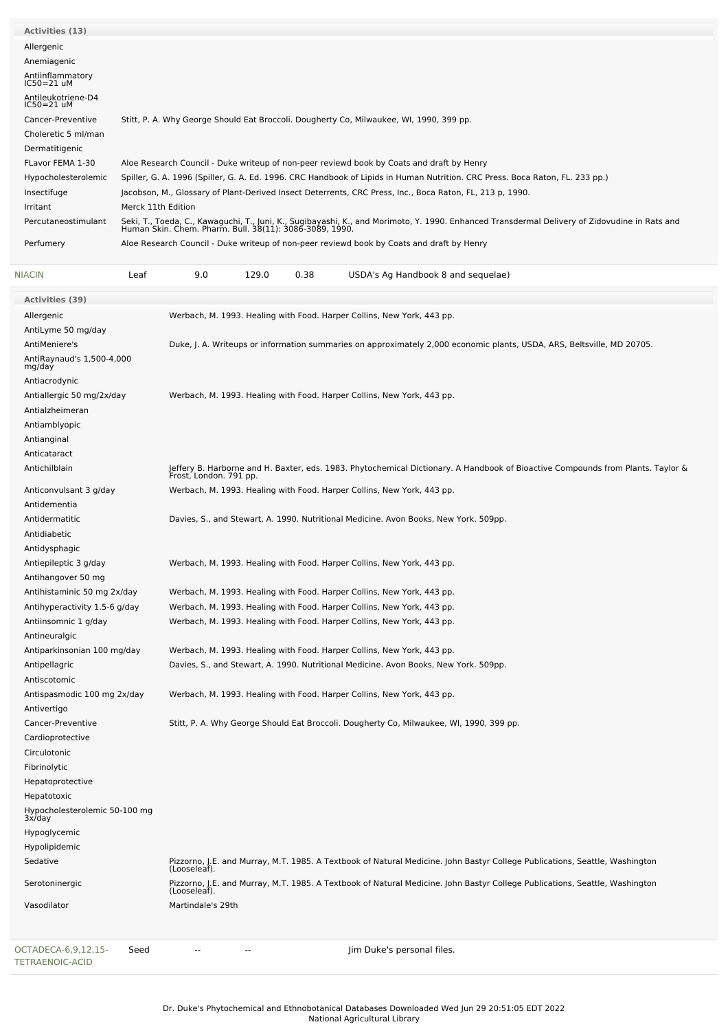| <b>Activities (13)</b>               |                                                                                                                                                                                                          |
|--------------------------------------|----------------------------------------------------------------------------------------------------------------------------------------------------------------------------------------------------------|
| Allergenic                           |                                                                                                                                                                                                          |
| Anemiagenic                          |                                                                                                                                                                                                          |
| Antiinflammatory<br>$IC50=21$ uM     |                                                                                                                                                                                                          |
| Antileukotriene-D4<br>$IC50 = 21$ uM |                                                                                                                                                                                                          |
| Cancer-Preventive                    | Stitt, P. A. Why George Should Eat Broccoli. Dougherty Co, Milwaukee, WI, 1990, 399 pp.                                                                                                                  |
| Choleretic 5 ml/man                  |                                                                                                                                                                                                          |
| Dermatitigenic                       |                                                                                                                                                                                                          |
| FLavor FEMA 1-30                     | Aloe Research Council - Duke writeup of non-peer reviewd book by Coats and draft by Henry                                                                                                                |
| Hypocholesterolemic                  | Spiller, G. A. 1996 (Spiller, G. A. Ed. 1996. CRC Handbook of Lipids in Human Nutrition. CRC Press. Boca Raton, FL. 233 pp.)                                                                             |
| Insectifuge                          | Jacobson, M., Glossary of Plant-Derived Insect Deterrents, CRC Press, Inc., Boca Raton, FL, 213 p, 1990.                                                                                                 |
| Irritant                             | Merck 11th Edition                                                                                                                                                                                       |
| Percutaneostimulant                  | Seki, T., Toeda, C., Kawaguchi, T., Juni, K., Sugibayashi, K., and Morimoto, Y. 1990. Enhanced Transdermal Delivery of Zidovudine in Rats and<br>Human Skin. Chem. Pharm. Bull. 38(11): 3086-3089, 1990. |
| Perfumery                            | Aloe Research Council - Duke writeup of non-peer reviewd book by Coats and draft by Henry                                                                                                                |

| <b>NIACIN</b>                                 | Leaf | 9.0               | 129.0 | 0.38 | USDA's Ag Handbook 8 and sequelae)                                                                                                                        |
|-----------------------------------------------|------|-------------------|-------|------|-----------------------------------------------------------------------------------------------------------------------------------------------------------|
| <b>Activities (39)</b>                        |      |                   |       |      |                                                                                                                                                           |
| Allergenic                                    |      |                   |       |      | Werbach, M. 1993. Healing with Food. Harper Collins, New York, 443 pp.                                                                                    |
| AntiLyme 50 mg/day                            |      |                   |       |      |                                                                                                                                                           |
| AntiMeniere's                                 |      |                   |       |      | Duke, J. A. Writeups or information summaries on approximately 2,000 economic plants, USDA, ARS, Beltsville, MD 20705.                                    |
| AntiRaynaud's 1,500-4,000<br>mg/day           |      |                   |       |      |                                                                                                                                                           |
| Antiacrodynic                                 |      |                   |       |      |                                                                                                                                                           |
| Antiallergic 50 mg/2x/day                     |      |                   |       |      | Werbach, M. 1993. Healing with Food. Harper Collins, New York, 443 pp.                                                                                    |
| Antialzheimeran                               |      |                   |       |      |                                                                                                                                                           |
| Antiamblyopic                                 |      |                   |       |      |                                                                                                                                                           |
| Antianginal                                   |      |                   |       |      |                                                                                                                                                           |
| Anticataract                                  |      |                   |       |      |                                                                                                                                                           |
| Antichilblain                                 |      |                   |       |      | Jeffery B. Harborne and H. Baxter, eds. 1983. Phytochemical Dictionary. A Handbook of Bioactive Compounds from Plants. Taylor &<br>Frost, London. 791 pp. |
| Anticonvulsant 3 g/day                        |      |                   |       |      | Werbach, M. 1993. Healing with Food. Harper Collins, New York, 443 pp.                                                                                    |
| Antidementia                                  |      |                   |       |      |                                                                                                                                                           |
| Antidermatitic                                |      |                   |       |      | Davies, S., and Stewart, A. 1990. Nutritional Medicine. Avon Books, New York. 509pp.                                                                      |
| Antidiabetic                                  |      |                   |       |      |                                                                                                                                                           |
| Antidysphagic                                 |      |                   |       |      |                                                                                                                                                           |
| Antiepileptic 3 g/day                         |      |                   |       |      | Werbach, M. 1993. Healing with Food. Harper Collins, New York, 443 pp.                                                                                    |
| Antihangover 50 mg                            |      |                   |       |      |                                                                                                                                                           |
| Antihistaminic 50 mg 2x/day                   |      |                   |       |      | Werbach, M. 1993. Healing with Food. Harper Collins, New York, 443 pp.                                                                                    |
| Antihyperactivity 1.5-6 g/day                 |      |                   |       |      | Werbach, M. 1993. Healing with Food. Harper Collins, New York, 443 pp.                                                                                    |
| Antiinsomnic 1 g/day                          |      |                   |       |      | Werbach, M. 1993. Healing with Food. Harper Collins, New York, 443 pp.                                                                                    |
| Antineuralgic                                 |      |                   |       |      |                                                                                                                                                           |
| Antiparkinsonian 100 mg/day                   |      |                   |       |      | Werbach, M. 1993. Healing with Food. Harper Collins, New York, 443 pp.                                                                                    |
| Antipellagric                                 |      |                   |       |      | Davies, S., and Stewart, A. 1990. Nutritional Medicine. Avon Books, New York. 509pp.                                                                      |
| Antiscotomic                                  |      |                   |       |      |                                                                                                                                                           |
| Antispasmodic 100 mg 2x/day<br>Antivertigo    |      |                   |       |      | Werbach, M. 1993. Healing with Food. Harper Collins, New York, 443 pp.                                                                                    |
| Cancer-Preventive                             |      |                   |       |      | Stitt, P. A. Why George Should Eat Broccoli. Dougherty Co, Milwaukee, WI, 1990, 399 pp.                                                                   |
| Cardioprotective                              |      |                   |       |      |                                                                                                                                                           |
| Circulotonic                                  |      |                   |       |      |                                                                                                                                                           |
| Fibrinolytic                                  |      |                   |       |      |                                                                                                                                                           |
| Hepatoprotective                              |      |                   |       |      |                                                                                                                                                           |
| Hepatotoxic                                   |      |                   |       |      |                                                                                                                                                           |
| Hypocholesterolemic 50-100 mg<br>3x/day       |      |                   |       |      |                                                                                                                                                           |
| Hypoglycemic                                  |      |                   |       |      |                                                                                                                                                           |
| Hypolipidemic                                 |      |                   |       |      |                                                                                                                                                           |
| Sedative                                      |      |                   |       |      | Pizzorno, J.E. and Murray, M.T. 1985. A Textbook of Natural Medicine. John Bastyr College Publications, Seattle, Washington                               |
| Serotoninergic                                |      | (Looseleaf).      |       |      | Pizzorno, J.E. and Murray, M.T. 1985. A Textbook of Natural Medicine. John Bastyr College Publications, Seattle, Washington                               |
|                                               |      | (Looseleaf).      |       |      |                                                                                                                                                           |
| Vasodilator                                   |      | Martindale's 29th |       |      |                                                                                                                                                           |
| OCTADECA-6,9,12,15-<br><b>TETRAENOIC-ACID</b> | Seed |                   |       |      | Jim Duke's personal files.                                                                                                                                |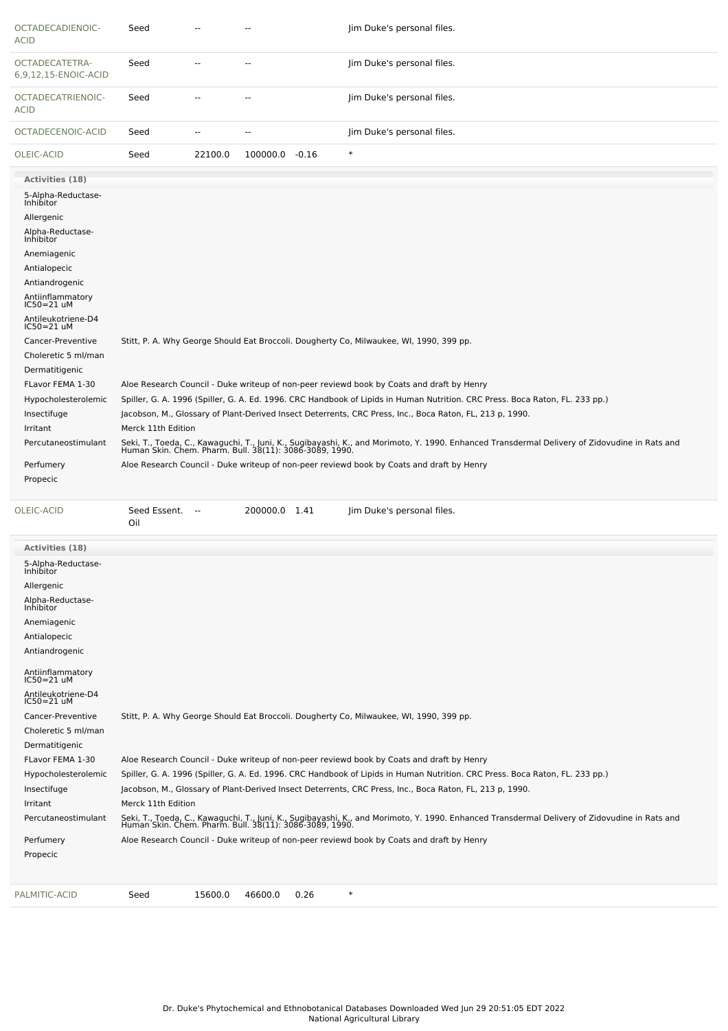| OCTADECADIENOIC-<br><b>ACID</b>        | Seed                                                                                      |                                                                                                                              |                |      | Jim Duke's personal files.                                                                                                                                                                               |  |  |  |  |  |
|----------------------------------------|-------------------------------------------------------------------------------------------|------------------------------------------------------------------------------------------------------------------------------|----------------|------|----------------------------------------------------------------------------------------------------------------------------------------------------------------------------------------------------------|--|--|--|--|--|
| OCTADECATETRA-<br>6,9,12,15-ENOIC-ACID | Seed                                                                                      |                                                                                                                              | $\overline{a}$ |      | Jim Duke's personal files.                                                                                                                                                                               |  |  |  |  |  |
| OCTADECATRIENOIC-<br><b>ACID</b>       | Seed                                                                                      | --                                                                                                                           |                |      | Jim Duke's personal files.                                                                                                                                                                               |  |  |  |  |  |
| OCTADECENOIC-ACID                      | Seed                                                                                      | --                                                                                                                           |                |      | Jim Duke's personal files.                                                                                                                                                                               |  |  |  |  |  |
| OLEIC-ACID                             | Seed                                                                                      | 22100.0                                                                                                                      | 100000.0 -0.16 |      | $\ast$                                                                                                                                                                                                   |  |  |  |  |  |
| Activities (18)                        |                                                                                           |                                                                                                                              |                |      |                                                                                                                                                                                                          |  |  |  |  |  |
| 5-Alpha-Reductase-<br>Inhibitor        |                                                                                           |                                                                                                                              |                |      |                                                                                                                                                                                                          |  |  |  |  |  |
| Allergenic                             |                                                                                           |                                                                                                                              |                |      |                                                                                                                                                                                                          |  |  |  |  |  |
| Alpha-Reductase-<br>Inhibitor          |                                                                                           |                                                                                                                              |                |      |                                                                                                                                                                                                          |  |  |  |  |  |
|                                        |                                                                                           |                                                                                                                              |                |      |                                                                                                                                                                                                          |  |  |  |  |  |
| Anemiagenic                            |                                                                                           |                                                                                                                              |                |      |                                                                                                                                                                                                          |  |  |  |  |  |
| Antialopecic<br>Antiandrogenic         |                                                                                           |                                                                                                                              |                |      |                                                                                                                                                                                                          |  |  |  |  |  |
|                                        |                                                                                           |                                                                                                                              |                |      |                                                                                                                                                                                                          |  |  |  |  |  |
| Antiinflammatory<br>IC50=21 uM         |                                                                                           |                                                                                                                              |                |      |                                                                                                                                                                                                          |  |  |  |  |  |
| Antileukotriene-D4<br>$IC50 = 21$ uM   |                                                                                           |                                                                                                                              |                |      |                                                                                                                                                                                                          |  |  |  |  |  |
| Cancer-Preventive                      |                                                                                           |                                                                                                                              |                |      | Stitt, P. A. Why George Should Eat Broccoli. Dougherty Co, Milwaukee, WI, 1990, 399 pp.                                                                                                                  |  |  |  |  |  |
| Choleretic 5 ml/man                    |                                                                                           |                                                                                                                              |                |      |                                                                                                                                                                                                          |  |  |  |  |  |
| Dermatitigenic                         |                                                                                           |                                                                                                                              |                |      |                                                                                                                                                                                                          |  |  |  |  |  |
| FLavor FEMA 1-30                       |                                                                                           |                                                                                                                              |                |      | Aloe Research Council - Duke writeup of non-peer reviewd book by Coats and draft by Henry                                                                                                                |  |  |  |  |  |
| Hypocholesterolemic                    |                                                                                           | Spiller, G. A. 1996 (Spiller, G. A. Ed. 1996. CRC Handbook of Lipids in Human Nutrition. CRC Press. Boca Raton, FL. 233 pp.) |                |      |                                                                                                                                                                                                          |  |  |  |  |  |
| Insectifuge                            |                                                                                           |                                                                                                                              |                |      | Jacobson, M., Glossary of Plant-Derived Insect Deterrents, CRC Press, Inc., Boca Raton, FL, 213 p, 1990.                                                                                                 |  |  |  |  |  |
| Irritant                               | Merck 11th Edition                                                                        |                                                                                                                              |                |      |                                                                                                                                                                                                          |  |  |  |  |  |
| Percutaneostimulant                    |                                                                                           |                                                                                                                              |                |      | Seki, T., Toeda, C., Kawaguchi, T., Juni, K., Sugibayashi, K., and Morimoto, Y. 1990. Enhanced Transdermal Delivery of Zidovudine in Rats and<br>Human Skin. Chem. Pharm. Bull. 38(11): 3086-3089, 1990. |  |  |  |  |  |
| Perfumery                              | Aloe Research Council - Duke writeup of non-peer reviewd book by Coats and draft by Henry |                                                                                                                              |                |      |                                                                                                                                                                                                          |  |  |  |  |  |
| Propecic                               |                                                                                           |                                                                                                                              |                |      |                                                                                                                                                                                                          |  |  |  |  |  |
| OLEIC-ACID                             | Seed Essent.<br>Oil                                                                       | $\sim$                                                                                                                       | 200000.0 1.41  |      | Jim Duke's personal files.                                                                                                                                                                               |  |  |  |  |  |
| <b>Activities (18)</b>                 |                                                                                           |                                                                                                                              |                |      |                                                                                                                                                                                                          |  |  |  |  |  |
| 5-Alpha-Reductase-                     |                                                                                           |                                                                                                                              |                |      |                                                                                                                                                                                                          |  |  |  |  |  |
| <b>INNIDILOI</b>                       |                                                                                           |                                                                                                                              |                |      |                                                                                                                                                                                                          |  |  |  |  |  |
| Allergenic                             |                                                                                           |                                                                                                                              |                |      |                                                                                                                                                                                                          |  |  |  |  |  |
| Alpha-Reductase-<br>Inhibitor          |                                                                                           |                                                                                                                              |                |      |                                                                                                                                                                                                          |  |  |  |  |  |
| Anemiagenic                            |                                                                                           |                                                                                                                              |                |      |                                                                                                                                                                                                          |  |  |  |  |  |
| Antialopecic                           |                                                                                           |                                                                                                                              |                |      |                                                                                                                                                                                                          |  |  |  |  |  |
| Antiandrogenic                         |                                                                                           |                                                                                                                              |                |      |                                                                                                                                                                                                          |  |  |  |  |  |
| Antiinflammatory<br>$IC50 = 21$ uM     |                                                                                           |                                                                                                                              |                |      |                                                                                                                                                                                                          |  |  |  |  |  |
| Antileukotriene-D4<br>$IC50 = 21$ uM   |                                                                                           |                                                                                                                              |                |      |                                                                                                                                                                                                          |  |  |  |  |  |
| Cancer-Preventive                      |                                                                                           |                                                                                                                              |                |      | Stitt, P. A. Why George Should Eat Broccoli. Dougherty Co, Milwaukee, WI, 1990, 399 pp.                                                                                                                  |  |  |  |  |  |
| Choleretic 5 ml/man                    |                                                                                           |                                                                                                                              |                |      |                                                                                                                                                                                                          |  |  |  |  |  |
| Dermatitigenic                         |                                                                                           |                                                                                                                              |                |      |                                                                                                                                                                                                          |  |  |  |  |  |
| FLavor FEMA 1-30                       |                                                                                           |                                                                                                                              |                |      | Aloe Research Council - Duke writeup of non-peer reviewd book by Coats and draft by Henry                                                                                                                |  |  |  |  |  |
| Hypocholesterolemic                    |                                                                                           |                                                                                                                              |                |      | Spiller, G. A. 1996 (Spiller, G. A. Ed. 1996. CRC Handbook of Lipids in Human Nutrition. CRC Press. Boca Raton, FL. 233 pp.)                                                                             |  |  |  |  |  |
|                                        |                                                                                           |                                                                                                                              |                |      |                                                                                                                                                                                                          |  |  |  |  |  |
| Insectifuge                            |                                                                                           |                                                                                                                              |                |      | Jacobson, M., Glossary of Plant-Derived Insect Deterrents, CRC Press, Inc., Boca Raton, FL, 213 p, 1990.                                                                                                 |  |  |  |  |  |
| Irritant                               | Merck 11th Edition                                                                        |                                                                                                                              |                |      |                                                                                                                                                                                                          |  |  |  |  |  |
| Percutaneostimulant                    |                                                                                           |                                                                                                                              |                |      | Seki, T., Toeda, C., Kawaguchi, T., Juni, K., Sugibayashi, K., and Morimoto, Y. 1990. Enhanced Transdermal Delivery of Zidovudine in Rats and<br>Human Skin. Chem. Pharm. Bull. 38(11): 3086-3089, 1990. |  |  |  |  |  |
| Perfumery                              |                                                                                           |                                                                                                                              |                |      | Aloe Research Council - Duke writeup of non-peer reviewd book by Coats and draft by Henry                                                                                                                |  |  |  |  |  |
| Propecic                               |                                                                                           |                                                                                                                              |                |      |                                                                                                                                                                                                          |  |  |  |  |  |
| PALMITIC-ACID                          | Seed                                                                                      | 15600.0                                                                                                                      | 46600.0        | 0.26 | $\ast$                                                                                                                                                                                                   |  |  |  |  |  |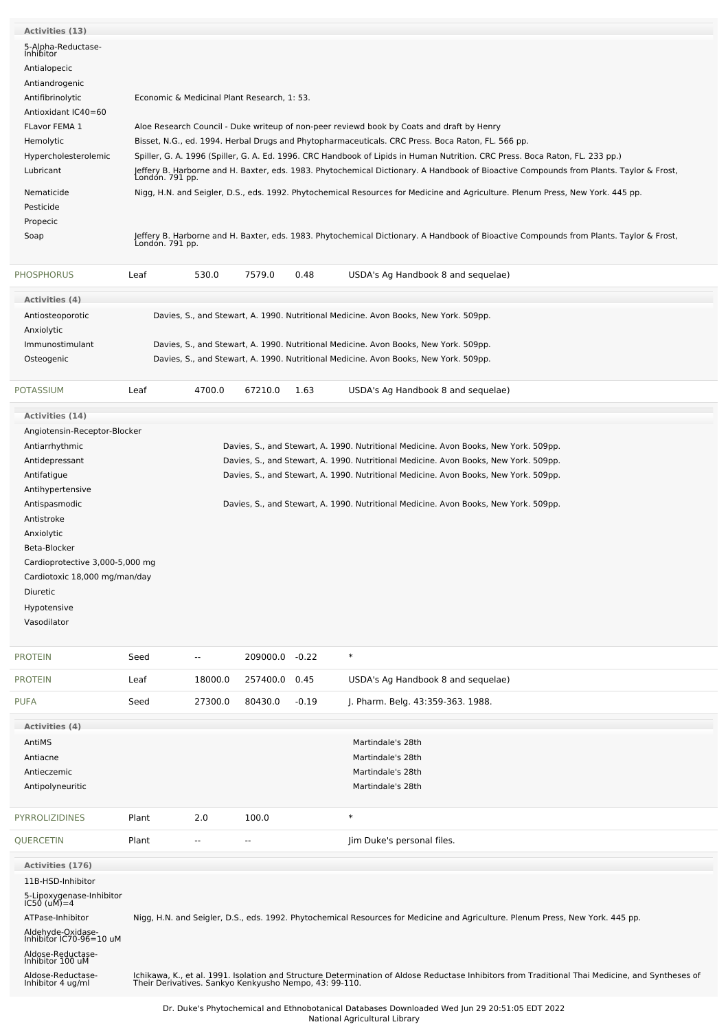| Activities (13)                              |                                                                                                   |                                                                                                                              |                |         |                                                                                                                                                                                                            |  |  |  |  |  |
|----------------------------------------------|---------------------------------------------------------------------------------------------------|------------------------------------------------------------------------------------------------------------------------------|----------------|---------|------------------------------------------------------------------------------------------------------------------------------------------------------------------------------------------------------------|--|--|--|--|--|
| 5-Alpha-Reductase-<br>Inhibitor              |                                                                                                   |                                                                                                                              |                |         |                                                                                                                                                                                                            |  |  |  |  |  |
| Antialopecic                                 |                                                                                                   |                                                                                                                              |                |         |                                                                                                                                                                                                            |  |  |  |  |  |
| Antiandrogenic                               |                                                                                                   |                                                                                                                              |                |         |                                                                                                                                                                                                            |  |  |  |  |  |
| Antifibrinolytic                             |                                                                                                   |                                                                                                                              |                |         |                                                                                                                                                                                                            |  |  |  |  |  |
| Antioxidant IC40=60                          | Economic & Medicinal Plant Research, 1: 53.                                                       |                                                                                                                              |                |         |                                                                                                                                                                                                            |  |  |  |  |  |
| FLavor FEMA 1                                | Aloe Research Council - Duke writeup of non-peer reviewd book by Coats and draft by Henry         |                                                                                                                              |                |         |                                                                                                                                                                                                            |  |  |  |  |  |
| Hemolytic                                    | Bisset, N.G., ed. 1994. Herbal Drugs and Phytopharmaceuticals. CRC Press. Boca Raton, FL. 566 pp. |                                                                                                                              |                |         |                                                                                                                                                                                                            |  |  |  |  |  |
| Hypercholesterolemic                         |                                                                                                   | Spiller, G. A. 1996 (Spiller, G. A. Ed. 1996. CRC Handbook of Lipids in Human Nutrition. CRC Press. Boca Raton, FL. 233 pp.) |                |         |                                                                                                                                                                                                            |  |  |  |  |  |
| Lubricant                                    | Londón. 791 pp.                                                                                   |                                                                                                                              |                |         | Jeffery B. Harborne and H. Baxter, eds. 1983. Phytochemical Dictionary. A Handbook of Bioactive Compounds from Plants. Taylor & Frost,                                                                     |  |  |  |  |  |
| Nematicide                                   |                                                                                                   |                                                                                                                              |                |         | Nigg, H.N. and Seigler, D.S., eds. 1992. Phytochemical Resources for Medicine and Agriculture. Plenum Press, New York. 445 pp.                                                                             |  |  |  |  |  |
| Pesticide                                    |                                                                                                   |                                                                                                                              |                |         |                                                                                                                                                                                                            |  |  |  |  |  |
| Propecic                                     |                                                                                                   |                                                                                                                              |                |         |                                                                                                                                                                                                            |  |  |  |  |  |
| Soap                                         |                                                                                                   |                                                                                                                              |                |         | Jeffery B. Harborne and H. Baxter, eds. 1983. Phytochemical Dictionary. A Handbook of Bioactive Compounds from Plants. Taylor & Frost,<br>London. 791 pp.                                                  |  |  |  |  |  |
|                                              |                                                                                                   |                                                                                                                              |                |         |                                                                                                                                                                                                            |  |  |  |  |  |
| <b>PHOSPHORUS</b>                            | Leaf                                                                                              | 530.0                                                                                                                        | 7579.0         | 0.48    | USDA's Ag Handbook 8 and sequelae)                                                                                                                                                                         |  |  |  |  |  |
| <b>Activities (4)</b>                        |                                                                                                   |                                                                                                                              |                |         |                                                                                                                                                                                                            |  |  |  |  |  |
| Antiosteoporotic<br>Anxiolytic               |                                                                                                   |                                                                                                                              |                |         | Davies, S., and Stewart, A. 1990. Nutritional Medicine. Avon Books, New York. 509pp.                                                                                                                       |  |  |  |  |  |
| Immunostimulant                              |                                                                                                   |                                                                                                                              |                |         | Davies, S., and Stewart, A. 1990. Nutritional Medicine. Avon Books, New York. 509pp.                                                                                                                       |  |  |  |  |  |
| Osteogenic                                   |                                                                                                   |                                                                                                                              |                |         | Davies, S., and Stewart, A. 1990. Nutritional Medicine. Avon Books, New York. 509pp.                                                                                                                       |  |  |  |  |  |
|                                              |                                                                                                   |                                                                                                                              |                |         |                                                                                                                                                                                                            |  |  |  |  |  |
| <b>POTASSIUM</b>                             | Leaf                                                                                              | 4700.0                                                                                                                       | 67210.0        | 1.63    | USDA's Ag Handbook 8 and sequelae)                                                                                                                                                                         |  |  |  |  |  |
| Activities (14)                              |                                                                                                   |                                                                                                                              |                |         |                                                                                                                                                                                                            |  |  |  |  |  |
| Angiotensin-Receptor-Blocker                 |                                                                                                   |                                                                                                                              |                |         |                                                                                                                                                                                                            |  |  |  |  |  |
| Antiarrhythmic                               |                                                                                                   |                                                                                                                              |                |         | Davies, S., and Stewart, A. 1990. Nutritional Medicine. Avon Books, New York. 509pp.                                                                                                                       |  |  |  |  |  |
| Antidepressant                               |                                                                                                   |                                                                                                                              |                |         | Davies, S., and Stewart, A. 1990. Nutritional Medicine. Avon Books, New York. 509pp.                                                                                                                       |  |  |  |  |  |
| Antifatigue                                  |                                                                                                   |                                                                                                                              |                |         | Davies, S., and Stewart, A. 1990. Nutritional Medicine. Avon Books, New York. 509pp.                                                                                                                       |  |  |  |  |  |
| Antihypertensive                             |                                                                                                   |                                                                                                                              |                |         |                                                                                                                                                                                                            |  |  |  |  |  |
| Antispasmodic                                |                                                                                                   |                                                                                                                              |                |         | Davies, S., and Stewart, A. 1990. Nutritional Medicine. Avon Books, New York. 509pp.                                                                                                                       |  |  |  |  |  |
| Antistroke                                   |                                                                                                   |                                                                                                                              |                |         |                                                                                                                                                                                                            |  |  |  |  |  |
| Anxiolytic                                   |                                                                                                   |                                                                                                                              |                |         |                                                                                                                                                                                                            |  |  |  |  |  |
| Beta-Blocker                                 |                                                                                                   |                                                                                                                              |                |         |                                                                                                                                                                                                            |  |  |  |  |  |
| Cardioprotective 3,000-5,000 mg              |                                                                                                   |                                                                                                                              |                |         |                                                                                                                                                                                                            |  |  |  |  |  |
| Cardiotoxic 18,000 mg/man/day<br>Diuretic    |                                                                                                   |                                                                                                                              |                |         |                                                                                                                                                                                                            |  |  |  |  |  |
| Hypotensive                                  |                                                                                                   |                                                                                                                              |                |         |                                                                                                                                                                                                            |  |  |  |  |  |
| Vasodilator                                  |                                                                                                   |                                                                                                                              |                |         |                                                                                                                                                                                                            |  |  |  |  |  |
|                                              |                                                                                                   |                                                                                                                              |                |         |                                                                                                                                                                                                            |  |  |  |  |  |
| <b>PROTEIN</b>                               | Seed                                                                                              | $\overline{\phantom{a}}$                                                                                                     | 209000.0 -0.22 |         | $\ast$                                                                                                                                                                                                     |  |  |  |  |  |
| <b>PROTEIN</b>                               | Leaf                                                                                              | 18000.0                                                                                                                      | 257400.0       | 0.45    | USDA's Ag Handbook 8 and sequelae)                                                                                                                                                                         |  |  |  |  |  |
| <b>PUFA</b>                                  | Seed                                                                                              | 27300.0                                                                                                                      | 80430.0        | $-0.19$ | J. Pharm. Belg. 43:359-363. 1988.                                                                                                                                                                          |  |  |  |  |  |
| <b>Activities (4)</b>                        |                                                                                                   |                                                                                                                              |                |         |                                                                                                                                                                                                            |  |  |  |  |  |
| AntiMS                                       |                                                                                                   |                                                                                                                              |                |         | Martindale's 28th                                                                                                                                                                                          |  |  |  |  |  |
| Antiacne                                     |                                                                                                   |                                                                                                                              |                |         | Martindale's 28th                                                                                                                                                                                          |  |  |  |  |  |
| Antieczemic                                  |                                                                                                   |                                                                                                                              |                |         | Martindale's 28th                                                                                                                                                                                          |  |  |  |  |  |
| Antipolyneuritic                             |                                                                                                   |                                                                                                                              |                |         | Martindale's 28th                                                                                                                                                                                          |  |  |  |  |  |
| <b>PYRROLIZIDINES</b>                        | Plant                                                                                             | 2.0                                                                                                                          | 100.0          |         | $\ast$                                                                                                                                                                                                     |  |  |  |  |  |
| QUERCETIN                                    | Plant                                                                                             | $\sim$                                                                                                                       | --             |         | Jim Duke's personal files.                                                                                                                                                                                 |  |  |  |  |  |
|                                              |                                                                                                   |                                                                                                                              |                |         |                                                                                                                                                                                                            |  |  |  |  |  |
| <b>Activities (176)</b>                      |                                                                                                   |                                                                                                                              |                |         |                                                                                                                                                                                                            |  |  |  |  |  |
| 11B-HSD-Inhibitor                            |                                                                                                   |                                                                                                                              |                |         |                                                                                                                                                                                                            |  |  |  |  |  |
| 5-Lipoxygenase-Inhibitor<br>IC50 (uM)=4      |                                                                                                   |                                                                                                                              |                |         |                                                                                                                                                                                                            |  |  |  |  |  |
| ATPase-Inhibitor                             |                                                                                                   |                                                                                                                              |                |         | Nigg, H.N. and Seigler, D.S., eds. 1992. Phytochemical Resources for Medicine and Agriculture. Plenum Press, New York. 445 pp.                                                                             |  |  |  |  |  |
| Aldehyde-Oxidase-<br>Inhibitor IC70-96=10 uM |                                                                                                   |                                                                                                                              |                |         |                                                                                                                                                                                                            |  |  |  |  |  |
| Aldose-Reductase-<br>Inhibitor 100 uM        |                                                                                                   |                                                                                                                              |                |         |                                                                                                                                                                                                            |  |  |  |  |  |
| Aldose-Reductase-                            |                                                                                                   |                                                                                                                              |                |         |                                                                                                                                                                                                            |  |  |  |  |  |
| Inhibitor 4 ug/ml                            |                                                                                                   |                                                                                                                              |                |         | Ichikawa, K., et al. 1991. Isolation and Structure Determination of Aldose Reductase Inhibitors from Traditional Thai Medicine, and Syntheses of<br>Their Derivatives. Sankyo Kenkyusho Nempo, 43: 99-110. |  |  |  |  |  |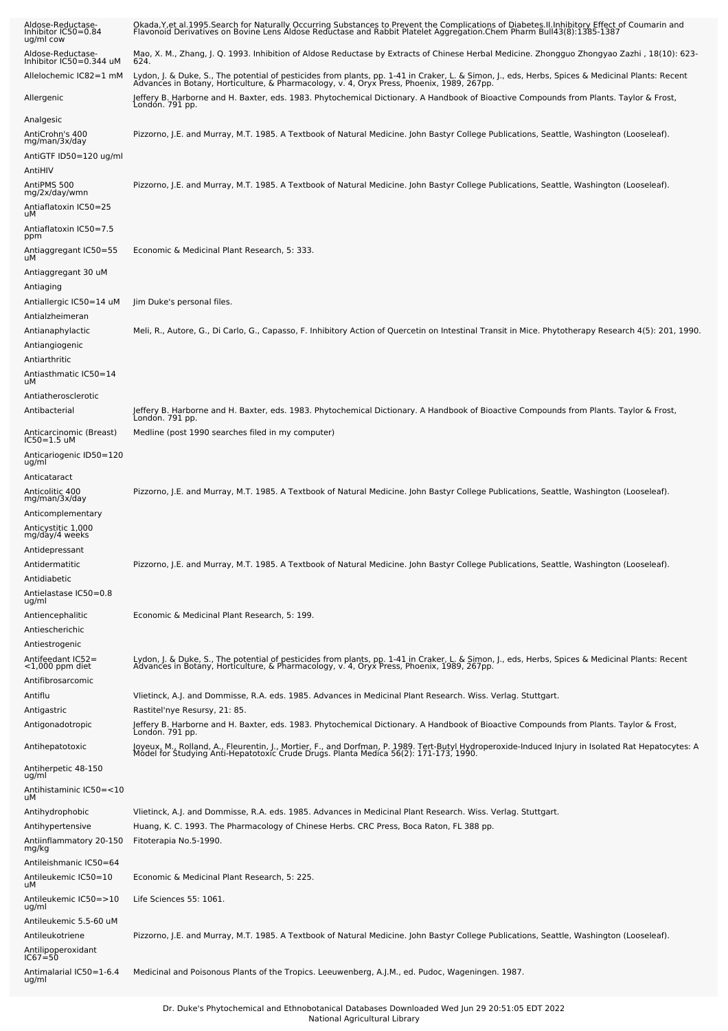| Aldose-Reductase-<br>Inhibitor IC50=0.84<br>ug/ml cow | Okada,Y,et al.1995.Search for Naturally Occurring Substances to Prevent the Complications of Diabetes.II.Inhibitory Effect of Coumarin and<br>Flavonoid Derivatives on Bovine Lens Aldose Reductase and Rabbit Platelet Aggregati |
|-------------------------------------------------------|-----------------------------------------------------------------------------------------------------------------------------------------------------------------------------------------------------------------------------------|
| Aldose-Reductase-<br>Inhibitor IC50=0.344 uM          | Mao, X. M., Zhang, J. Q. 1993. Inhibition of Aldose Reductase by Extracts of Chinese Herbal Medicine. Zhongguo Zhongyao Zazhi , 18(10): 623-<br>624.                                                                              |
| Allelochemic IC82=1 mM                                | Lydon, J. & Duke, S., The potential of pesticides from plants, pp. 1-41 in Craker, L. & Simon, J., eds, Herbs, Spices & Medicinal Plants: Recent<br>Advances in Botany, Horticulture, & Pharmacology, v. 4, Oryx Press, Phoenix,  |
| Allergenic                                            | Jeffery B. Harborne and H. Baxter, eds. 1983. Phytochemical Dictionary. A Handbook of Bioactive Compounds from Plants. Taylor & Frost,<br>London. 791 pp.                                                                         |
| Analgesic                                             |                                                                                                                                                                                                                                   |
| AntiCrohn's 400<br>mg/man/3x/day                      | Pizzorno, J.E. and Murray, M.T. 1985. A Textbook of Natural Medicine. John Bastyr College Publications, Seattle, Washington (Looseleaf).                                                                                          |
| AntiGTF ID50=120 ug/ml                                |                                                                                                                                                                                                                                   |
| AntiHIV                                               |                                                                                                                                                                                                                                   |
| AntiPMS 500<br>mg/2x/day/wmn                          | Pizzorno, J.E. and Murray, M.T. 1985. A Textbook of Natural Medicine. John Bastyr College Publications, Seattle, Washington (Looseleaf).                                                                                          |
| Antiaflatoxin IC50=25<br>uМ                           |                                                                                                                                                                                                                                   |
| Antiaflatoxin IC50=7.5<br>ppm                         |                                                                                                                                                                                                                                   |
| Antiaggregant IC50=55<br>uМ                           | Economic & Medicinal Plant Research, 5: 333.                                                                                                                                                                                      |
| Antiaggregant 30 uM                                   |                                                                                                                                                                                                                                   |
| Antiaging                                             |                                                                                                                                                                                                                                   |
| Antiallergic IC50=14 uM                               | Jim Duke's personal files.                                                                                                                                                                                                        |
| Antialzheimeran                                       |                                                                                                                                                                                                                                   |
| Antianaphylactic                                      | Meli, R., Autore, G., Di Carlo, G., Capasso, F. Inhibitory Action of Quercetin on Intestinal Transit in Mice. Phytotherapy Research 4(5): 201, 1990.                                                                              |
| Antiangiogenic<br>Antiarthritic                       |                                                                                                                                                                                                                                   |
| Antiasthmatic IC50=14                                 |                                                                                                                                                                                                                                   |
| uМ                                                    |                                                                                                                                                                                                                                   |
| Antiatherosclerotic<br>Antibacterial                  | Jeffery B. Harborne and H. Baxter, eds. 1983. Phytochemical Dictionary. A Handbook of Bioactive Compounds from Plants. Taylor & Frost,                                                                                            |
|                                                       | London. 791 pp.                                                                                                                                                                                                                   |
| Anticarcinomic (Breast)<br>IC50=1.5 uM                | Medline (post 1990 searches filed in my computer)                                                                                                                                                                                 |
| Anticariogenic ID50=120<br>ug/ml                      |                                                                                                                                                                                                                                   |
| Anticataract                                          |                                                                                                                                                                                                                                   |
| Anticolitic 400<br>mg/man/3x/day                      | Pizzorno, J.E. and Murray, M.T. 1985. A Textbook of Natural Medicine. John Bastyr College Publications, Seattle, Washington (Looseleaf).                                                                                          |
| Anticomplementary                                     |                                                                                                                                                                                                                                   |
| Anticystitic 1,000<br>mg/day/4 weeks                  |                                                                                                                                                                                                                                   |
| Antidepressant                                        |                                                                                                                                                                                                                                   |
| Antidermatitic                                        | Pizzorno, J.E. and Murray, M.T. 1985. A Textbook of Natural Medicine. John Bastyr College Publications, Seattle, Washington (Looseleaf).                                                                                          |
| Antidiabetic                                          |                                                                                                                                                                                                                                   |
| Antielastase IC50=0.8<br>ug/ml                        |                                                                                                                                                                                                                                   |
| Antiencephalitic                                      | Economic & Medicinal Plant Research, 5: 199.                                                                                                                                                                                      |
| Antiescherichic                                       |                                                                                                                                                                                                                                   |
| Antiestrogenic                                        |                                                                                                                                                                                                                                   |
| Antifeedant IC52=<br>$<$ 1,000 ppm diet               | Lydon, J. & Duke, S., The potential of pesticides from plants, pp. 1-41 in Craker, L. & Simon, J., eds, Herbs, Spices & Medicinal Plants: Recent<br>Advances in Botany, Horticulture, & Pharmacology, v. 4, Oryx Press, Phoenix,  |
| Antifibrosarcomic                                     |                                                                                                                                                                                                                                   |
| Antiflu                                               | Vlietinck, A.J. and Dommisse, R.A. eds. 1985. Advances in Medicinal Plant Research. Wiss. Verlag. Stuttgart.                                                                                                                      |
| Antigastric                                           | Rastitel'nye Resursy, 21: 85.                                                                                                                                                                                                     |
| Antigonadotropic                                      | Jeffery B. Harborne and H. Baxter, eds. 1983. Phytochemical Dictionary. A Handbook of Bioactive Compounds from Plants. Taylor & Frost,<br>London. 791 pp.                                                                         |
| Antihepatotoxic                                       | Joyeux, M., Rolland, A., Fleurentin, J., Mortier, F., and Dorfman, P. 1989. Tert-Butyl Hydroperoxide-Induced Injury in Isolated Rat Hepatocytes: A<br>Model for Studying Anti-Hepatotoxic Crude Drugs. Planta Medica 56(2): 171-1 |
| Antiherpetic 48-150<br>ug/ml                          |                                                                                                                                                                                                                                   |
| Antihistaminic IC50=<10<br>uМ                         |                                                                                                                                                                                                                                   |
| Antihydrophobic                                       | Vlietinck, A.J. and Dommisse, R.A. eds. 1985. Advances in Medicinal Plant Research. Wiss. Verlag. Stuttgart.                                                                                                                      |
| Antihypertensive                                      | Huang, K. C. 1993. The Pharmacology of Chinese Herbs. CRC Press, Boca Raton, FL 388 pp.                                                                                                                                           |
| Antiinflammatory 20-150<br>mg/kg                      | Fitoterapia No.5-1990.                                                                                                                                                                                                            |
| Antileishmanic IC50=64                                |                                                                                                                                                                                                                                   |
| Antileukemic IC50=10<br>uМ                            | Economic & Medicinal Plant Research, 5: 225.                                                                                                                                                                                      |
| Antileukemic IC50=>10<br>ug/ml                        | Life Sciences 55: 1061.                                                                                                                                                                                                           |
| Antileukemic 5.5-60 uM                                |                                                                                                                                                                                                                                   |
| Antileukotriene                                       | Pizzorno, J.E. and Murray, M.T. 1985. A Textbook of Natural Medicine. John Bastyr College Publications, Seattle, Washington (Looseleaf).                                                                                          |
| Antilipoperoxidant<br>IC67≐50                         |                                                                                                                                                                                                                                   |
| Antimalarial IC50=1-6.4<br>ug/ml                      | Medicinal and Poisonous Plants of the Tropics. Leeuwenberg, A.J.M., ed. Pudoc, Wageningen. 1987.                                                                                                                                  |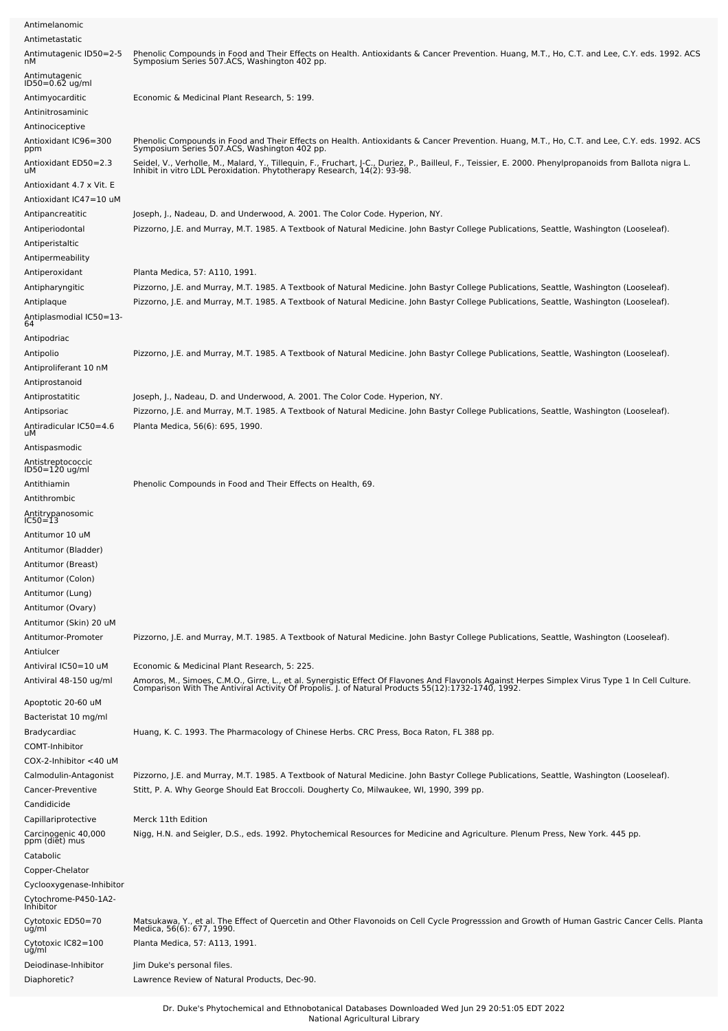| Antimelanomic                                                  |                                                                                                                                                                                                                                                                                      |
|----------------------------------------------------------------|--------------------------------------------------------------------------------------------------------------------------------------------------------------------------------------------------------------------------------------------------------------------------------------|
| Antimetastatic<br>Antimutagenic ID50=2-5                       |                                                                                                                                                                                                                                                                                      |
| nМ                                                             | Phenolic Compounds in Food and Their Effects on Health. Antioxidants & Cancer Prevention. Huang, M.T., Ho, C.T. and Lee, C.Y. eds. 1992. ACS<br>Symposium Series 507.ACS, Washington 402 pp.                                                                                         |
| Antimutagenic<br>ID50=0.62 ug/ml                               |                                                                                                                                                                                                                                                                                      |
| Antimyocarditic                                                | Economic & Medicinal Plant Research, 5: 199.                                                                                                                                                                                                                                         |
| Antinitrosaminic                                               |                                                                                                                                                                                                                                                                                      |
| Antinociceptive                                                |                                                                                                                                                                                                                                                                                      |
| Antioxidant IC96=300<br>ppm                                    | Phenolic Compounds in Food and Their Effects on Health. Antioxidants & Cancer Prevention. Huang, M.T., Ho, C.T. and Lee, C.Y. eds. 1992. ACS<br>Symposium Series 507.ACS, Washington 402 pp.                                                                                         |
| Antioxidant ED50=2.3<br>uМ<br>Antioxidant 4.7 x Vit. E         | Seidel, V., Verholle, M., Malard, Y., Tillequin, F., Fruchart, J-C., Duriez, P., Bailleul, F., Teissier, E. 2000. Phenylpropanoids from Ballota nigra L.<br>Inhibit in vitro LDL Peroxidation. Phytotherapy Research, 14(2): 93-9                                                    |
| Antioxidant IC47=10 uM                                         |                                                                                                                                                                                                                                                                                      |
| Antipancreatitic                                               | Joseph, J., Nadeau, D. and Underwood, A. 2001. The Color Code. Hyperion, NY.                                                                                                                                                                                                         |
| Antiperiodontal<br>Antiperistaltic                             | Pizzorno, J.E. and Murray, M.T. 1985. A Textbook of Natural Medicine. John Bastyr College Publications, Seattle, Washington (Looseleaf).                                                                                                                                             |
| Antipermeability                                               |                                                                                                                                                                                                                                                                                      |
| Antiperoxidant                                                 | Planta Medica, 57: A110, 1991.                                                                                                                                                                                                                                                       |
| Antipharyngitic<br>Antiplaque<br>Antiplasmodial IC50=13-<br>64 | Pizzorno, J.E. and Murray, M.T. 1985. A Textbook of Natural Medicine. John Bastyr College Publications, Seattle, Washington (Looseleaf).<br>Pizzorno, J.E. and Murray, M.T. 1985. A Textbook of Natural Medicine. John Bastyr College Publications, Seattle, Washington (Looseleaf). |
| Antipodriac                                                    |                                                                                                                                                                                                                                                                                      |
| Antipolio<br>Antiproliferant 10 nM                             | Pizzorno, J.E. and Murray, M.T. 1985. A Textbook of Natural Medicine. John Bastyr College Publications, Seattle, Washington (Looseleaf).                                                                                                                                             |
| Antiprostanoid<br>Antiprostatitic                              |                                                                                                                                                                                                                                                                                      |
| Antipsoriac<br>Antiradicular IC50=4.6<br>uМ                    | Joseph, J., Nadeau, D. and Underwood, A. 2001. The Color Code. Hyperion, NY.<br>Pizzorno, J.E. and Murray, M.T. 1985. A Textbook of Natural Medicine. John Bastyr College Publications, Seattle, Washington (Looseleaf).<br>Planta Medica, 56(6): 695, 1990.                         |
| Antispasmodic                                                  |                                                                                                                                                                                                                                                                                      |
| Antistreptococcic<br>ID50=120 ug/ml                            |                                                                                                                                                                                                                                                                                      |
| Antithiamin<br>Antithrombic                                    | Phenolic Compounds in Food and Their Effects on Health, 69.                                                                                                                                                                                                                          |
| Antitrypanosomic                                               |                                                                                                                                                                                                                                                                                      |
| IC50≓13                                                        |                                                                                                                                                                                                                                                                                      |
| Antitumor 10 uM<br>Antitumor (Bladder)<br>Antitumor (Breast)   |                                                                                                                                                                                                                                                                                      |
| Antitumor (Colon)                                              |                                                                                                                                                                                                                                                                                      |
| Antitumor (Lung)                                               |                                                                                                                                                                                                                                                                                      |
| Antitumor (Ovary)                                              |                                                                                                                                                                                                                                                                                      |
| Antitumor (Skin) 20 uM<br>Antitumor-Promoter<br>Antiulcer      | Pizzorno, J.E. and Murray, M.T. 1985. A Textbook of Natural Medicine. John Bastyr College Publications, Seattle, Washington (Looseleaf).                                                                                                                                             |
| Antiviral IC50=10 uM                                           | Economic & Medicinal Plant Research, 5: 225.                                                                                                                                                                                                                                         |
| Antiviral 48-150 ug/ml                                         | Amoros, M., Simoes, C.M.O., Girre, L., et al. Synergistic Effect Of Flavones And Flavonols Against Herpes Simplex Virus Type 1 In Cell Culture.<br>Comparison With The Antiviral Activity Of Propolis. J. of Natural Products 55(                                                    |
| Apoptotic 20-60 uM<br>Bacteristat 10 mg/ml                     |                                                                                                                                                                                                                                                                                      |
| Bradycardiac<br>COMT-Inhibitor                                 | Huang, K. C. 1993. The Pharmacology of Chinese Herbs. CRC Press, Boca Raton, FL 388 pp.                                                                                                                                                                                              |
| COX-2-Inhibitor <40 uM                                         |                                                                                                                                                                                                                                                                                      |
| Calmodulin-Antagonist                                          | Pizzorno, J.E. and Murray, M.T. 1985. A Textbook of Natural Medicine. John Bastyr College Publications, Seattle, Washington (Looseleaf).                                                                                                                                             |
| Cancer-Preventive<br>Candidicide                               | Stitt, P. A. Why George Should Eat Broccoli. Dougherty Co, Milwaukee, WI, 1990, 399 pp.                                                                                                                                                                                              |
| Capillariprotective                                            | Merck 11th Edition                                                                                                                                                                                                                                                                   |
| Carcinogenic 40,000<br>ppm (diễt) mus<br>Catabolic             | Nigg, H.N. and Seigler, D.S., eds. 1992. Phytochemical Resources for Medicine and Agriculture. Plenum Press, New York. 445 pp.                                                                                                                                                       |
| Copper-Chelator                                                |                                                                                                                                                                                                                                                                                      |
| Cyclooxygenase-Inhibitor<br>Cytochrome-P450-1A2-<br>Inhibitor  |                                                                                                                                                                                                                                                                                      |
| Cytotoxic ED50=70<br>ug/ml                                     | Matsukawa, Y., et al. The Effect of Quercetin and Other Flavonoids on Cell Cycle Progresssion and Growth of Human Gastric Cancer Cells. Planta<br>Medica, 56(6): 677, 1990.                                                                                                          |
| Cytotoxic IC82=100<br>ug/ml                                    | Planta Medica, 57: A113, 1991.                                                                                                                                                                                                                                                       |
| Deiodinase-Inhibitor                                           | Jim Duke's personal files.                                                                                                                                                                                                                                                           |
| Diaphoretic?                                                   | Lawrence Review of Natural Products, Dec-90.                                                                                                                                                                                                                                         |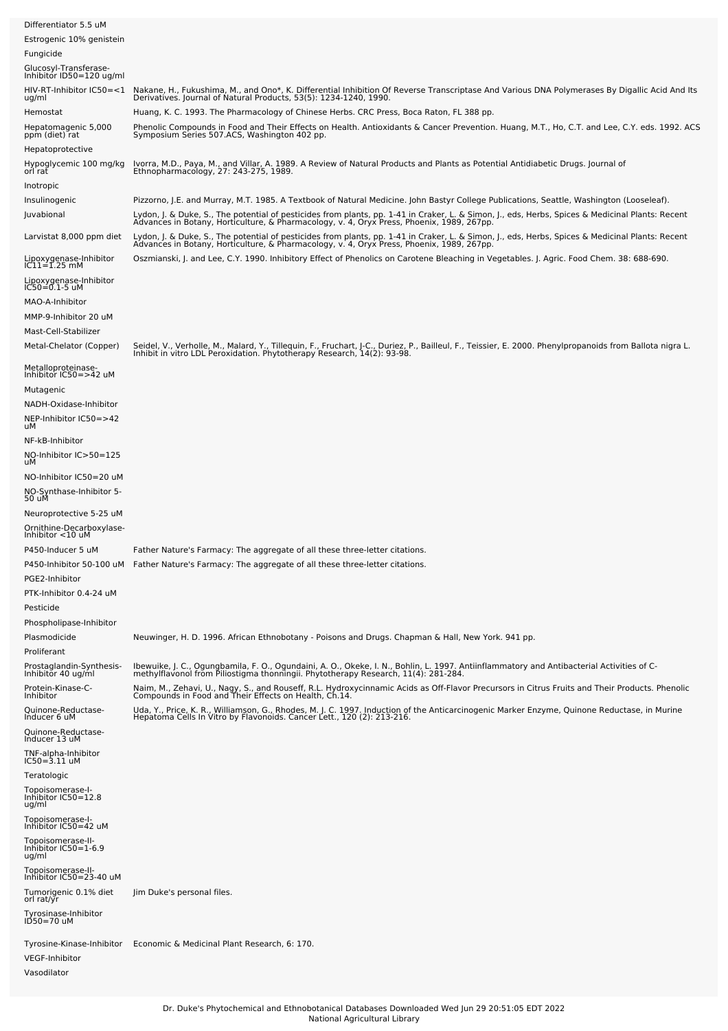| Differentiator 5.5 uM                                          |                                                                                                                                                                                                                                         |
|----------------------------------------------------------------|-----------------------------------------------------------------------------------------------------------------------------------------------------------------------------------------------------------------------------------------|
| Estrogenic 10% genistein                                       |                                                                                                                                                                                                                                         |
| Fungicide<br>Glucosyl-Transferase-<br>Inhibitor ID50=120 ug/ml |                                                                                                                                                                                                                                         |
|                                                                | HIV-RT-Inhibitor IC50=<1 Nakane, H., Fukushima, M., and Ono*, K. Differential Inhibition Of Reverse Transcriptase And Various DNA Polymerases By Digallic Acid And Its                                                                  |
| ug/ml                                                          | Derivatives. Journal of Natural Products, 53(5): 1234-1240, 1990.                                                                                                                                                                       |
| Hemostat<br>Hepatomagenic 5,000                                | Huang, K. C. 1993. The Pharmacology of Chinese Herbs. CRC Press, Boca Raton, FL 388 pp.<br>Phenolic Compounds in Food and Their Effects on Health. Antioxidants & Cancer Prevention. Huang, M.T., Ho, C.T. and Lee, C.Y. eds. 1992. ACS |
| ppm (diet) rat<br>Hepatoprotective                             | Symposium Series 507.ACS, Washington 402 pp.                                                                                                                                                                                            |
| Hypoglycemic 100 mg/kg<br>orl rat                              | Ivorra, M.D., Paya, M., and Villar, A. 1989. A Review of Natural Products and Plants as Potential Antidiabetic Drugs. Journal of                                                                                                        |
| Inotropic                                                      | Ethnopharmacology, 27: 243-275, 1989.                                                                                                                                                                                                   |
| Insulinogenic                                                  | Pizzorno, J.E. and Murray, M.T. 1985. A Textbook of Natural Medicine. John Bastyr College Publications, Seattle, Washington (Looseleaf).                                                                                                |
| Juvabional                                                     | Lydon, J. & Duke, S., The potential of pesticides from plants, pp. 1-41 in Craker, L. & Simon, J., eds, Herbs, Spices & Medicinal Plants: Recent<br>Advances in Botany, Horticulture, & Pharmacology, v. 4, Oryx Press, Phoenix,        |
| Larvistat 8,000 ppm diet                                       | Lydon, J. & Duke, S., The potential of pesticides from plants, pp. 1-41 in Craker, L. & Simon, J., eds, Herbs, Spices & Medicinal Plants: Recent<br>Advances in Botany, Horticulture, & Pharmacology, v. 4, Oryx Press, Phoenix,        |
| Lipoxygenase-Inhibitor<br>IC11=1.25 mM                         | Oszmianski, J. and Lee, C.Y. 1990. Inhibitory Effect of Phenolics on Carotene Bleaching in Vegetables. J. Agric. Food Chem. 38: 688-690.                                                                                                |
| Lipoxygenase-Inhibitor                                         |                                                                                                                                                                                                                                         |
| IC50=0.1-5 uM<br>MAO-A-Inhibitor                               |                                                                                                                                                                                                                                         |
| MMP-9-Inhibitor 20 uM                                          |                                                                                                                                                                                                                                         |
| Mast-Cell-Stabilizer                                           |                                                                                                                                                                                                                                         |
| Metal-Chelator (Copper)                                        | Seidel, V., Verholle, M., Malard, Y., Tillequin, F., Fruchart, J-C., Duriez, P., Bailleul, F., Teissier, E. 2000. Phenylpropanoids from Ballota nigra L.<br>Inhibit in vitro LDL Peroxidation. Phytotherapy Research, 14(2): 93-9       |
| Metalloproteinase-<br>Inhibitor IC50=>42 uM                    |                                                                                                                                                                                                                                         |
| Mutagenic                                                      |                                                                                                                                                                                                                                         |
| NADH-Oxidase-Inhibitor<br>NEP-Inhibitor IC50=>42               |                                                                                                                                                                                                                                         |
| uМ                                                             |                                                                                                                                                                                                                                         |
| NF-kB-Inhibitor<br>NO-Inhibitor IC>50=125                      |                                                                                                                                                                                                                                         |
| uМ<br>NO-Inhibitor IC50=20 uM                                  |                                                                                                                                                                                                                                         |
| NO-Synthase-Inhibitor 5-<br>50 uM                              |                                                                                                                                                                                                                                         |
| Neuroprotective 5-25 uM                                        |                                                                                                                                                                                                                                         |
| Ornithine-Decarboxylase-<br>Inhibitor <10 uM                   |                                                                                                                                                                                                                                         |
| P450-Inducer 5 uM                                              | Father Nature's Farmacy: The aggregate of all these three-letter citations.                                                                                                                                                             |
|                                                                | P450-Inhibitor 50-100 uM Father Nature's Farmacy: The aggregate of all these three-letter citations.                                                                                                                                    |
| PGE2-Inhibitor<br>PTK-Inhibitor 0.4-24 uM                      |                                                                                                                                                                                                                                         |
| Pesticide                                                      |                                                                                                                                                                                                                                         |
| Phospholipase-Inhibitor                                        |                                                                                                                                                                                                                                         |
| Plasmodicide<br>Proliferant                                    | Neuwinger, H. D. 1996. African Ethnobotany - Poisons and Drugs. Chapman & Hall, New York. 941 pp.                                                                                                                                       |
| Prostaglandin-Synthesis-<br>Inhibitor 40 ug/ml                 | Ibewuike, J. C., Ogungbamila, F. O., Ogundaini, A. O., Okeke, I. N., Bohlin, L. 1997. Antiinflammatory and Antibacterial Activities of C-<br>methylflavonol from Piliostigma thonningii. Phytotherapy Research, 11(4): 281-284.         |
| Protein-Kinase-C-                                              | Naim, M., Zehavi, U., Nagy, S., and Rouseff, R.L. Hydroxycinnamic Acids as Off-Flavor Precursors in Citrus Fruits and Their Products. Phenolic                                                                                          |
| Inhibitor<br>Quinone-Reductase-                                | Compounds in Food and Their Effects on Health, Ch.14.                                                                                                                                                                                   |
| Inducer 6 uM<br>Quinone-Reductase-                             | Uda, Y., Price, K. R., Williamson, G., Rhodes, M. J. C. 1997. Induction of the Anticarcinogenic Marker Enzyme, Quinone Reductase, in Murine<br>Hepatoma Cells In Vitro by Flavonoids. Cancer Lett., 120 (2): 213-216.                   |
| Inducer 13 uM                                                  |                                                                                                                                                                                                                                         |
| TNF-alpha-Inhibitor<br>$IC50 = 3.11$ uM                        |                                                                                                                                                                                                                                         |
| Teratologic                                                    |                                                                                                                                                                                                                                         |
| Topoisomerase-I-<br>Inhibitor IC50=12.8<br>ug/ml               |                                                                                                                                                                                                                                         |
| Topoisomerase-I-<br>Inhibitor IC50=42 uM                       |                                                                                                                                                                                                                                         |
| Topoisomerase-II-<br>Inhibitor IC50=1-6.9<br>ug/ml             |                                                                                                                                                                                                                                         |
| Topoisomerase-II-<br>Inhibitor IC50=23-40 uM                   |                                                                                                                                                                                                                                         |
| Tumorigenic 0.1% diet                                          | Jim Duke's personal files.                                                                                                                                                                                                              |
| orl rat/yr<br>Tyrosinase-Inhibitor<br>ID50=70 uM               |                                                                                                                                                                                                                                         |
|                                                                | Tyrosine-Kinase-Inhibitor Economic & Medicinal Plant Research, 6: 170.                                                                                                                                                                  |
| <b>VEGF-Inhibitor</b>                                          |                                                                                                                                                                                                                                         |
| Vasodilator                                                    |                                                                                                                                                                                                                                         |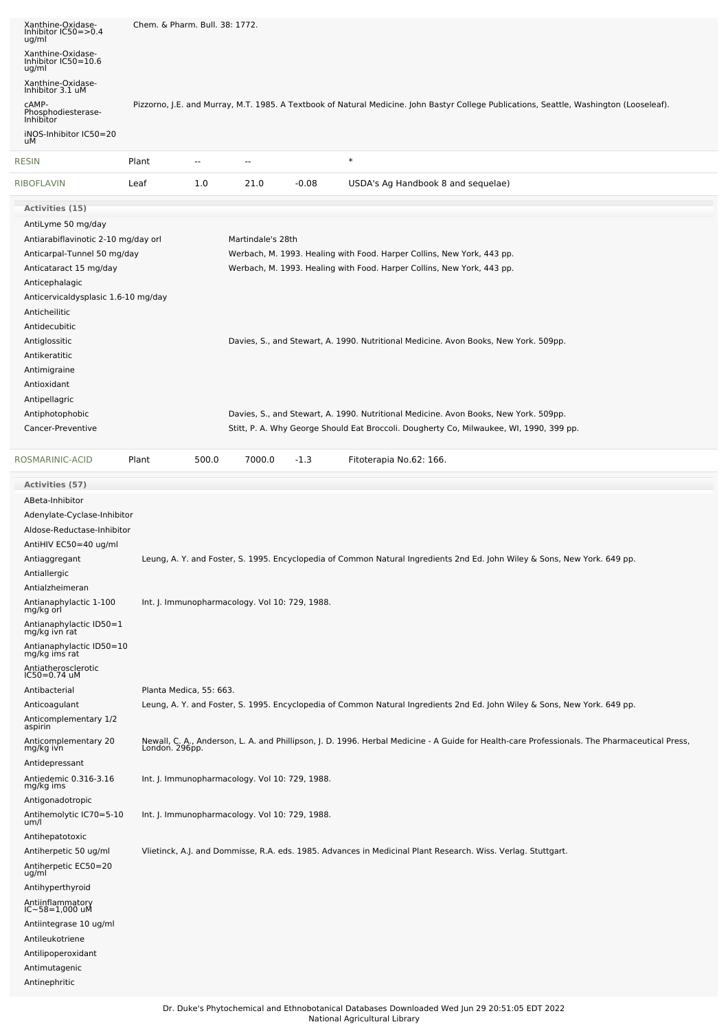| Xanthine-Oxidase-<br>Inhibitor IC50=>0.4<br>ug/ml | Chem. & Pharm. Bull. 38: 1772.                 |                   |         |                                                                                                                                                                 |
|---------------------------------------------------|------------------------------------------------|-------------------|---------|-----------------------------------------------------------------------------------------------------------------------------------------------------------------|
| Xanthine-Oxidase-<br>Inhibitor IC50=10.6<br>ug/ml |                                                |                   |         |                                                                                                                                                                 |
| Xanthine-Oxidase-<br>Inhibitor 3.1 uM             |                                                |                   |         |                                                                                                                                                                 |
| CAMP-<br>Phosphodiesterase-<br>Inhibitor          |                                                |                   |         | Pizzorno, J.E. and Murray, M.T. 1985. A Textbook of Natural Medicine. John Bastyr College Publications, Seattle, Washington (Looseleaf).                        |
| iNOS-Inhibitor IC50=20<br>uМ                      |                                                |                   |         |                                                                                                                                                                 |
| <b>RESIN</b>                                      | Plant<br>$\overline{\phantom{a}}$              | --                |         | $\ast$                                                                                                                                                          |
| <b>RIBOFLAVIN</b>                                 | Leaf<br>1.0                                    | 21.0              | $-0.08$ | USDA's Ag Handbook 8 and sequelae)                                                                                                                              |
| Activities (15)                                   |                                                |                   |         |                                                                                                                                                                 |
| AntiLyme 50 mg/day                                |                                                |                   |         |                                                                                                                                                                 |
| Antiarabiflavinotic 2-10 mg/day orl               |                                                | Martindale's 28th |         |                                                                                                                                                                 |
| Anticarpal-Tunnel 50 mg/day                       |                                                |                   |         | Werbach, M. 1993. Healing with Food. Harper Collins, New York, 443 pp.                                                                                          |
| Anticataract 15 mg/day                            |                                                |                   |         | Werbach, M. 1993. Healing with Food. Harper Collins, New York, 443 pp.                                                                                          |
| Anticephalagic                                    |                                                |                   |         |                                                                                                                                                                 |
| Anticervicaldysplasic 1.6-10 mg/day               |                                                |                   |         |                                                                                                                                                                 |
| Anticheilitic                                     |                                                |                   |         |                                                                                                                                                                 |
| Antidecubitic                                     |                                                |                   |         |                                                                                                                                                                 |
| Antiglossitic                                     |                                                |                   |         | Davies, S., and Stewart, A. 1990. Nutritional Medicine. Avon Books, New York. 509pp.                                                                            |
| Antikeratitic                                     |                                                |                   |         |                                                                                                                                                                 |
| Antimigraine                                      |                                                |                   |         |                                                                                                                                                                 |
| Antioxidant                                       |                                                |                   |         |                                                                                                                                                                 |
| Antipellagric                                     |                                                |                   |         |                                                                                                                                                                 |
| Antiphotophobic                                   |                                                |                   |         | Davies, S., and Stewart, A. 1990. Nutritional Medicine. Avon Books, New York. 509pp.                                                                            |
| Cancer-Preventive                                 |                                                |                   |         | Stitt, P. A. Why George Should Eat Broccoli. Dougherty Co, Milwaukee, WI, 1990, 399 pp.                                                                         |
| ROSMARINIC-ACID                                   | 500.0<br>Plant                                 | 7000.0            | $-1.3$  | Fitoterapia No.62: 166.                                                                                                                                         |
| Activities (57)                                   |                                                |                   |         |                                                                                                                                                                 |
| ABeta-Inhibitor                                   |                                                |                   |         |                                                                                                                                                                 |
| Adenylate-Cyclase-Inhibitor                       |                                                |                   |         |                                                                                                                                                                 |
| Aldose-Reductase-Inhibitor                        |                                                |                   |         |                                                                                                                                                                 |
| AntiHIV EC50=40 ug/ml                             |                                                |                   |         |                                                                                                                                                                 |
| Antiaggregant                                     |                                                |                   |         | Leung, A. Y. and Foster, S. 1995. Encyclopedia of Common Natural Ingredients 2nd Ed. John Wiley & Sons, New York. 649 pp.                                       |
| Antiallergic<br>Antialzheimeran                   |                                                |                   |         |                                                                                                                                                                 |
| Antianaphylactic 1-100                            | Int. J. Immunopharmacology. Vol 10: 729, 1988. |                   |         |                                                                                                                                                                 |
| mg/kg orl                                         |                                                |                   |         |                                                                                                                                                                 |
| Antianaphylactic ID50=1<br>mg/kg ivn rat          |                                                |                   |         |                                                                                                                                                                 |
| Antianaphylactic ID50=10<br>mg/kg ims rat         |                                                |                   |         |                                                                                                                                                                 |
| Antiatherosclerotic<br>IC50=0.74 uM               |                                                |                   |         |                                                                                                                                                                 |
| Antibacterial                                     | Planta Medica, 55: 663.                        |                   |         |                                                                                                                                                                 |
| Anticoagulant<br>Anticomplementary 1/2            |                                                |                   |         | Leung, A. Y. and Foster, S. 1995. Encyclopedia of Common Natural Ingredients 2nd Ed. John Wiley & Sons, New York. 649 pp.                                       |
| aspirin<br>Anticomplementary 20<br>mg/kg ivn      |                                                |                   |         | Newall, C. A., Anderson, L. A. and Phillipson, J. D. 1996. Herbal Medicine - A Guide for Health-care Professionals. The Pharmaceutical Press,<br>London. 296pp. |
| Antidepressant                                    |                                                |                   |         |                                                                                                                                                                 |
| Antiedemic 0.316-3.16<br>mg/kg ims                | Int. J. Immunopharmacology. Vol 10: 729, 1988. |                   |         |                                                                                                                                                                 |
| Antigonadotropic<br>Antihemolytic IC70=5-10       | Int. J. Immunopharmacology. Vol 10: 729, 1988. |                   |         |                                                                                                                                                                 |
| um/l<br>Antihepatotoxic                           |                                                |                   |         |                                                                                                                                                                 |
| Antiherpetic 50 ug/ml<br>Antiherpetic EC50=20     |                                                |                   |         | Vlietinck, A.J. and Dommisse, R.A. eds. 1985. Advances in Medicinal Plant Research. Wiss. Verlag. Stuttgart.                                                    |
| ug/ml<br>Antihyperthyroid                         |                                                |                   |         |                                                                                                                                                                 |
| Antiinflammatory<br>IC~58=1,000 uM                |                                                |                   |         |                                                                                                                                                                 |
|                                                   |                                                |                   |         |                                                                                                                                                                 |
| Antiintegrase 10 ug/ml                            |                                                |                   |         |                                                                                                                                                                 |
| Antileukotriene<br>Antilipoperoxidant             |                                                |                   |         |                                                                                                                                                                 |
| Antimutagenic                                     |                                                |                   |         |                                                                                                                                                                 |
| Antinephritic                                     |                                                |                   |         |                                                                                                                                                                 |
|                                                   |                                                |                   |         |                                                                                                                                                                 |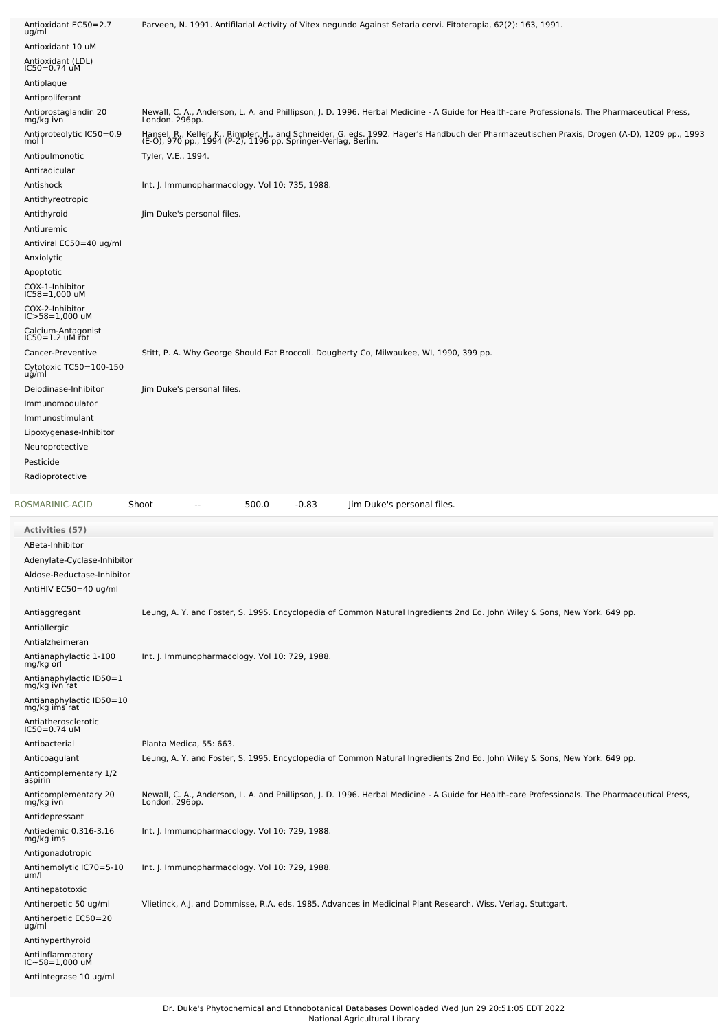| Antioxidant EC50=2.7<br>ug/ml                                | Parveen, N. 1991. Antifilarial Activity of Vitex negundo Against Setaria cervi. Fitoterapia, 62(2): 163, 1991.                                                                                                |
|--------------------------------------------------------------|---------------------------------------------------------------------------------------------------------------------------------------------------------------------------------------------------------------|
| Antioxidant 10 uM                                            |                                                                                                                                                                                                               |
| Antioxidant (LDL)                                            |                                                                                                                                                                                                               |
| IC50=0.74 uM                                                 |                                                                                                                                                                                                               |
| Antiplaque                                                   |                                                                                                                                                                                                               |
| Antiproliferant<br>Antiprostaglandin 20<br>mg/kg ivn         | Newall, C. A., Anderson, L. A. and Phillipson, J. D. 1996. Herbal Medicine - A Guide for Health-care Professionals. The Pharmaceutical Press,<br>London. 296pp.                                               |
| Antiproteolytic IC50=0.9<br>mol 1                            | Hansel, R., Keller, K., Rimpler, H., and Schneider, G. eds. 1992. Hager's Handbuch der Pharmazeutischen Praxis, Drogen (A-D), 1209 pp., 1993<br>(E-O), 970 pp., 1994 (P-Z), 1196 pp. Springer-Verlag, Berlin. |
| Antipulmonotic                                               | Tyler, V.E., 1994.                                                                                                                                                                                            |
| Antiradicular                                                |                                                                                                                                                                                                               |
| Antishock                                                    | Int. J. Immunopharmacology. Vol 10: 735, 1988.                                                                                                                                                                |
| Antithyreotropic                                             |                                                                                                                                                                                                               |
| Antithyroid                                                  | Jim Duke's personal files.                                                                                                                                                                                    |
| Antiuremic                                                   |                                                                                                                                                                                                               |
| Antiviral EC50=40 ug/ml                                      |                                                                                                                                                                                                               |
| Anxiolytic                                                   |                                                                                                                                                                                                               |
| Apoptotic                                                    |                                                                                                                                                                                                               |
| COX-1-Inhibitor<br>IC58=1,000 uM                             |                                                                                                                                                                                                               |
| COX-2-Inhibitor<br>IC>58=1,000 uM                            |                                                                                                                                                                                                               |
| Calcium-Antagonist<br>IC50=1.2 uM rbt                        |                                                                                                                                                                                                               |
| Cancer-Preventive                                            | Stitt, P. A. Why George Should Eat Broccoli. Dougherty Co, Milwaukee, WI, 1990, 399 pp.                                                                                                                       |
| Cytotoxic TC50=100-150                                       |                                                                                                                                                                                                               |
| ug/ml                                                        |                                                                                                                                                                                                               |
| Deiodinase-Inhibitor<br>Immunomodulator                      | Jim Duke's personal files.                                                                                                                                                                                    |
| Immunostimulant                                              |                                                                                                                                                                                                               |
| Lipoxygenase-Inhibitor                                       |                                                                                                                                                                                                               |
| Neuroprotective                                              |                                                                                                                                                                                                               |
| Pesticide                                                    |                                                                                                                                                                                                               |
| Radioprotective                                              |                                                                                                                                                                                                               |
|                                                              |                                                                                                                                                                                                               |
| ROSMARINIC-ACID                                              | Shoot<br>500.0<br>$-0.83$<br>Jim Duke's personal files.<br>$\overline{a}$                                                                                                                                     |
|                                                              |                                                                                                                                                                                                               |
| <b>Activities (57)</b><br>ABeta-Inhibitor                    |                                                                                                                                                                                                               |
| Adenylate-Cyclase-Inhibitor                                  |                                                                                                                                                                                                               |
| Aldose-Reductase-Inhibitor                                   |                                                                                                                                                                                                               |
| AntiHIV EC50=40 ug/ml                                        |                                                                                                                                                                                                               |
|                                                              |                                                                                                                                                                                                               |
| Antiaggregant                                                | Leung, A. Y. and Foster, S. 1995. Encyclopedia of Common Natural Ingredients 2nd Ed. John Wiley & Sons, New York. 649 pp.                                                                                     |
| Antiallergic                                                 |                                                                                                                                                                                                               |
| Antialzheimeran                                              |                                                                                                                                                                                                               |
| Antianaphylactic 1-100<br>mg/kg orl                          | Int. J. Immunopharmacology. Vol 10: 729, 1988.                                                                                                                                                                |
| Antianaphylactic ID50=1<br>mg/kg ivn rat                     |                                                                                                                                                                                                               |
| Antianaphylactic ID50=10<br>mg/kg ims rat                    |                                                                                                                                                                                                               |
| Antiatherosclerotic<br>$IC50 = 0.74$ uM                      |                                                                                                                                                                                                               |
| Antibacterial                                                | Planta Medica, 55: 663.                                                                                                                                                                                       |
| Anticoagulant                                                | Leung, A. Y. and Foster, S. 1995. Encyclopedia of Common Natural Ingredients 2nd Ed. John Wiley & Sons, New York. 649 pp.                                                                                     |
| Anticomplementary 1/2<br>aspirin                             |                                                                                                                                                                                                               |
| Anticomplementary 20<br>mg/kg ivn                            | Newall, C. A., Anderson, L. A. and Phillipson, J. D. 1996. Herbal Medicine - A Guide for Health-care Professionals. The Pharmaceutical Press,<br>London. 296pp.                                               |
| Antidepressant                                               |                                                                                                                                                                                                               |
| Antiedemic 0.316-3.16<br>mg/kg ims                           | Int. J. Immunopharmacology. Vol 10: 729, 1988.                                                                                                                                                                |
| Antigonadotropic                                             |                                                                                                                                                                                                               |
| Antihemolytic IC70=5-10<br>um/l                              | Int. J. Immunopharmacology. Vol 10: 729, 1988.                                                                                                                                                                |
| Antihepatotoxic                                              |                                                                                                                                                                                                               |
| Antiherpetic 50 ug/ml                                        | Vlietinck, A.J. and Dommisse, R.A. eds. 1985. Advances in Medicinal Plant Research. Wiss. Verlag. Stuttgart.                                                                                                  |
| Antiherpetic EC50=20<br>ug/ml                                |                                                                                                                                                                                                               |
| Antihyperthyroid                                             |                                                                                                                                                                                                               |
|                                                              |                                                                                                                                                                                                               |
| Antiinflammatory<br>IC~58=1,000 uM<br>Antiintegrase 10 ug/ml |                                                                                                                                                                                                               |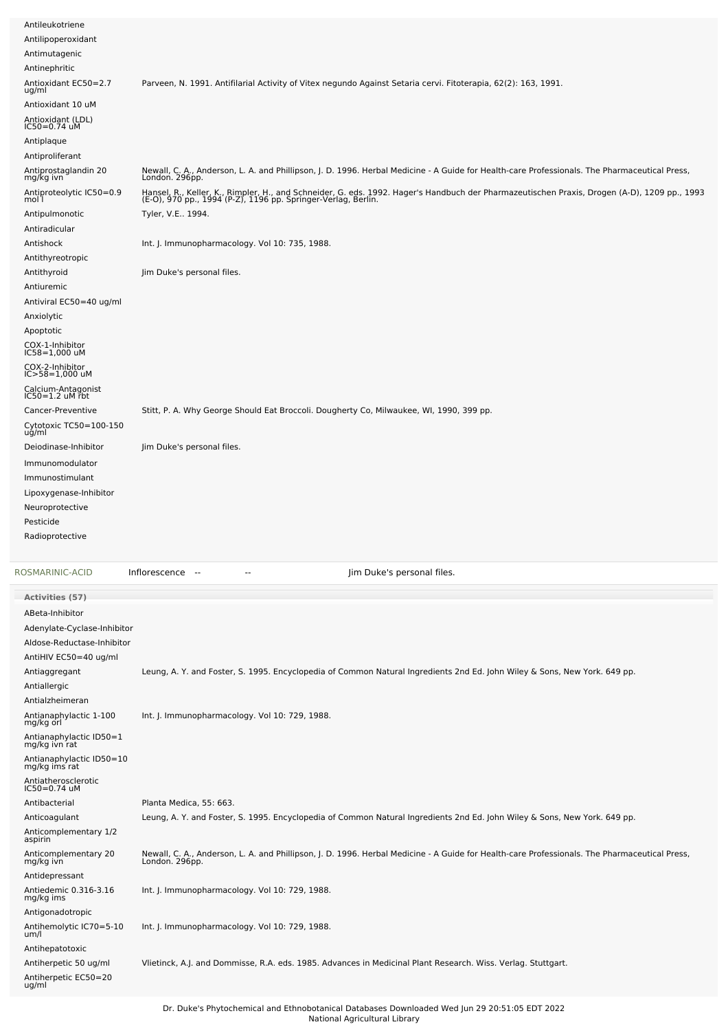| Antileukotriene                                      |                                                                                                                                                                                                               |
|------------------------------------------------------|---------------------------------------------------------------------------------------------------------------------------------------------------------------------------------------------------------------|
| Antilipoperoxidant                                   |                                                                                                                                                                                                               |
| Antimutagenic                                        |                                                                                                                                                                                                               |
| Antinephritic                                        |                                                                                                                                                                                                               |
| Antioxidant EC50=2.7<br>ug/ml                        | Parveen, N. 1991. Antifilarial Activity of Vitex negundo Against Setaria cervi. Fitoterapia, 62(2): 163, 1991.                                                                                                |
| Antioxidant 10 uM                                    |                                                                                                                                                                                                               |
| Antioxidant (LDL)<br>IC50=0.74 uM                    |                                                                                                                                                                                                               |
| Antiplaque                                           |                                                                                                                                                                                                               |
| Antiproliferant                                      |                                                                                                                                                                                                               |
| Antiprostaglandin 20<br>mg/kg ivn                    | Newall, C. A., Anderson, L. A. and Phillipson, J. D. 1996. Herbal Medicine - A Guide for Health-care Professionals. The Pharmaceutical Press,<br>London. 296pp.                                               |
| Antiproteolytic IC50=0.9<br>mol 1                    | Hansel, R., Keller, K., Rimpler, H., and Schneider, G. eds. 1992. Hager's Handbuch der Pharmazeutischen Praxis, Drogen (A-D), 1209 pp., 1993<br>(E-O), 970 pp., 1994 (P-Z), 1196 pp. Springer-Verlag, Berlin. |
| Antipulmonotic                                       | Tyler, V.E., 1994.                                                                                                                                                                                            |
| Antiradicular                                        |                                                                                                                                                                                                               |
| Antishock                                            | Int. J. Immunopharmacology. Vol 10: 735, 1988.                                                                                                                                                                |
| Antithyreotropic                                     |                                                                                                                                                                                                               |
| Antithyroid                                          | Jim Duke's personal files.                                                                                                                                                                                    |
| Antiuremic                                           |                                                                                                                                                                                                               |
| Antiviral EC50=40 ug/ml                              |                                                                                                                                                                                                               |
| Anxiolytic                                           |                                                                                                                                                                                                               |
| Apoptotic                                            |                                                                                                                                                                                                               |
| COX-1-Inhibitor<br>IC58=1,000 uM                     |                                                                                                                                                                                                               |
| COX-2-Inhibitor<br>IC>58=1,000 uM                    |                                                                                                                                                                                                               |
| Calcium-Antagonist                                   |                                                                                                                                                                                                               |
| $IC50=1.2$ uM rbt                                    |                                                                                                                                                                                                               |
| Cancer-Preventive<br>Cytotoxic TC50=100-150<br>ug/ml | Stitt, P. A. Why George Should Eat Broccoli. Dougherty Co, Milwaukee, WI, 1990, 399 pp.                                                                                                                       |
| Deiodinase-Inhibitor                                 | Jim Duke's personal files.                                                                                                                                                                                    |
| Immunomodulator                                      |                                                                                                                                                                                                               |
| Immunostimulant                                      |                                                                                                                                                                                                               |
| Lipoxygenase-Inhibitor                               |                                                                                                                                                                                                               |
| Neuroprotective                                      |                                                                                                                                                                                                               |
| Pesticide                                            |                                                                                                                                                                                                               |
| Radioprotective                                      |                                                                                                                                                                                                               |
|                                                      |                                                                                                                                                                                                               |
| ROSMARINIC-ACID                                      | Jim Duke's personal files.<br>Inflorescence --                                                                                                                                                                |
|                                                      |                                                                                                                                                                                                               |
| <b>Activities (57)</b>                               |                                                                                                                                                                                                               |
| ABeta-Inhibitor                                      |                                                                                                                                                                                                               |
| Adenylate-Cyclase-Inhibitor                          |                                                                                                                                                                                                               |
| Aldose-Reductase-Inhibitor                           |                                                                                                                                                                                                               |
| AntiHIV EC50=40 ug/ml                                |                                                                                                                                                                                                               |
| Antiaggregant                                        | Leung, A. Y. and Foster, S. 1995. Encyclopedia of Common Natural Ingredients 2nd Ed. John Wiley & Sons, New York. 649 pp.                                                                                     |
| Antiallergic                                         |                                                                                                                                                                                                               |
| Antialzheimeran                                      |                                                                                                                                                                                                               |
| Antianaphylactic 1-100<br>mg/kg orl                  | Int. J. Immunopharmacology. Vol 10: 729, 1988.                                                                                                                                                                |
| Antianaphylactic ID50=1<br>mg/kg ivn rat             |                                                                                                                                                                                                               |
| Antianaphylactic ID50=10<br>mg/kg ims rat            |                                                                                                                                                                                                               |
| Antiatherosclerotic<br>IC50=0.74 uM                  |                                                                                                                                                                                                               |
| Antibacterial                                        | Planta Medica, 55: 663.                                                                                                                                                                                       |
| Anticoagulant                                        | Leung, A. Y. and Foster, S. 1995. Encyclopedia of Common Natural Ingredients 2nd Ed. John Wiley & Sons, New York. 649 pp.                                                                                     |
| Anticomplementary 1/2<br>aspirin                     |                                                                                                                                                                                                               |
| Anticomplementary 20<br>mg/kg ivn                    | Newall, C. A., Anderson, L. A. and Phillipson, J. D. 1996. Herbal Medicine - A Guide for Health-care Professionals. The Pharmaceutical Press,<br>London. 296pp.                                               |

Dr. Duke's Phytochemical and Ethnobotanical Databases Downloaded Wed Jun 29 20:51:05 EDT 2022 National Agricultural Library

Int. J. Immunopharmacology. Vol 10: 729, 1988.

Int. J. Immunopharmacology. Vol 10: 729, 1988.

Antiherpetic 50 ug/ml Vlietinck, A.J. and Dommisse, R.A. eds. 1985. Advances in Medicinal Plant Research. Wiss. Verlag. Stuttgart.

Antidepressant Antiedemic 0.316-3.16 mg/kg ims

Antigonadotropic

Antihepatotoxic

Antihemolytic IC70=5-10 um/l

Antiherpetic EC50=20 ug/ml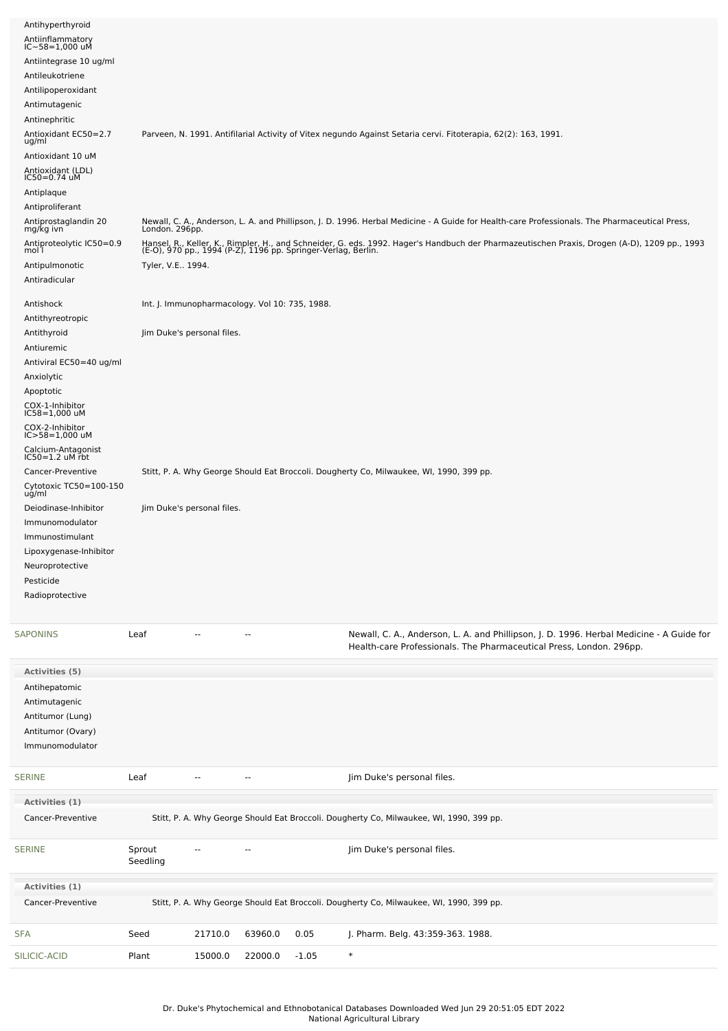| Antihyperthyroid<br>Antiinflammatory<br>IC~58=1,000 uM<br>Antiintegrase 10 ug/ml<br>Antileukotriene<br>Antilipoperoxidant<br>Antimutagenic<br>Antinephritic<br>Antioxidant EC50=2.7<br>ug/ml<br>Antioxidant 10 uM<br>Antioxidant (LDL)<br>IC50=0.74 uM<br>Antiplaque<br>Antiproliferant<br>Antiprostaglandin 20<br>mg/kg ivn<br>Antiproteolytic IC50=0.9<br>mol l | London. 296pp.     |                                                                              |                          |         | Parveen, N. 1991. Antifilarial Activity of Vitex negundo Against Setaria cervi. Fitoterapia, 62(2): 163, 1991.<br>Newall, C. A., Anderson, L. A. and Phillipson, J. D. 1996. Herbal Medicine - A Guide for Health-care Professionals. The Pharmaceutical Press,<br>Hansel, R., Keller, K., Rimpler, H., and Schneider, G. eds. 1992. Hager's Handbuch der Pharmazeutischen Praxis, Drogen (A-D), 1209 pp., 1993<br>(E-O), 970 pp., 1994 (P-Z), 1196 pp. Springer-Verlag, Berlin. |
|-------------------------------------------------------------------------------------------------------------------------------------------------------------------------------------------------------------------------------------------------------------------------------------------------------------------------------------------------------------------|--------------------|------------------------------------------------------------------------------|--------------------------|---------|----------------------------------------------------------------------------------------------------------------------------------------------------------------------------------------------------------------------------------------------------------------------------------------------------------------------------------------------------------------------------------------------------------------------------------------------------------------------------------|
| Antipulmonotic<br>Antiradicular                                                                                                                                                                                                                                                                                                                                   | Tyler, V.E 1994.   |                                                                              |                          |         |                                                                                                                                                                                                                                                                                                                                                                                                                                                                                  |
| Antishock<br>Antithyreotropic<br>Antithyroid<br>Antiuremic                                                                                                                                                                                                                                                                                                        |                    | Int. J. Immunopharmacology. Vol 10: 735, 1988.<br>Jim Duke's personal files. |                          |         |                                                                                                                                                                                                                                                                                                                                                                                                                                                                                  |
| Antiviral EC50=40 ug/ml<br>Anxiolytic<br>Apoptotic<br>COX-1-Inhibitor<br>IC58=1,000 uM<br>COX-2-Inhibitor<br>IC>58=1,000 uM<br>Calcium-Antagonist<br>IC50=1.2 uM rbt<br>Cancer-Preventive<br>Cytotoxic TC50=100-150                                                                                                                                               |                    |                                                                              |                          |         | Stitt, P. A. Why George Should Eat Broccoli. Dougherty Co, Milwaukee, WI, 1990, 399 pp.                                                                                                                                                                                                                                                                                                                                                                                          |
| ug/ml<br>Deiodinase-Inhibitor<br>Immunomodulator<br>Immunostimulant<br>Lipoxygenase-Inhibitor<br>Neuroprotective<br>Pesticide<br>Radioprotective                                                                                                                                                                                                                  |                    | Jim Duke's personal files.                                                   |                          |         |                                                                                                                                                                                                                                                                                                                                                                                                                                                                                  |
| <b>SAPONINS</b>                                                                                                                                                                                                                                                                                                                                                   | Leaf               | --                                                                           | ۰.                       |         | Newall, C. A., Anderson, L. A. and Phillipson, J. D. 1996. Herbal Medicine - A Guide for<br>Health-care Professionals. The Pharmaceutical Press, London. 296pp.                                                                                                                                                                                                                                                                                                                  |
| Activities (5)<br>Antihepatomic<br>Antimutagenic<br>Antitumor (Lung)<br>Antitumor (Ovary)<br>Immunomodulator                                                                                                                                                                                                                                                      |                    |                                                                              |                          |         |                                                                                                                                                                                                                                                                                                                                                                                                                                                                                  |
| <b>SERINE</b>                                                                                                                                                                                                                                                                                                                                                     | Leaf               |                                                                              | Ξ.                       |         | Jim Duke's personal files.                                                                                                                                                                                                                                                                                                                                                                                                                                                       |
| Activities (1)                                                                                                                                                                                                                                                                                                                                                    |                    |                                                                              |                          |         |                                                                                                                                                                                                                                                                                                                                                                                                                                                                                  |
| Cancer-Preventive                                                                                                                                                                                                                                                                                                                                                 |                    |                                                                              |                          |         | Stitt, P. A. Why George Should Eat Broccoli. Dougherty Co, Milwaukee, WI, 1990, 399 pp.                                                                                                                                                                                                                                                                                                                                                                                          |
| <b>SERINE</b>                                                                                                                                                                                                                                                                                                                                                     | Sprout<br>Seedling |                                                                              | $\overline{\phantom{a}}$ |         | Jim Duke's personal files.                                                                                                                                                                                                                                                                                                                                                                                                                                                       |
| Activities (1)                                                                                                                                                                                                                                                                                                                                                    |                    |                                                                              |                          |         |                                                                                                                                                                                                                                                                                                                                                                                                                                                                                  |
| Cancer-Preventive                                                                                                                                                                                                                                                                                                                                                 |                    |                                                                              |                          |         | Stitt, P. A. Why George Should Eat Broccoli. Dougherty Co, Milwaukee, WI, 1990, 399 pp.                                                                                                                                                                                                                                                                                                                                                                                          |
| <b>SFA</b>                                                                                                                                                                                                                                                                                                                                                        | Seed               | 21710.0                                                                      | 63960.0                  | 0.05    | J. Pharm. Belg. 43:359-363. 1988.                                                                                                                                                                                                                                                                                                                                                                                                                                                |
| SILICIC-ACID                                                                                                                                                                                                                                                                                                                                                      | Plant              | 15000.0                                                                      | 22000.0                  | $-1.05$ | $\ast$                                                                                                                                                                                                                                                                                                                                                                                                                                                                           |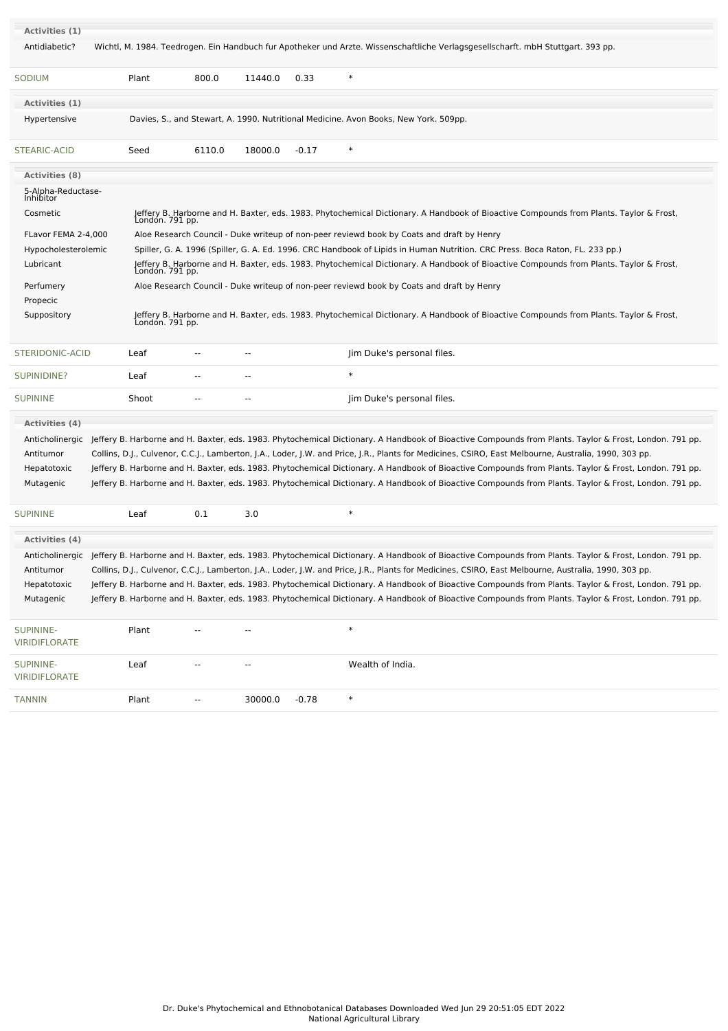| Activities (1)                        |                 |                |                          |         |                                                                                                                                                                                                                                                                                                                                                                                                                                                                                                                                                                                                                                                    |  |
|---------------------------------------|-----------------|----------------|--------------------------|---------|----------------------------------------------------------------------------------------------------------------------------------------------------------------------------------------------------------------------------------------------------------------------------------------------------------------------------------------------------------------------------------------------------------------------------------------------------------------------------------------------------------------------------------------------------------------------------------------------------------------------------------------------------|--|
| Antidiabetic?                         |                 |                |                          |         | Wichtl, M. 1984. Teedrogen. Ein Handbuch fur Apotheker und Arzte. Wissenschaftliche Verlagsgesellscharft. mbH Stuttgart. 393 pp.                                                                                                                                                                                                                                                                                                                                                                                                                                                                                                                   |  |
|                                       |                 |                |                          |         |                                                                                                                                                                                                                                                                                                                                                                                                                                                                                                                                                                                                                                                    |  |
| SODIUM                                | Plant           | 800.0          | 11440.0                  | 0.33    | $\ast$                                                                                                                                                                                                                                                                                                                                                                                                                                                                                                                                                                                                                                             |  |
| Activities (1)                        |                 |                |                          |         |                                                                                                                                                                                                                                                                                                                                                                                                                                                                                                                                                                                                                                                    |  |
| Hypertensive                          |                 |                |                          |         | Davies, S., and Stewart, A. 1990. Nutritional Medicine. Avon Books, New York. 509pp.                                                                                                                                                                                                                                                                                                                                                                                                                                                                                                                                                               |  |
| STEARIC-ACID                          | Seed            | 6110.0         | 18000.0                  | $-0.17$ | $\ast$                                                                                                                                                                                                                                                                                                                                                                                                                                                                                                                                                                                                                                             |  |
| <b>Activities (8)</b>                 |                 |                |                          |         |                                                                                                                                                                                                                                                                                                                                                                                                                                                                                                                                                                                                                                                    |  |
| 5-Alpha-Reductase-<br>Inhibitor       |                 |                |                          |         |                                                                                                                                                                                                                                                                                                                                                                                                                                                                                                                                                                                                                                                    |  |
| Cosmetic                              | London. 791 pp. |                |                          |         | Jeffery B. Harborne and H. Baxter, eds. 1983. Phytochemical Dictionary. A Handbook of Bioactive Compounds from Plants. Taylor & Frost,                                                                                                                                                                                                                                                                                                                                                                                                                                                                                                             |  |
| FLavor FEMA 2-4,000                   |                 |                |                          |         | Aloe Research Council - Duke writeup of non-peer reviewd book by Coats and draft by Henry                                                                                                                                                                                                                                                                                                                                                                                                                                                                                                                                                          |  |
| Hypocholesterolemic                   |                 |                |                          |         | Spiller, G. A. 1996 (Spiller, G. A. Ed. 1996. CRC Handbook of Lipids in Human Nutrition. CRC Press. Boca Raton, FL. 233 pp.)                                                                                                                                                                                                                                                                                                                                                                                                                                                                                                                       |  |
| Lubricant                             |                 |                |                          |         | Jeffery B. Harborne and H. Baxter, eds. 1983. Phytochemical Dictionary. A Handbook of Bioactive Compounds from Plants. Taylor & Frost,<br>London. 791 pp.                                                                                                                                                                                                                                                                                                                                                                                                                                                                                          |  |
| Perfumery                             |                 |                |                          |         | Aloe Research Council - Duke writeup of non-peer reviewd book by Coats and draft by Henry                                                                                                                                                                                                                                                                                                                                                                                                                                                                                                                                                          |  |
| Propecic                              |                 |                |                          |         |                                                                                                                                                                                                                                                                                                                                                                                                                                                                                                                                                                                                                                                    |  |
| Suppository                           | Londón. 791 pp. |                |                          |         | Jeffery B. Harborne and H. Baxter, eds. 1983. Phytochemical Dictionary. A Handbook of Bioactive Compounds from Plants. Taylor & Frost,                                                                                                                                                                                                                                                                                                                                                                                                                                                                                                             |  |
| STERIDONIC-ACID                       | Leaf            | $\overline{a}$ | $\overline{a}$           |         | Jim Duke's personal files.                                                                                                                                                                                                                                                                                                                                                                                                                                                                                                                                                                                                                         |  |
| <b>SUPINIDINE?</b>                    | Leaf            | --             | $\overline{\phantom{a}}$ |         | $\ast$                                                                                                                                                                                                                                                                                                                                                                                                                                                                                                                                                                                                                                             |  |
| <b>SUPININE</b>                       | Shoot           | --             | $\overline{\phantom{a}}$ |         | Jim Duke's personal files.                                                                                                                                                                                                                                                                                                                                                                                                                                                                                                                                                                                                                         |  |
| Activities (4)                        |                 |                |                          |         |                                                                                                                                                                                                                                                                                                                                                                                                                                                                                                                                                                                                                                                    |  |
| Antitumor<br>Hepatotoxic<br>Mutagenic |                 |                |                          |         | Anticholinergic Jeffery B. Harborne and H. Baxter, eds. 1983. Phytochemical Dictionary. A Handbook of Bioactive Compounds from Plants. Taylor & Frost, London. 791 pp.<br>Collins, D.J., Culvenor, C.C.J., Lamberton, J.A., Loder, J.W. and Price, J.R., Plants for Medicines, CSIRO, East Melbourne, Australia, 1990, 303 pp.<br>Jeffery B. Harborne and H. Baxter, eds. 1983. Phytochemical Dictionary. A Handbook of Bioactive Compounds from Plants. Taylor & Frost, London. 791 pp.<br>Jeffery B. Harborne and H. Baxter, eds. 1983. Phytochemical Dictionary. A Handbook of Bioactive Compounds from Plants. Taylor & Frost, London. 791 pp. |  |
| <b>SUPININE</b>                       | Leaf            | 0.1            | 3.0                      |         |                                                                                                                                                                                                                                                                                                                                                                                                                                                                                                                                                                                                                                                    |  |
| <b>Activities (4)</b>                 |                 |                |                          |         |                                                                                                                                                                                                                                                                                                                                                                                                                                                                                                                                                                                                                                                    |  |
|                                       |                 |                |                          |         | Anticholinergic Jeffery B. Harborne and H. Baxter, eds. 1983. Phytochemical Dictionary. A Handbook of Bioactive Compounds from Plants. Taylor & Frost, London. 791 pp.                                                                                                                                                                                                                                                                                                                                                                                                                                                                             |  |
|                                       |                 |                |                          |         | Collins, D.J., Culvenor, C.C.J., Lamberton, J.A., Loder, J.W. and Price, J.R., Plants for Medicines, CSIRO, East Melbourne, Australia, 1990, 303 pp.                                                                                                                                                                                                                                                                                                                                                                                                                                                                                               |  |
| Antitumor                             |                 |                |                          |         | Jeffery B. Harborne and H. Baxter, eds. 1983. Phytochemical Dictionary. A Handbook of Bioactive Compounds from Plants. Taylor & Frost, London. 791 pp.                                                                                                                                                                                                                                                                                                                                                                                                                                                                                             |  |
| Hepatotoxic                           |                 |                |                          |         |                                                                                                                                                                                                                                                                                                                                                                                                                                                                                                                                                                                                                                                    |  |
| Mutagenic                             |                 |                |                          |         | Jeffery B. Harborne and H. Baxter, eds. 1983. Phytochemical Dictionary. A Handbook of Bioactive Compounds from Plants. Taylor & Frost, London. 791 pp.                                                                                                                                                                                                                                                                                                                                                                                                                                                                                             |  |
| SUPININE-<br><b>VIRIDIFLORATE</b>     | Plant           |                |                          |         | $\ast$                                                                                                                                                                                                                                                                                                                                                                                                                                                                                                                                                                                                                                             |  |
| SUPININE-<br><b>VIRIDIFLORATE</b>     | Leaf            |                |                          |         | Wealth of India.                                                                                                                                                                                                                                                                                                                                                                                                                                                                                                                                                                                                                                   |  |
| <b>TANNIN</b>                         | Plant           | --             | 30000.0                  | $-0.78$ | $\ast$                                                                                                                                                                                                                                                                                                                                                                                                                                                                                                                                                                                                                                             |  |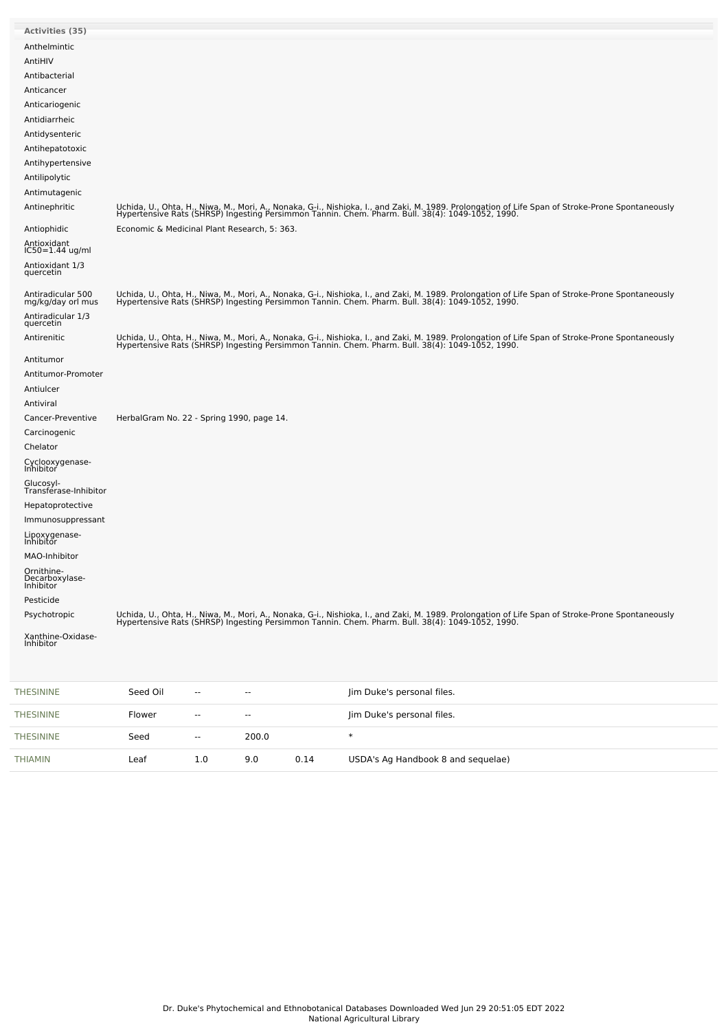| <b>Activities (35)</b>                    |                                              |                          |                          |                                                                                                                                                                                                                                   |
|-------------------------------------------|----------------------------------------------|--------------------------|--------------------------|-----------------------------------------------------------------------------------------------------------------------------------------------------------------------------------------------------------------------------------|
| Anthelmintic                              |                                              |                          |                          |                                                                                                                                                                                                                                   |
| AntiHIV                                   |                                              |                          |                          |                                                                                                                                                                                                                                   |
| Antibacterial                             |                                              |                          |                          |                                                                                                                                                                                                                                   |
| Anticancer                                |                                              |                          |                          |                                                                                                                                                                                                                                   |
| Anticariogenic                            |                                              |                          |                          |                                                                                                                                                                                                                                   |
| Antidiarrheic                             |                                              |                          |                          |                                                                                                                                                                                                                                   |
| Antidysenteric                            |                                              |                          |                          |                                                                                                                                                                                                                                   |
| Antihepatotoxic                           |                                              |                          |                          |                                                                                                                                                                                                                                   |
| Antihypertensive                          |                                              |                          |                          |                                                                                                                                                                                                                                   |
| Antilipolytic                             |                                              |                          |                          |                                                                                                                                                                                                                                   |
| Antimutagenic                             |                                              |                          |                          |                                                                                                                                                                                                                                   |
| Antinephritic                             |                                              |                          |                          | Uchida, U., Ohta, H., Niwa, M., Mori, A., Nonaka, G-i., Nishioka, I., and Zaki, M. 1989. Prolongation of Life Span of Stroke-Prone Spontaneously<br>Hypertensive Rats (SHRSP) Ingesting Persimmon Tannin. Chem. Pharm. Bull. 38(4 |
| Antiophidic                               | Economic & Medicinal Plant Research, 5: 363. |                          |                          |                                                                                                                                                                                                                                   |
| Antioxidant<br>IC50=1.44 ug/ml            |                                              |                          |                          |                                                                                                                                                                                                                                   |
| Antioxidant 1/3<br>quercetin              |                                              |                          |                          |                                                                                                                                                                                                                                   |
| Antiradicular 500<br>mg/kg/day orl mus    |                                              |                          |                          | Uchida, U., Ohta, H., Niwa, M., Mori, A., Nonaka, G-i., Nishioka, I., and Zaki, M. 1989. Prolongation of Life Span of Stroke-Prone Spontaneously<br>Hypertensive Rats (SHRSP) Ingesting Persimmon Tannin. Chem. Pharm. Bull. 38(4 |
| Antiradicular 1/3<br>quercetin            |                                              |                          |                          |                                                                                                                                                                                                                                   |
| Antirenitic                               |                                              |                          |                          | Uchida, U., Ohta, H., Niwa, M., Mori, A., Nonaka, G-i., Nishioka, I., and Zaki, M. 1989. Prolongation of Life Span of Stroke-Prone Spontaneously<br>Hypertensive Rats (SHRSP) Ingesting Persimmon Tannin. Chem. Pharm. Bull. 38(4 |
| Antitumor                                 |                                              |                          |                          |                                                                                                                                                                                                                                   |
| Antitumor-Promoter                        |                                              |                          |                          |                                                                                                                                                                                                                                   |
| Antiulcer                                 |                                              |                          |                          |                                                                                                                                                                                                                                   |
| Antiviral                                 |                                              |                          |                          |                                                                                                                                                                                                                                   |
| Cancer-Preventive                         | HerbalGram No. 22 - Spring 1990, page 14.    |                          |                          |                                                                                                                                                                                                                                   |
| Carcinogenic                              |                                              |                          |                          |                                                                                                                                                                                                                                   |
| Chelator                                  |                                              |                          |                          |                                                                                                                                                                                                                                   |
| Cyclooxygenase-<br>Inhibitor              |                                              |                          |                          |                                                                                                                                                                                                                                   |
| Glucosyl-<br>Transférase-Inhibitor        |                                              |                          |                          |                                                                                                                                                                                                                                   |
| Hepatoprotective                          |                                              |                          |                          |                                                                                                                                                                                                                                   |
| Immunosuppressant                         |                                              |                          |                          |                                                                                                                                                                                                                                   |
| Lipoxygenase-<br>Inhibitor                |                                              |                          |                          |                                                                                                                                                                                                                                   |
| MAO-Inhibitor                             |                                              |                          |                          |                                                                                                                                                                                                                                   |
| Ornithine-<br>Decarboxylase-<br>Inhibitor |                                              |                          |                          |                                                                                                                                                                                                                                   |
| Pesticide                                 |                                              |                          |                          |                                                                                                                                                                                                                                   |
| Psychotropic                              |                                              |                          |                          | Uchida, U., Ohta, H., Niwa, M., Mori, A., Nonaka, G-i., Nishioka, I., and Zaki, M. 1989. Prolongation of Life Span of Stroke-Prone Spontaneously<br>Hypertensive Rats (SHRSP) Ingesting Persimmon Tannin. Chem. Pharm. Bull. 38(4 |
| Xanthine-Oxidase-                         |                                              |                          |                          |                                                                                                                                                                                                                                   |
| Inhibitor                                 |                                              |                          |                          |                                                                                                                                                                                                                                   |
| <b>THESININE</b>                          | Seed Oil                                     | --                       | --                       | Jim Duke's personal files.                                                                                                                                                                                                        |
| <b>THESININE</b>                          | Flower                                       | $\overline{\phantom{a}}$ | $\overline{\phantom{a}}$ | Jim Duke's personal files.                                                                                                                                                                                                        |
| <b>THESININE</b>                          | Seed                                         | $\overline{\phantom{a}}$ | 200.0                    | $\ast$                                                                                                                                                                                                                            |

[THIAMIN](file:///phytochem/chemicals/show/17086) Leaf 1.0 9.0 0.14 USDA's Ag Handbook 8 and sequelae)

 $\overline{\phantom{a}}$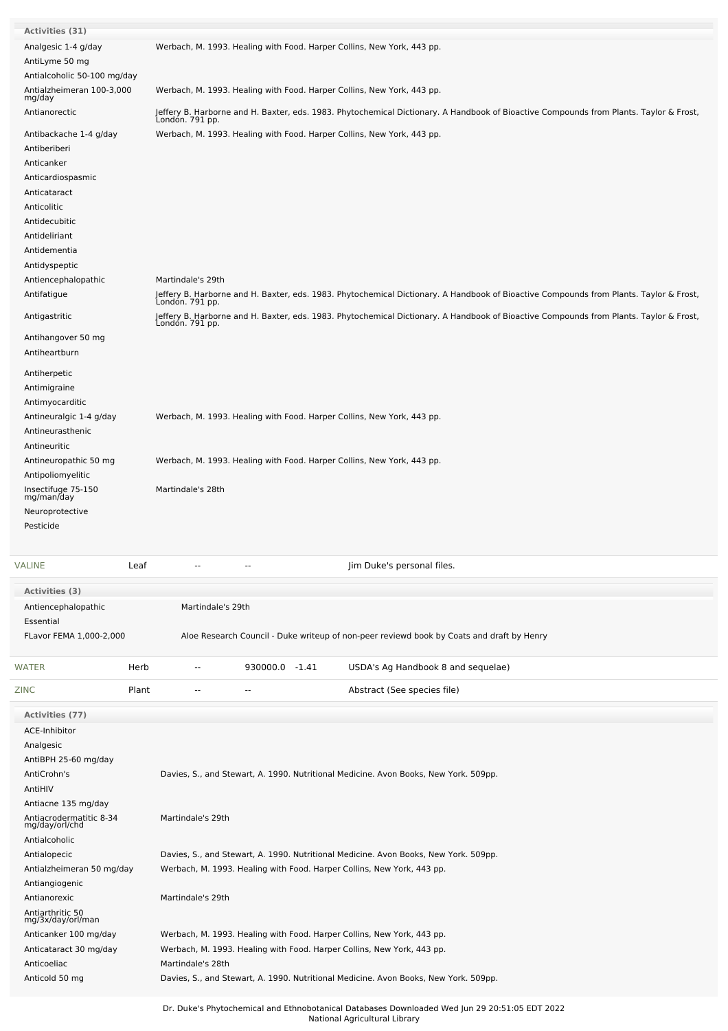| <b>Activities (31)</b>                    |                                                                                                                                                           |
|-------------------------------------------|-----------------------------------------------------------------------------------------------------------------------------------------------------------|
| Analgesic 1-4 g/day                       | Werbach, M. 1993. Healing with Food. Harper Collins, New York, 443 pp.                                                                                    |
| AntiLyme 50 mg                            |                                                                                                                                                           |
| Antialcoholic 50-100 mg/day               |                                                                                                                                                           |
| Antialzheimeran 100-3,000                 | Werbach, M. 1993. Healing with Food. Harper Collins, New York, 443 pp.                                                                                    |
| mg/day                                    |                                                                                                                                                           |
| Antianorectic                             | Jeffery B. Harborne and H. Baxter, eds. 1983. Phytochemical Dictionary. A Handbook of Bioactive Compounds from Plants. Taylor & Frost,<br>London. 791 pp. |
| Antibackache 1-4 g/day                    | Werbach, M. 1993. Healing with Food. Harper Collins, New York, 443 pp.                                                                                    |
|                                           |                                                                                                                                                           |
| Antiberiberi                              |                                                                                                                                                           |
| Anticanker                                |                                                                                                                                                           |
| Anticardiospasmic                         |                                                                                                                                                           |
| Anticataract                              |                                                                                                                                                           |
| Anticolitic                               |                                                                                                                                                           |
| Antidecubitic                             |                                                                                                                                                           |
| Antideliriant                             |                                                                                                                                                           |
| Antidementia                              |                                                                                                                                                           |
| Antidyspeptic                             |                                                                                                                                                           |
| Antiencephalopathic                       | Martindale's 29th                                                                                                                                         |
| Antifatigue                               |                                                                                                                                                           |
|                                           | Jeffery B. Harborne and H. Baxter, eds. 1983. Phytochemical Dictionary. A Handbook of Bioactive Compounds from Plants. Taylor & Frost,<br>London. 791 pp. |
| Antigastritic                             | Jeffery B. Harborne and H. Baxter, eds. 1983. Phytochemical Dictionary. A Handbook of Bioactive Compounds from Plants. Taylor & Frost,<br>London. 791 pp. |
| Antihangover 50 mg                        |                                                                                                                                                           |
| Antiheartburn                             |                                                                                                                                                           |
| Antiherpetic                              |                                                                                                                                                           |
| Antimigraine                              |                                                                                                                                                           |
| Antimyocarditic                           |                                                                                                                                                           |
| Antineuralgic 1-4 g/day                   | Werbach, M. 1993. Healing with Food. Harper Collins, New York, 443 pp.                                                                                    |
| Antineurasthenic                          |                                                                                                                                                           |
|                                           |                                                                                                                                                           |
| Antineuritic                              |                                                                                                                                                           |
| Antineuropathic 50 mg                     | Werbach, M. 1993. Healing with Food. Harper Collins, New York, 443 pp.                                                                                    |
| Antipoliomyelitic                         |                                                                                                                                                           |
| Insectifuge 75-150<br>mg/man/day          | Martindale's 28th                                                                                                                                         |
| Neuroprotective                           |                                                                                                                                                           |
| Pesticide                                 |                                                                                                                                                           |
|                                           |                                                                                                                                                           |
| VALINE<br>Leaf                            | Jim Duke's personal files.                                                                                                                                |
|                                           |                                                                                                                                                           |
| Activities (3)                            |                                                                                                                                                           |
| Antiencephalopathic                       | Martindale's 29th                                                                                                                                         |
| Essential                                 |                                                                                                                                                           |
|                                           |                                                                                                                                                           |
| FLavor FEMA 1,000-2,000                   | Aloe Research Council - Duke writeup of non-peer reviewd book by Coats and draft by Henry                                                                 |
|                                           |                                                                                                                                                           |
| WATER<br>Herb                             | 930000.0 -1.41<br>USDA's Ag Handbook 8 and sequelae)<br>--                                                                                                |
| ZINC<br>Plant                             | Abstract (See species file)<br>--<br>--                                                                                                                   |
| Activities (77)                           |                                                                                                                                                           |
| ACE-Inhibitor                             |                                                                                                                                                           |
| Analgesic                                 |                                                                                                                                                           |
|                                           |                                                                                                                                                           |
| AntiBPH 25-60 mg/day<br>AntiCrohn's       |                                                                                                                                                           |
|                                           | Davies, S., and Stewart, A. 1990. Nutritional Medicine. Avon Books, New York. 509pp.                                                                      |
| AntiHIV                                   |                                                                                                                                                           |
| Antiacne 135 mg/day                       |                                                                                                                                                           |
| Antiacrodermatitic 8-34<br>mg/day/orl/chd | Martindale's 29th                                                                                                                                         |
| Antialcoholic                             |                                                                                                                                                           |
| Antialopecic                              | Davies, S., and Stewart, A. 1990. Nutritional Medicine. Avon Books, New York. 509pp.                                                                      |
|                                           |                                                                                                                                                           |
| Antialzheimeran 50 mg/day                 | Werbach, M. 1993. Healing with Food. Harper Collins, New York, 443 pp.                                                                                    |
| Antiangiogenic                            |                                                                                                                                                           |
| Antianorexic                              | Martindale's 29th                                                                                                                                         |
| Antiarthritic 50<br>mg/3x/day/orl/man     |                                                                                                                                                           |
| Anticanker 100 mg/day                     | Werbach, M. 1993. Healing with Food. Harper Collins, New York, 443 pp.                                                                                    |
|                                           | Werbach, M. 1993. Healing with Food. Harper Collins, New York, 443 pp.                                                                                    |
| Anticataract 30 mg/day<br>Anticoeliac     | Martindale's 28th                                                                                                                                         |
|                                           |                                                                                                                                                           |
| Anticold 50 mg                            | Davies, S., and Stewart, A. 1990. Nutritional Medicine. Avon Books, New York. 509pp.                                                                      |